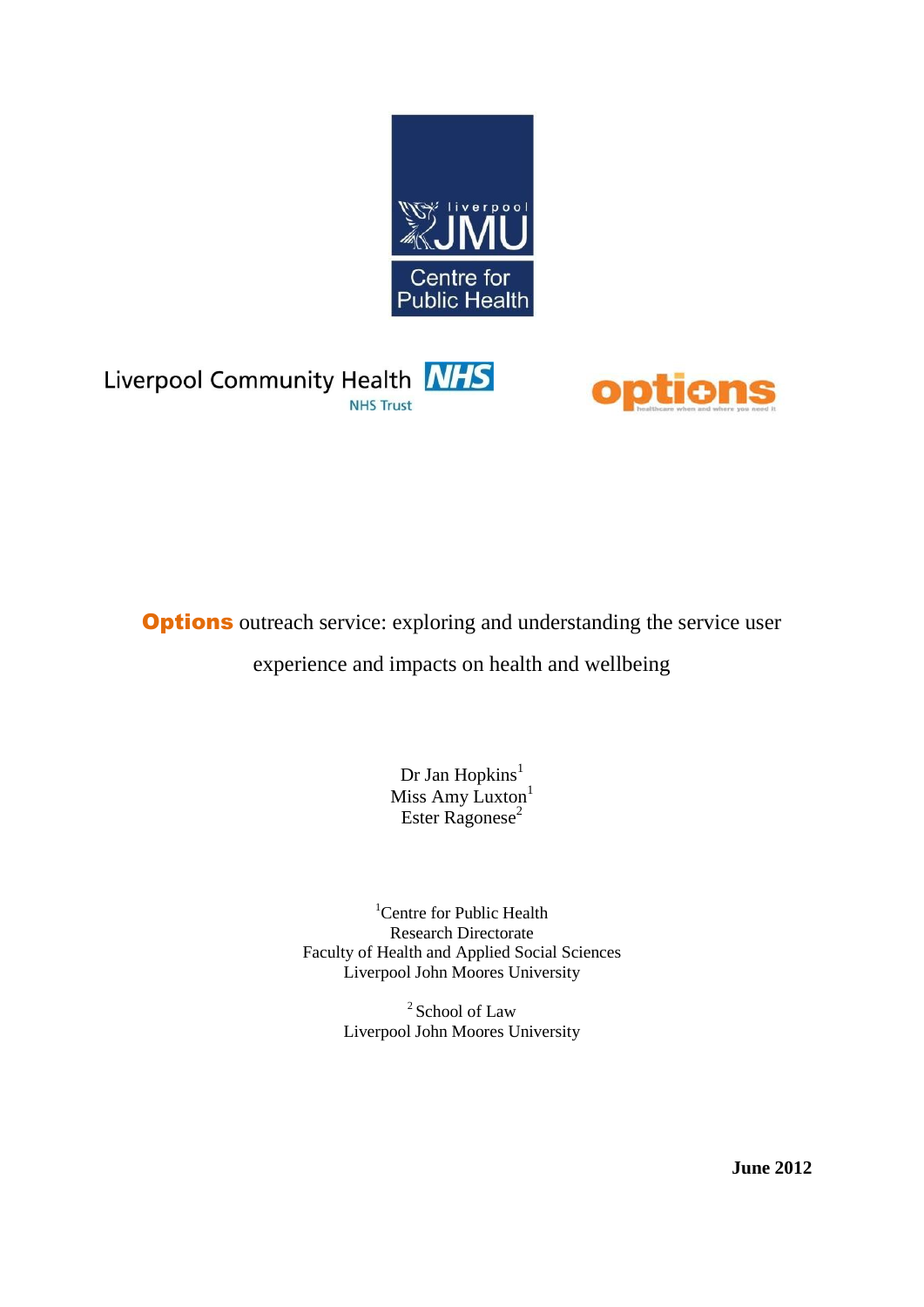





**Options** outreach service: exploring and understanding the service user

experience and impacts on health and wellbeing

Dr Jan Hopkins<sup>1</sup> Miss Amy Luxton<sup>1</sup> Ester Ragonese<sup>2</sup>

<sup>1</sup>Centre for Public Health Research Directorate Faculty of Health and Applied Social Sciences Liverpool John Moores University

> <sup>2</sup> School of Law Liverpool John Moores University

> > **June 2012**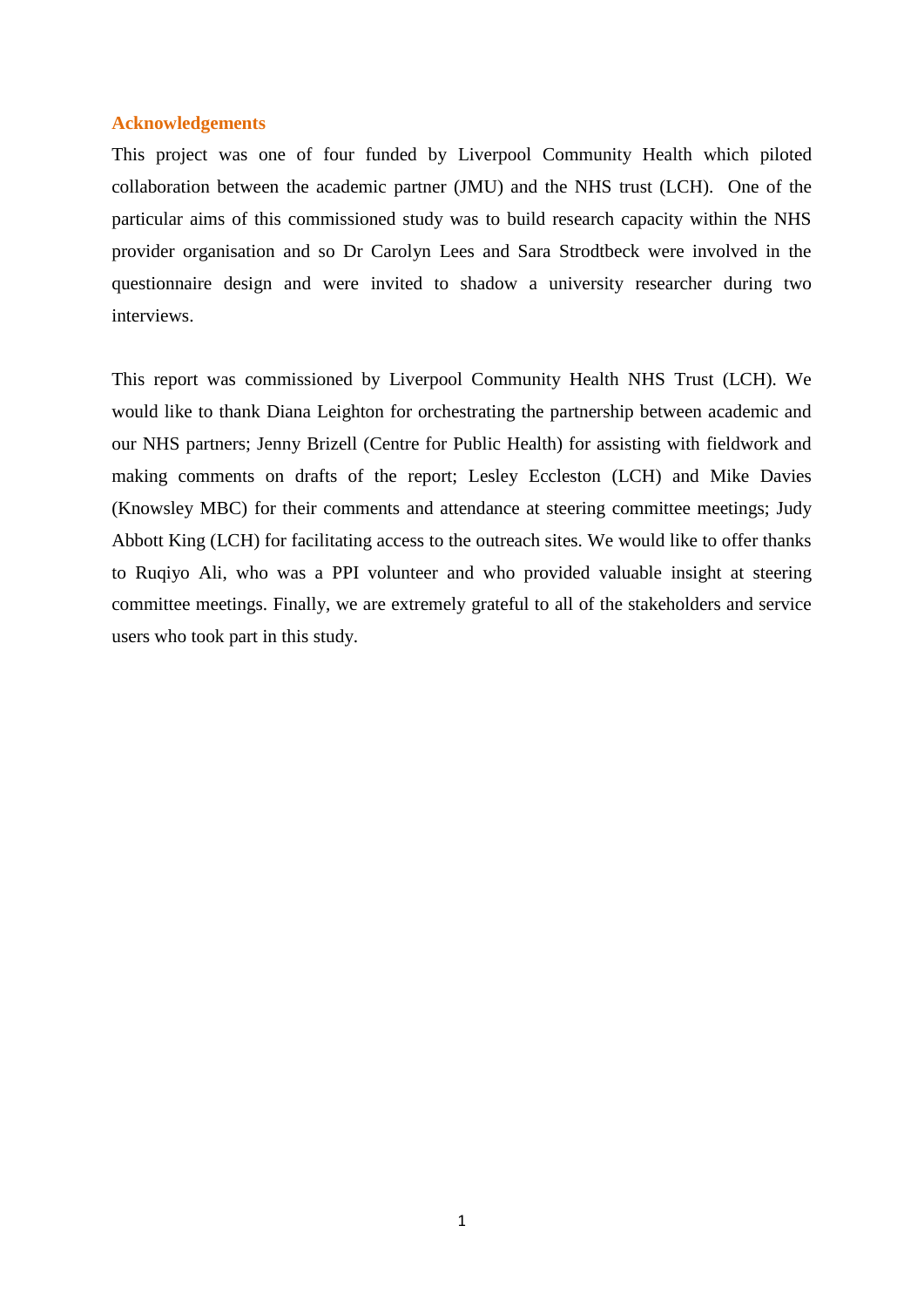### **Acknowledgements**

This project was one of four funded by Liverpool Community Health which piloted collaboration between the academic partner (JMU) and the NHS trust (LCH). One of the particular aims of this commissioned study was to build research capacity within the NHS provider organisation and so Dr Carolyn Lees and Sara Strodtbeck were involved in the questionnaire design and were invited to shadow a university researcher during two interviews.

This report was commissioned by Liverpool Community Health NHS Trust (LCH). We would like to thank Diana Leighton for orchestrating the partnership between academic and our NHS partners; Jenny Brizell (Centre for Public Health) for assisting with fieldwork and making comments on drafts of the report; Lesley Eccleston (LCH) and Mike Davies (Knowsley MBC) for their comments and attendance at steering committee meetings; Judy Abbott King (LCH) for facilitating access to the outreach sites. We would like to offer thanks to Ruqiyo Ali, who was a PPI volunteer and who provided valuable insight at steering committee meetings. Finally, we are extremely grateful to all of the stakeholders and service users who took part in this study.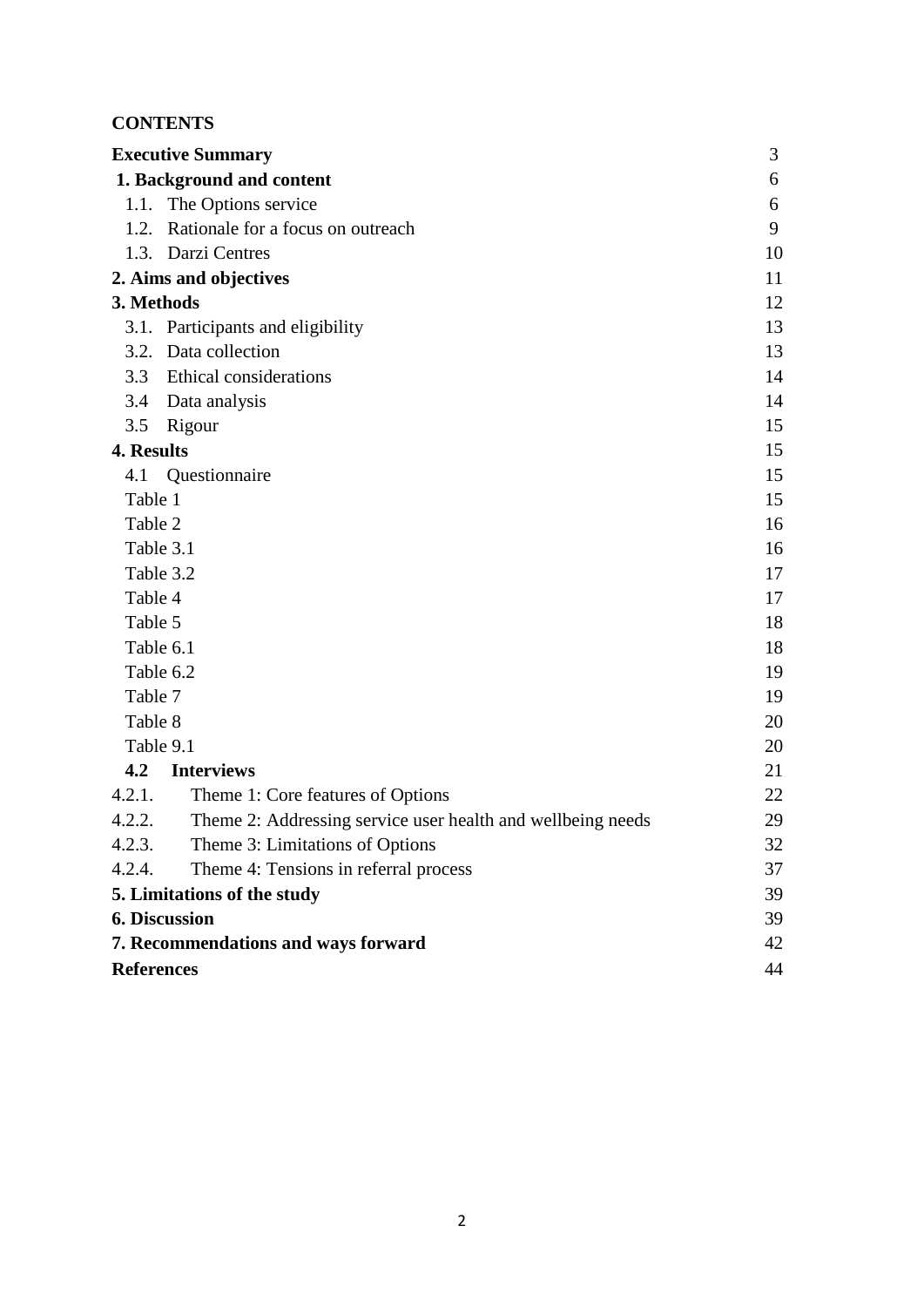# **CONTENTS**

|                   | <b>Executive Summary</b>                                    | 3  |
|-------------------|-------------------------------------------------------------|----|
|                   | 1. Background and content                                   | 6  |
|                   | 1.1. The Options service                                    | 6  |
| 1.2.              | Rationale for a focus on outreach                           | 9  |
|                   | 1.3. Darzi Centres                                          | 10 |
|                   | 2. Aims and objectives                                      | 11 |
| 3. Methods        |                                                             | 12 |
|                   | 3.1. Participants and eligibility                           | 13 |
| 3.2.              | Data collection                                             | 13 |
| 3.3               | <b>Ethical considerations</b>                               | 14 |
| 3.4               | Data analysis                                               | 14 |
| 3.5               | Rigour                                                      | 15 |
| 4. Results        |                                                             | 15 |
| 4.1               | Questionnaire                                               | 15 |
| Table 1           |                                                             | 15 |
| Table 2           |                                                             | 16 |
| Table 3.1         |                                                             | 16 |
| Table 3.2         |                                                             | 17 |
| Table 4           |                                                             | 17 |
| Table 5           |                                                             | 18 |
| Table 6.1         |                                                             | 18 |
| Table 6.2         |                                                             | 19 |
| Table 7           |                                                             | 19 |
| Table 8           |                                                             | 20 |
| Table 9.1         |                                                             | 20 |
| 4.2               | <b>Interviews</b>                                           | 21 |
| 4.2.1.            | Theme 1: Core features of Options                           | 22 |
| 4.2.2.            | Theme 2: Addressing service user health and wellbeing needs | 29 |
| 4.2.3.            | Theme 3: Limitations of Options                             | 32 |
| 4.2.4.            | Theme 4: Tensions in referral process                       | 37 |
|                   | 5. Limitations of the study                                 | 39 |
|                   | 6. Discussion                                               | 39 |
|                   | 7. Recommendations and ways forward                         | 42 |
| <b>References</b> |                                                             | 44 |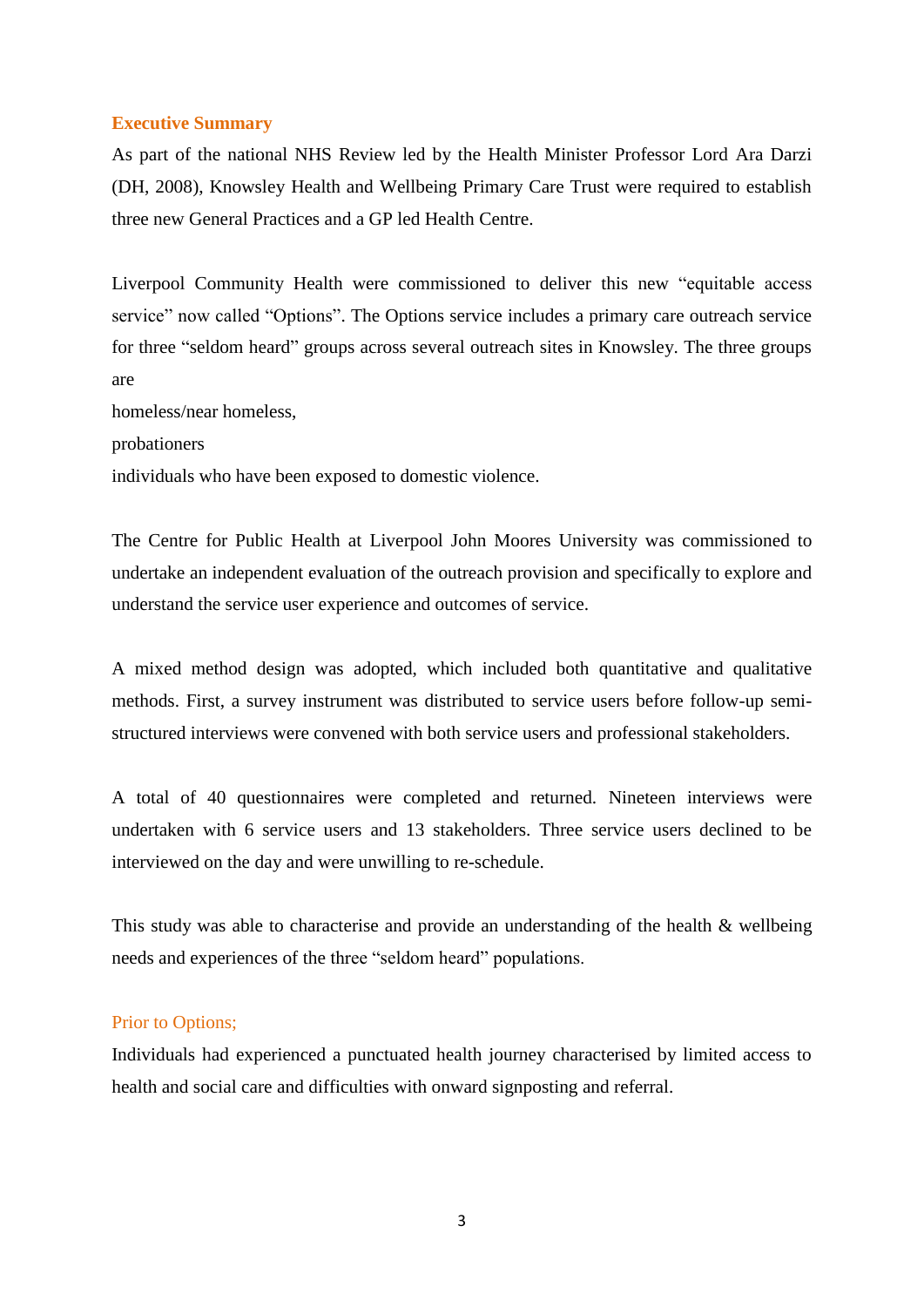### **Executive Summary**

As part of the national NHS Review led by the Health Minister Professor Lord Ara Darzi (DH, 2008), Knowsley Health and Wellbeing Primary Care Trust were required to establish three new General Practices and a GP led Health Centre.

Liverpool Community Health were commissioned to deliver this new "equitable access service" now called "Options". The Options service includes a primary care outreach service for three "seldom heard" groups across several outreach sites in Knowsley. The three groups are

homeless/near homeless,

probationers

individuals who have been exposed to domestic violence.

The Centre for Public Health at Liverpool John Moores University was commissioned to undertake an independent evaluation of the outreach provision and specifically to explore and understand the service user experience and outcomes of service.

A mixed method design was adopted, which included both quantitative and qualitative methods. First, a survey instrument was distributed to service users before follow-up semistructured interviews were convened with both service users and professional stakeholders.

A total of 40 questionnaires were completed and returned. Nineteen interviews were undertaken with 6 service users and 13 stakeholders. Three service users declined to be interviewed on the day and were unwilling to re-schedule.

This study was able to characterise and provide an understanding of the health & wellbeing needs and experiences of the three "seldom heard" populations.

### Prior to Options;

Individuals had experienced a punctuated health journey characterised by limited access to health and social care and difficulties with onward signposting and referral.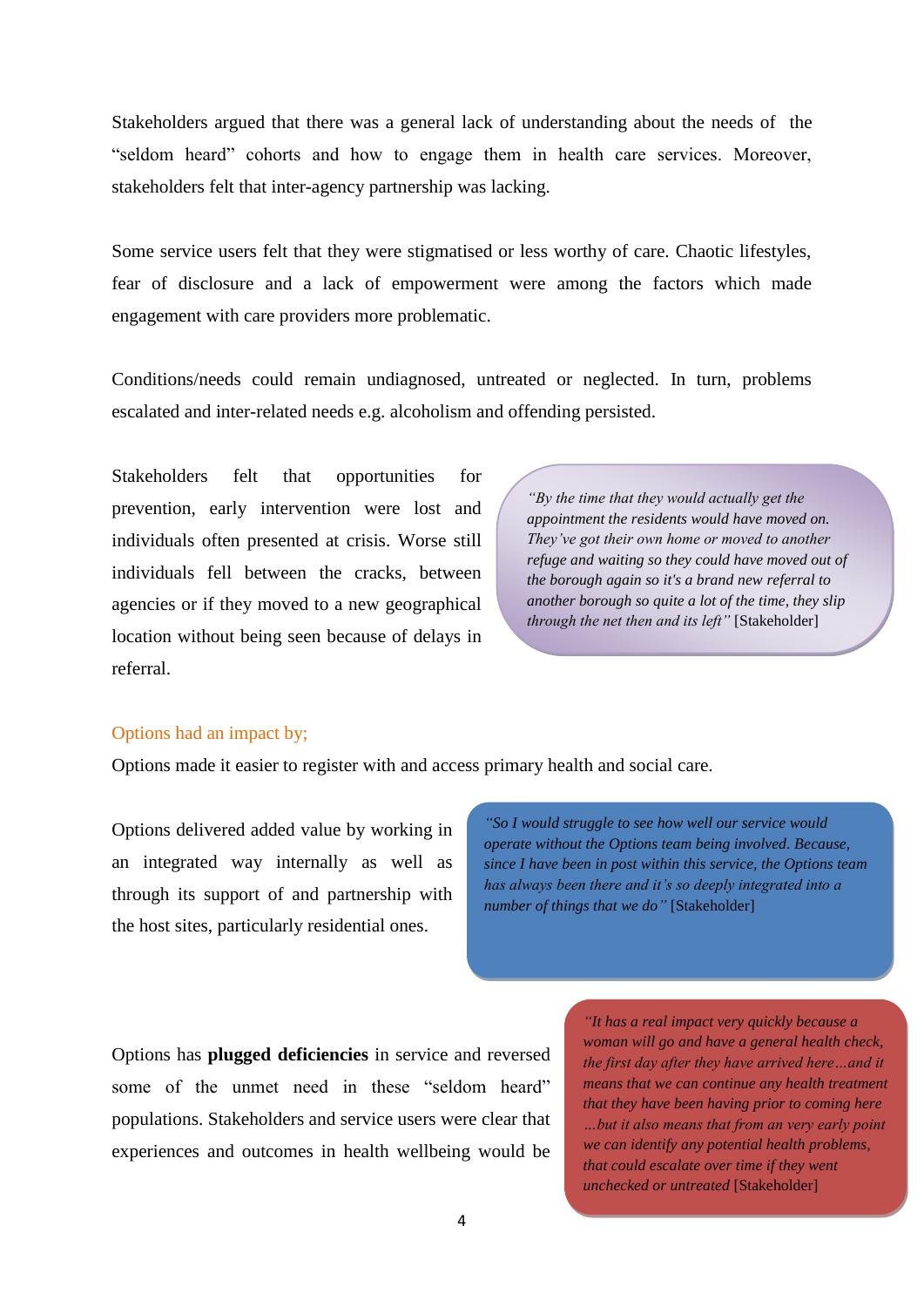Stakeholders argued that there was a general lack of understanding about the needs of the "seldom heard" cohorts and how to engage them in health care services. Moreover, stakeholders felt that inter-agency partnership was lacking.

Some service users felt that they were stigmatised or less worthy of care. Chaotic lifestyles, fear of disclosure and a lack of empowerment were among the factors which made engagement with care providers more problematic.

Conditions/needs could remain undiagnosed, untreated or neglected. In turn, problems escalated and inter-related needs e.g. alcoholism and offending persisted.

Stakeholders felt that opportunities for prevention, early intervention were lost and individuals often presented at crisis. Worse still individuals fell between the cracks, between agencies or if they moved to a new geographical location without being seen because of delays in referral.

*"By the time that they would actually get the appointment the residents would have moved on. They"ve got their own home or moved to another refuge and waiting so they could have moved out of the borough again so it's a brand new referral to another borough so quite a lot of the time, they slip through the net then and its left"* [Stakeholder]

### Options had an impact by;

Options made it easier to register with and access primary health and social care.

Options delivered added value by working in an integrated way internally as well as through its support of and partnership with the host sites, particularly residential ones.

*"So I would struggle to see how well our service would operate without the Options team being involved. Because, since I have been in post within this service, the Options team has always been there and it"s so deeply integrated into a number of things that we do"* [Stakeholder]

Options has **plugged deficiencies** in service and reversed some of the unmet need in these "seldom heard" populations. Stakeholders and service users were clear that experiences and outcomes in health wellbeing would be

*"It has a real impact very quickly because a woman will go and have a general health check, the first day after they have arrived here…and it means that we can continue any health treatment that they have been having prior to coming here …but it also means that from an very early point we can identify any potential health problems, that could escalate over time if they went unchecked or untreated* [Stakeholder]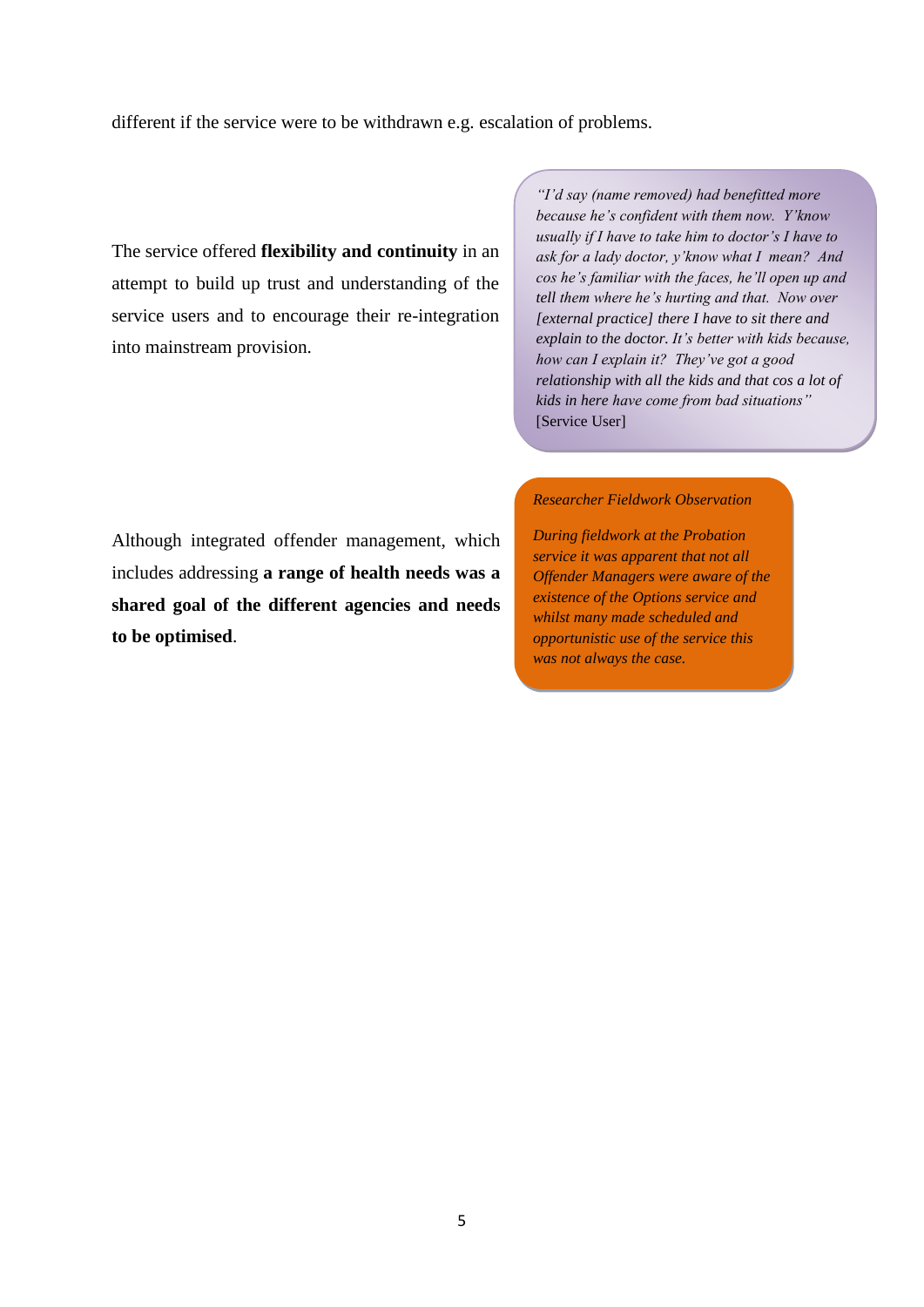different if the service were to be withdrawn e.g. escalation of problems.

The service offered **flexibility and continuity** in an attempt to build up trust and understanding of the service users and to encourage their re-integration into mainstream provision.

*"I"d say (name removed) had benefitted more because he"s confident with them now. Y"know usually if I have to take him to doctor"s I have to ask for a lady doctor, y"know what I mean? And cos he"s familiar with the faces, he"ll open up and tell them where he"s hurting and that. Now over [external practice] there I have to sit there and explain to the doctor. It"s better with kids because, how can I explain it? They"ve got a good relationship with all the kids and that cos a lot of kids in here have come from bad situations"*  [Service User]

#### *Researcher Fieldwork Observation*

Although integrated offender management, which includes addressing **a range of health needs was a shared goal of the different agencies and needs to be optimised**.

*During fieldwork at the Probation service it was apparent that not all Offender Managers were aware of the existence of the Options service and whilst many made scheduled and opportunistic use of the service this was not always the case.*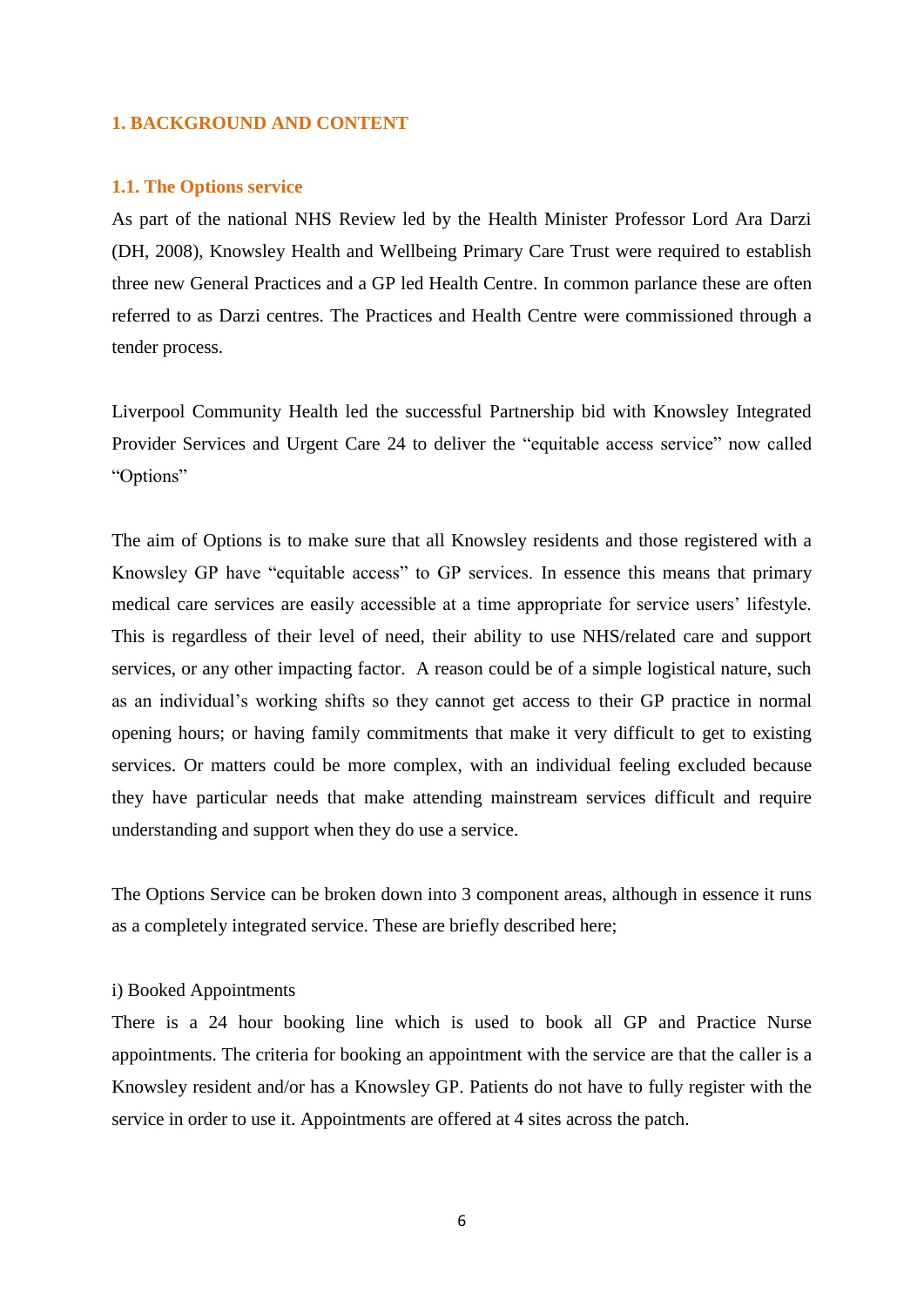### **1. BACKGROUND AND CONTENT**

#### **1.1. The Options service**

As part of the national NHS Review led by the Health Minister Professor Lord Ara Darzi (DH, 2008), Knowsley Health and Wellbeing Primary Care Trust were required to establish three new General Practices and a GP led Health Centre. In common parlance these are often referred to as Darzi centres. The Practices and Health Centre were commissioned through a tender process.

Liverpool Community Health led the successful Partnership bid with Knowsley Integrated Provider Services and Urgent Care 24 to deliver the "equitable access service" now called "Options"

The aim of Options is to make sure that all Knowsley residents and those registered with a Knowsley GP have "equitable access" to GP services. In essence this means that primary medical care services are easily accessible at a time appropriate for service users" lifestyle. This is regardless of their level of need, their ability to use NHS/related care and support services, or any other impacting factor. A reason could be of a simple logistical nature, such as an individual"s working shifts so they cannot get access to their GP practice in normal opening hours; or having family commitments that make it very difficult to get to existing services. Or matters could be more complex, with an individual feeling excluded because they have particular needs that make attending mainstream services difficult and require understanding and support when they do use a service.

The Options Service can be broken down into 3 component areas, although in essence it runs as a completely integrated service. These are briefly described here;

#### i) Booked Appointments

There is a 24 hour booking line which is used to book all GP and Practice Nurse appointments. The criteria for booking an appointment with the service are that the caller is a Knowsley resident and/or has a Knowsley GP. Patients do not have to fully register with the service in order to use it. Appointments are offered at 4 sites across the patch.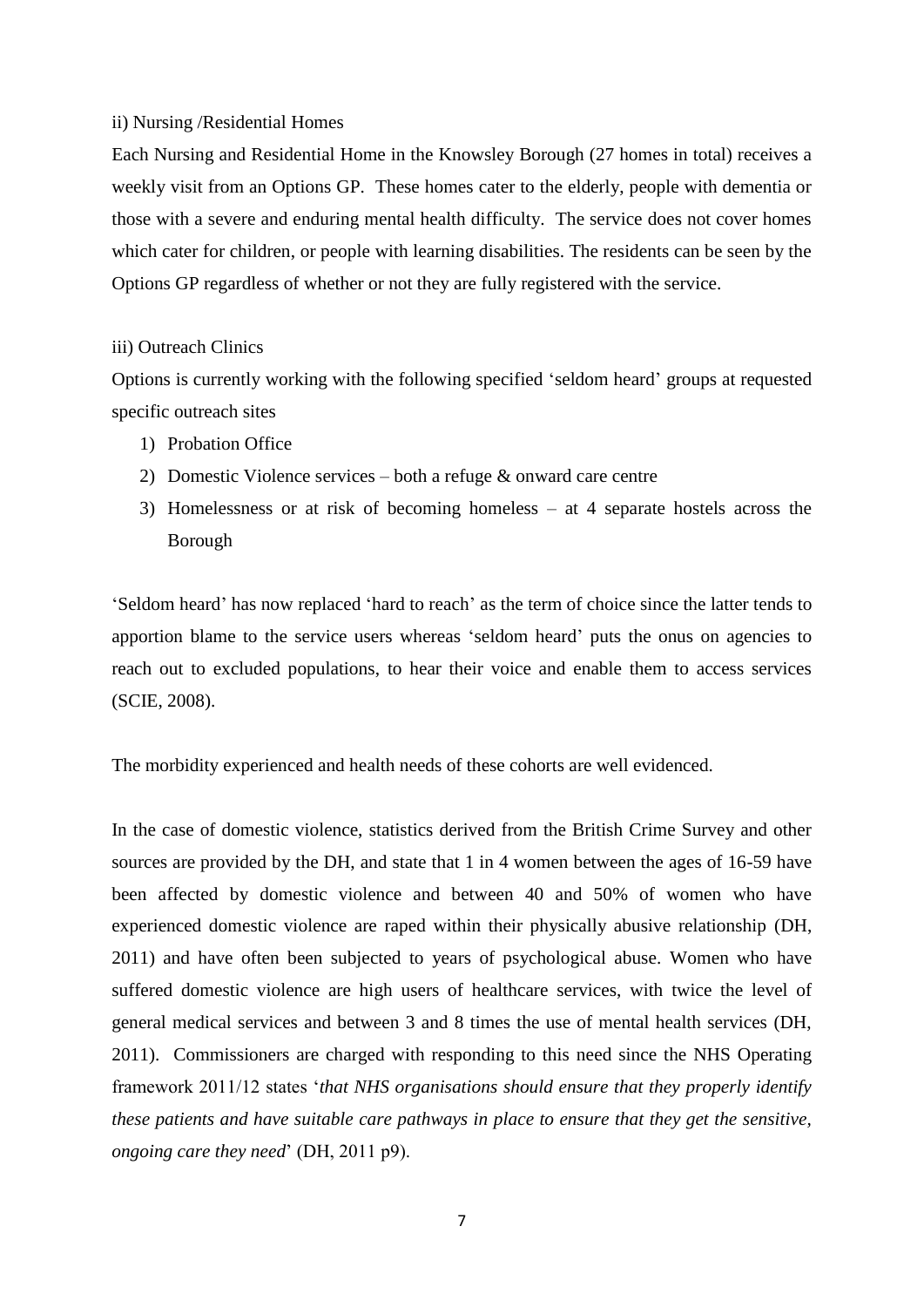#### ii) Nursing /Residential Homes

Each Nursing and Residential Home in the Knowsley Borough (27 homes in total) receives a weekly visit from an Options GP. These homes cater to the elderly, people with dementia or those with a severe and enduring mental health difficulty. The service does not cover homes which cater for children, or people with learning disabilities. The residents can be seen by the Options GP regardless of whether or not they are fully registered with the service.

### iii) Outreach Clinics

Options is currently working with the following specified "seldom heard" groups at requested specific outreach sites

- 1) Probation Office
- 2) Domestic Violence services both a refuge & onward care centre
- 3) Homelessness or at risk of becoming homeless at 4 separate hostels across the Borough

"Seldom heard" has now replaced "hard to reach" as the term of choice since the latter tends to apportion blame to the service users whereas "seldom heard" puts the onus on agencies to reach out to excluded populations, to hear their voice and enable them to access services (SCIE, 2008).

The morbidity experienced and health needs of these cohorts are well evidenced.

In the case of domestic violence, statistics derived from the British Crime Survey and other sources are provided by the DH, and state that 1 in 4 women between the ages of 16-59 have been affected by domestic violence and between 40 and 50% of women who have experienced domestic violence are raped within their physically abusive relationship (DH, 2011) and have often been subjected to years of psychological abuse. Women who have suffered domestic violence are high users of healthcare services, with twice the level of general medical services and between 3 and 8 times the use of mental health services (DH, 2011). Commissioners are charged with responding to this need since the NHS Operating framework 2011/12 states "*that NHS organisations should ensure that they properly identify these patients and have suitable care pathways in place to ensure that they get the sensitive, ongoing care they need*" (DH, 2011 p9).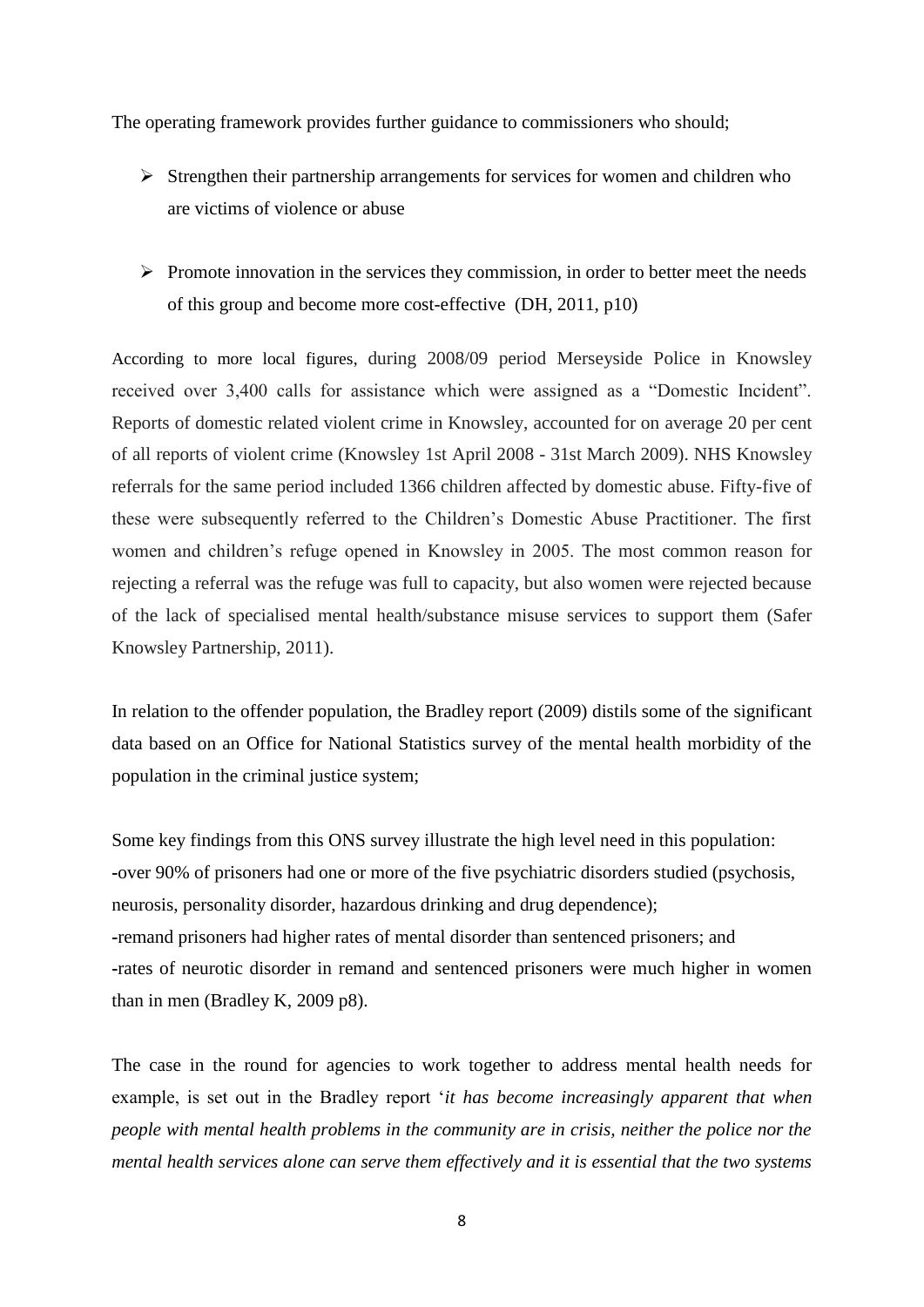The operating framework provides further guidance to commissioners who should;

- $\triangleright$  Strengthen their partnership arrangements for services for women and children who are victims of violence or abuse
- $\triangleright$  Promote innovation in the services they commission, in order to better meet the needs of this group and become more cost-effective (DH, 2011, p10)

According to more local figures, during 2008/09 period Merseyside Police in Knowsley received over 3,400 calls for assistance which were assigned as a "Domestic Incident". Reports of domestic related violent crime in Knowsley, accounted for on average 20 per cent of all reports of violent crime (Knowsley 1st April 2008 - 31st March 2009). NHS Knowsley referrals for the same period included 1366 children affected by domestic abuse. Fifty-five of these were subsequently referred to the Children"s Domestic Abuse Practitioner. The first women and children"s refuge opened in Knowsley in 2005. The most common reason for rejecting a referral was the refuge was full to capacity, but also women were rejected because of the lack of specialised mental health/substance misuse services to support them (Safer Knowsley Partnership, 2011).

In relation to the offender population, the Bradley report (2009) distils some of the significant data based on an Office for National Statistics survey of the mental health morbidity of the population in the criminal justice system;

Some key findings from this ONS survey illustrate the high level need in this population: **-**over 90% of prisoners had one or more of the five psychiatric disorders studied (psychosis, neurosis, personality disorder, hazardous drinking and drug dependence); **-**remand prisoners had higher rates of mental disorder than sentenced prisoners; and **-**rates of neurotic disorder in remand and sentenced prisoners were much higher in women than in men (Bradley K, 2009 p8).

The case in the round for agencies to work together to address mental health needs for example, is set out in the Bradley report *'it has become increasingly apparent that when people with mental health problems in the community are in crisis, neither the police nor the mental health services alone can serve them effectively and it is essential that the two systems*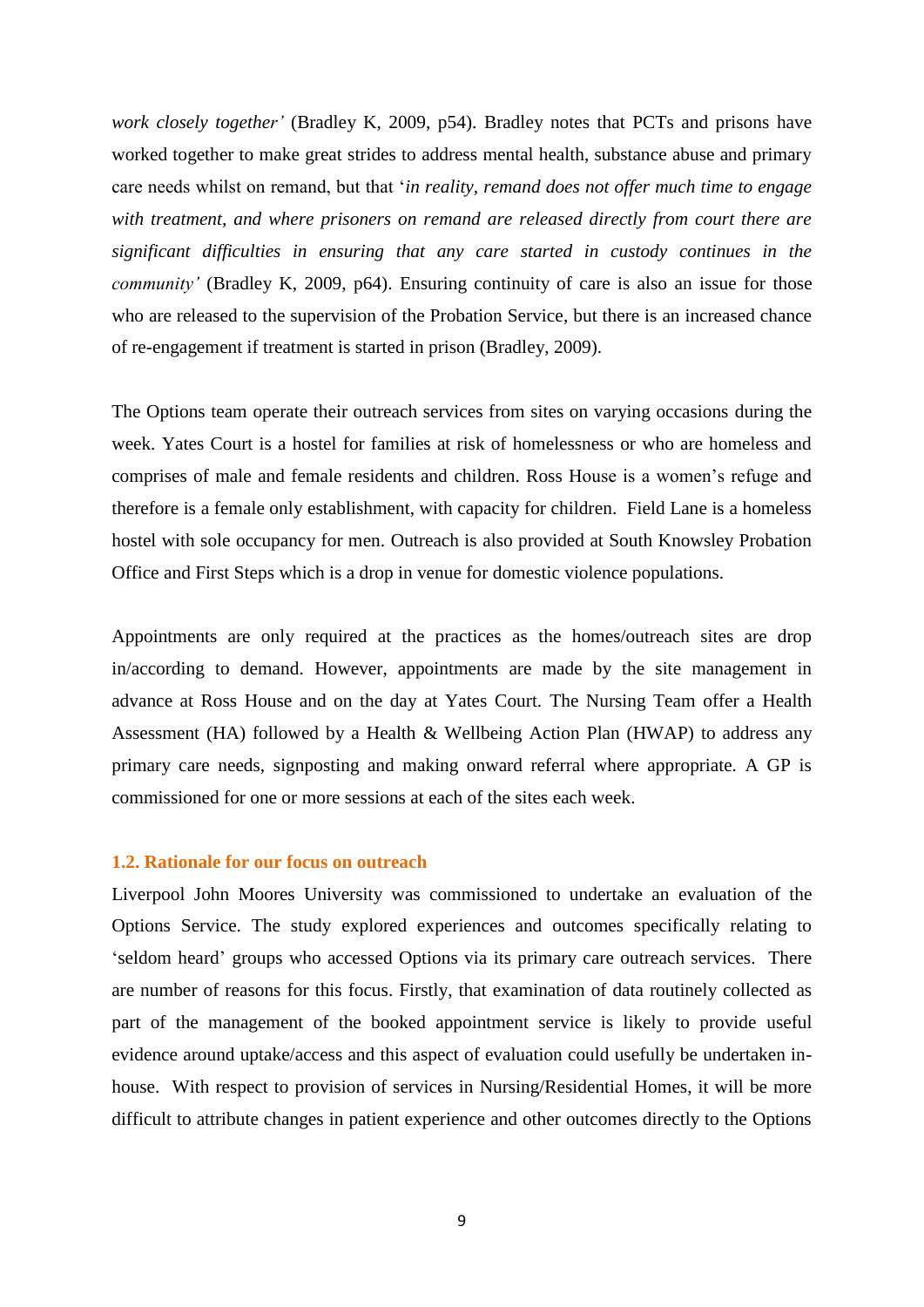*work closely together'* (Bradley K, 2009, p54). Bradley notes that PCTs and prisons have worked together to make great strides to address mental health, substance abuse and primary care needs whilst on remand, but that "*in reality, remand does not offer much time to engage with treatment, and where prisoners on remand are released directly from court there are significant difficulties in ensuring that any care started in custody continues in the community'* (Bradley K, 2009, p64). Ensuring continuity of care is also an issue for those who are released to the supervision of the Probation Service, but there is an increased chance of re-engagement if treatment is started in prison (Bradley, 2009).

The Options team operate their outreach services from sites on varying occasions during the week. Yates Court is a hostel for families at risk of homelessness or who are homeless and comprises of male and female residents and children. Ross House is a women"s refuge and therefore is a female only establishment, with capacity for children. Field Lane is a homeless hostel with sole occupancy for men. Outreach is also provided at South Knowsley Probation Office and First Steps which is a drop in venue for domestic violence populations.

Appointments are only required at the practices as the homes/outreach sites are drop in/according to demand. However, appointments are made by the site management in advance at Ross House and on the day at Yates Court. The Nursing Team offer a Health Assessment (HA) followed by a Health & Wellbeing Action Plan (HWAP) to address any primary care needs, signposting and making onward referral where appropriate. A GP is commissioned for one or more sessions at each of the sites each week.

#### **1.2. Rationale for our focus on outreach**

Liverpool John Moores University was commissioned to undertake an evaluation of the Options Service. The study explored experiences and outcomes specifically relating to 'seldom heard' groups who accessed Options via its primary care outreach services. There are number of reasons for this focus. Firstly, that examination of data routinely collected as part of the management of the booked appointment service is likely to provide useful evidence around uptake/access and this aspect of evaluation could usefully be undertaken inhouse. With respect to provision of services in Nursing/Residential Homes, it will be more difficult to attribute changes in patient experience and other outcomes directly to the Options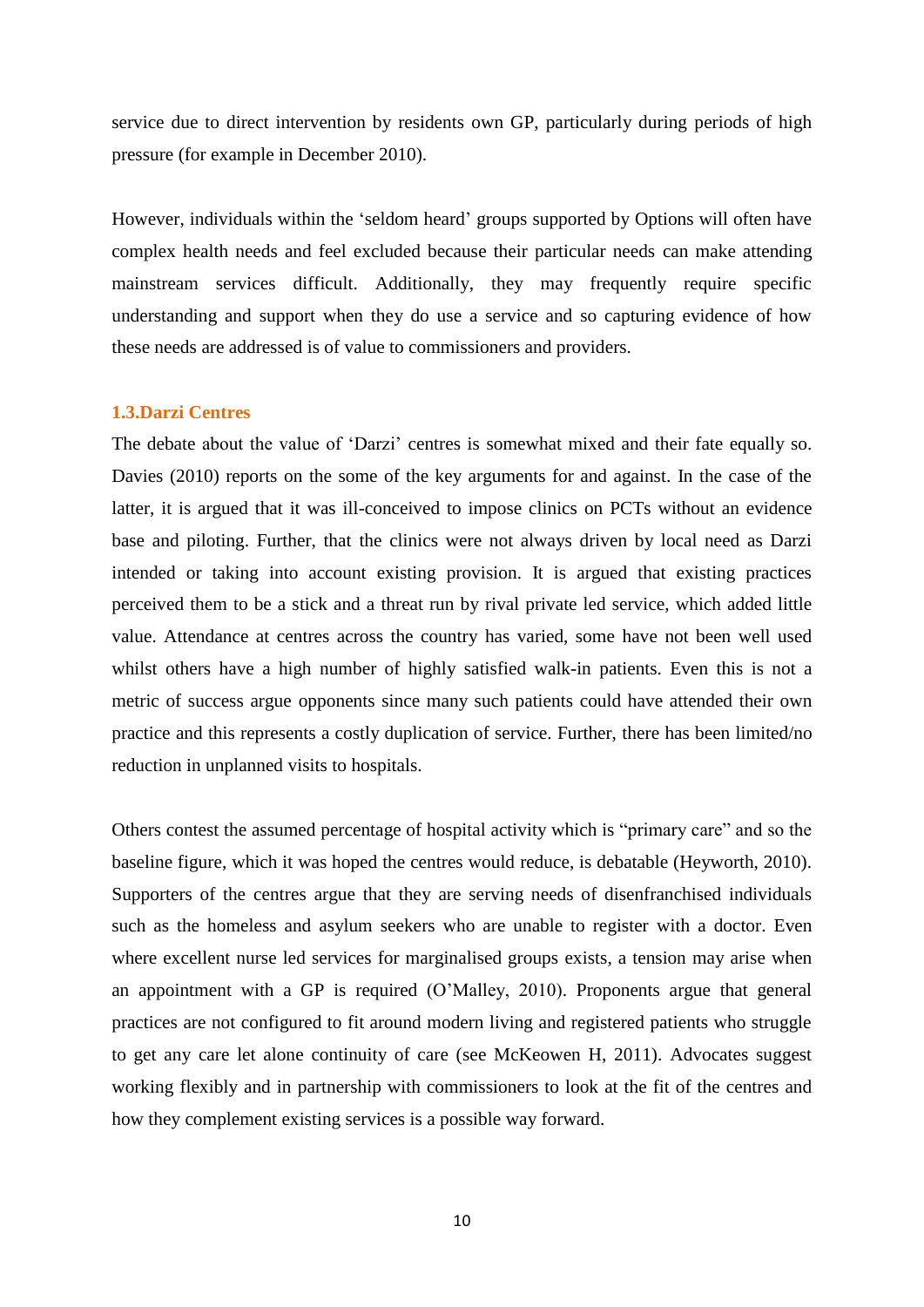service due to direct intervention by residents own GP, particularly during periods of high pressure (for example in December 2010).

However, individuals within the "seldom heard" groups supported by Options will often have complex health needs and feel excluded because their particular needs can make attending mainstream services difficult. Additionally, they may frequently require specific understanding and support when they do use a service and so capturing evidence of how these needs are addressed is of value to commissioners and providers.

### **1.3.Darzi Centres**

The debate about the value of 'Darzi' centres is somewhat mixed and their fate equally so. Davies (2010) reports on the some of the key arguments for and against. In the case of the latter, it is argued that it was ill-conceived to impose clinics on PCTs without an evidence base and piloting. Further, that the clinics were not always driven by local need as Darzi intended or taking into account existing provision. It is argued that existing practices perceived them to be a stick and a threat run by rival private led service, which added little value. Attendance at centres across the country has varied, some have not been well used whilst others have a high number of highly satisfied walk-in patients. Even this is not a metric of success argue opponents since many such patients could have attended their own practice and this represents a costly duplication of service. Further, there has been limited/no reduction in unplanned visits to hospitals.

Others contest the assumed percentage of hospital activity which is "primary care" and so the baseline figure, which it was hoped the centres would reduce, is debatable (Heyworth, 2010). Supporters of the centres argue that they are serving needs of disenfranchised individuals such as the homeless and asylum seekers who are unable to register with a doctor. Even where excellent nurse led services for marginalised groups exists, a tension may arise when an appointment with a GP is required (O"Malley, 2010). Proponents argue that general practices are not configured to fit around modern living and registered patients who struggle to get any care let alone continuity of care (see McKeowen H, 2011). Advocates suggest working flexibly and in partnership with commissioners to look at the fit of the centres and how they complement existing services is a possible way forward.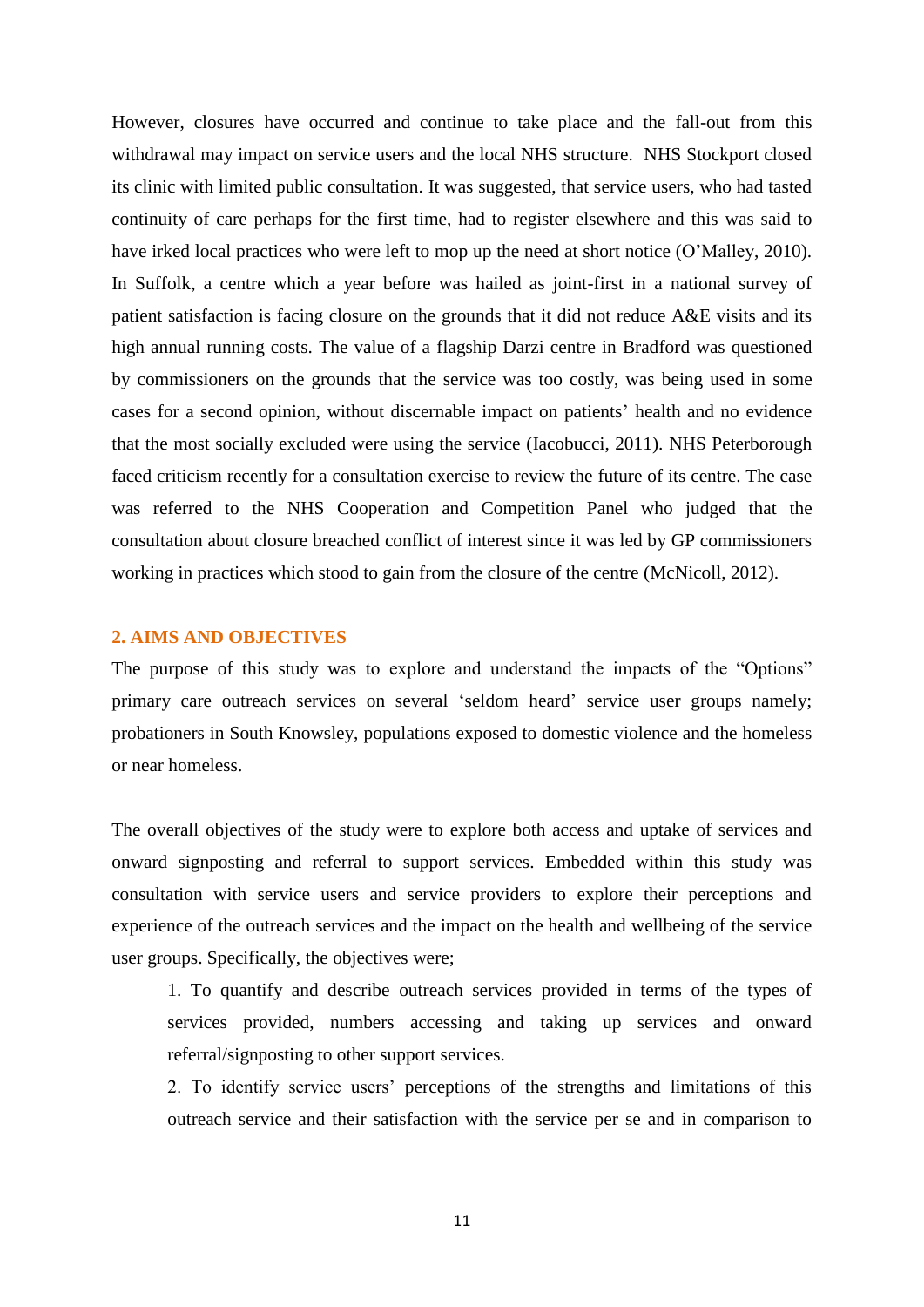However, closures have occurred and continue to take place and the fall-out from this withdrawal may impact on service users and the local NHS structure. NHS Stockport closed its clinic with limited public consultation. It was suggested, that service users, who had tasted continuity of care perhaps for the first time, had to register elsewhere and this was said to have irked local practices who were left to mop up the need at short notice (O"Malley, 2010). In Suffolk, a centre which a year before was hailed as joint-first in a national survey of patient satisfaction is facing closure on the grounds that it did not reduce A&E visits and its high annual running costs. The value of a flagship Darzi centre in Bradford was questioned by commissioners on the grounds that the service was too costly, was being used in some cases for a second opinion, without discernable impact on patients" health and no evidence that the most socially excluded were using the service (Iacobucci, 2011). NHS Peterborough faced criticism recently for a consultation exercise to review the future of its centre. The case was referred to the NHS Cooperation and Competition Panel who judged that the consultation about closure breached conflict of interest since it was led by GP commissioners working in practices which stood to gain from the closure of the centre (McNicoll, 2012).

## **2. AIMS AND OBJECTIVES**

The purpose of this study was to explore and understand the impacts of the "Options" primary care outreach services on several "seldom heard" service user groups namely; probationers in South Knowsley, populations exposed to domestic violence and the homeless or near homeless.

The overall objectives of the study were to explore both access and uptake of services and onward signposting and referral to support services. Embedded within this study was consultation with service users and service providers to explore their perceptions and experience of the outreach services and the impact on the health and wellbeing of the service user groups. Specifically, the objectives were;

1. To quantify and describe outreach services provided in terms of the types of services provided, numbers accessing and taking up services and onward referral/signposting to other support services.

2. To identify service users" perceptions of the strengths and limitations of this outreach service and their satisfaction with the service per se and in comparison to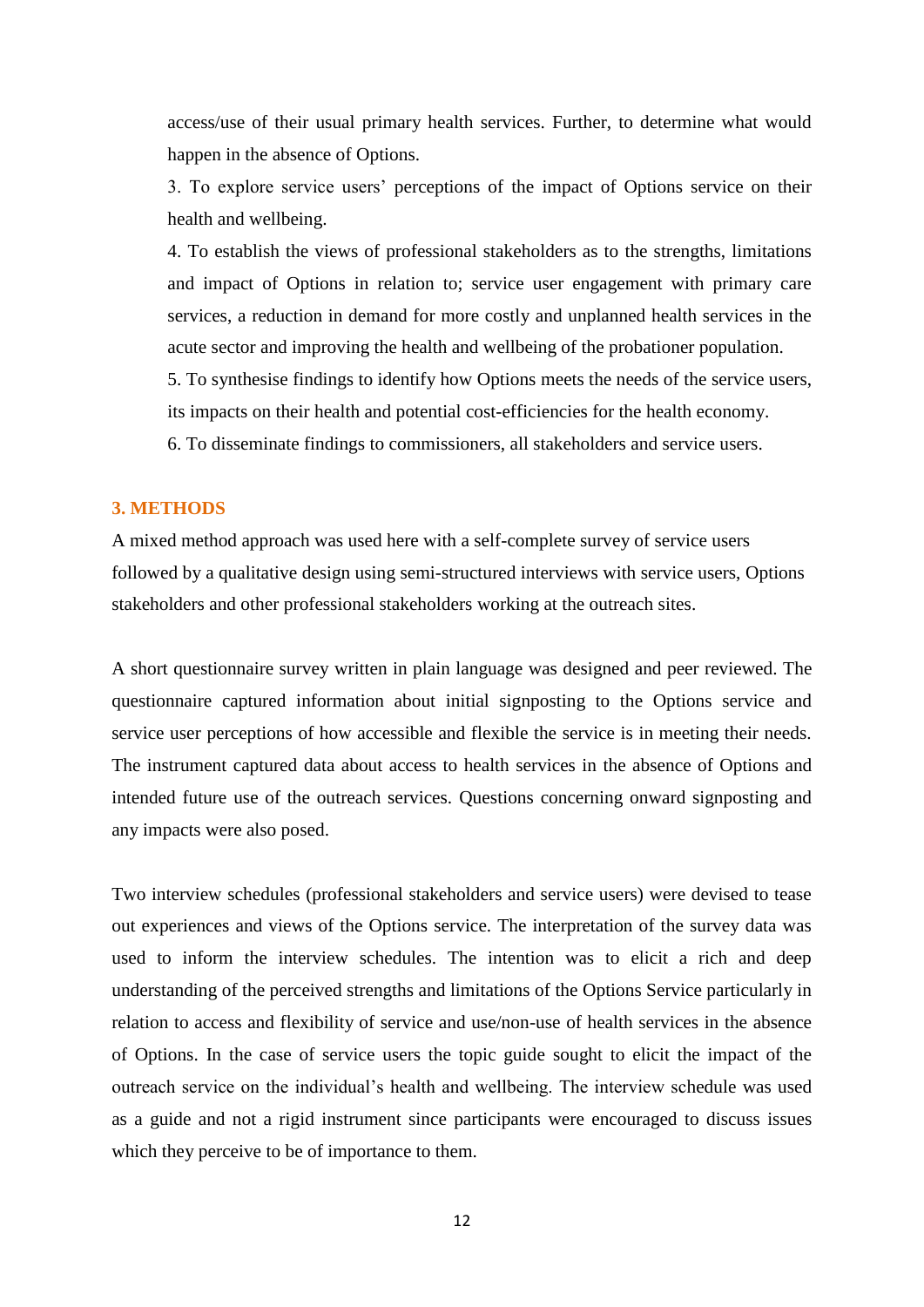access/use of their usual primary health services. Further, to determine what would happen in the absence of Options.

3. To explore service users" perceptions of the impact of Options service on their health and wellbeing.

4. To establish the views of professional stakeholders as to the strengths, limitations and impact of Options in relation to; service user engagement with primary care services, a reduction in demand for more costly and unplanned health services in the acute sector and improving the health and wellbeing of the probationer population.

5. To synthesise findings to identify how Options meets the needs of the service users, its impacts on their health and potential cost-efficiencies for the health economy.

6. To disseminate findings to commissioners, all stakeholders and service users.

### **3. METHODS**

A mixed method approach was used here with a self-complete survey of service users followed by a qualitative design using semi-structured interviews with service users, Options stakeholders and other professional stakeholders working at the outreach sites.

A short questionnaire survey written in plain language was designed and peer reviewed. The questionnaire captured information about initial signposting to the Options service and service user perceptions of how accessible and flexible the service is in meeting their needs. The instrument captured data about access to health services in the absence of Options and intended future use of the outreach services. Questions concerning onward signposting and any impacts were also posed.

Two interview schedules (professional stakeholders and service users) were devised to tease out experiences and views of the Options service. The interpretation of the survey data was used to inform the interview schedules. The intention was to elicit a rich and deep understanding of the perceived strengths and limitations of the Options Service particularly in relation to access and flexibility of service and use/non-use of health services in the absence of Options. In the case of service users the topic guide sought to elicit the impact of the outreach service on the individual"s health and wellbeing. The interview schedule was used as a guide and not a rigid instrument since participants were encouraged to discuss issues which they perceive to be of importance to them.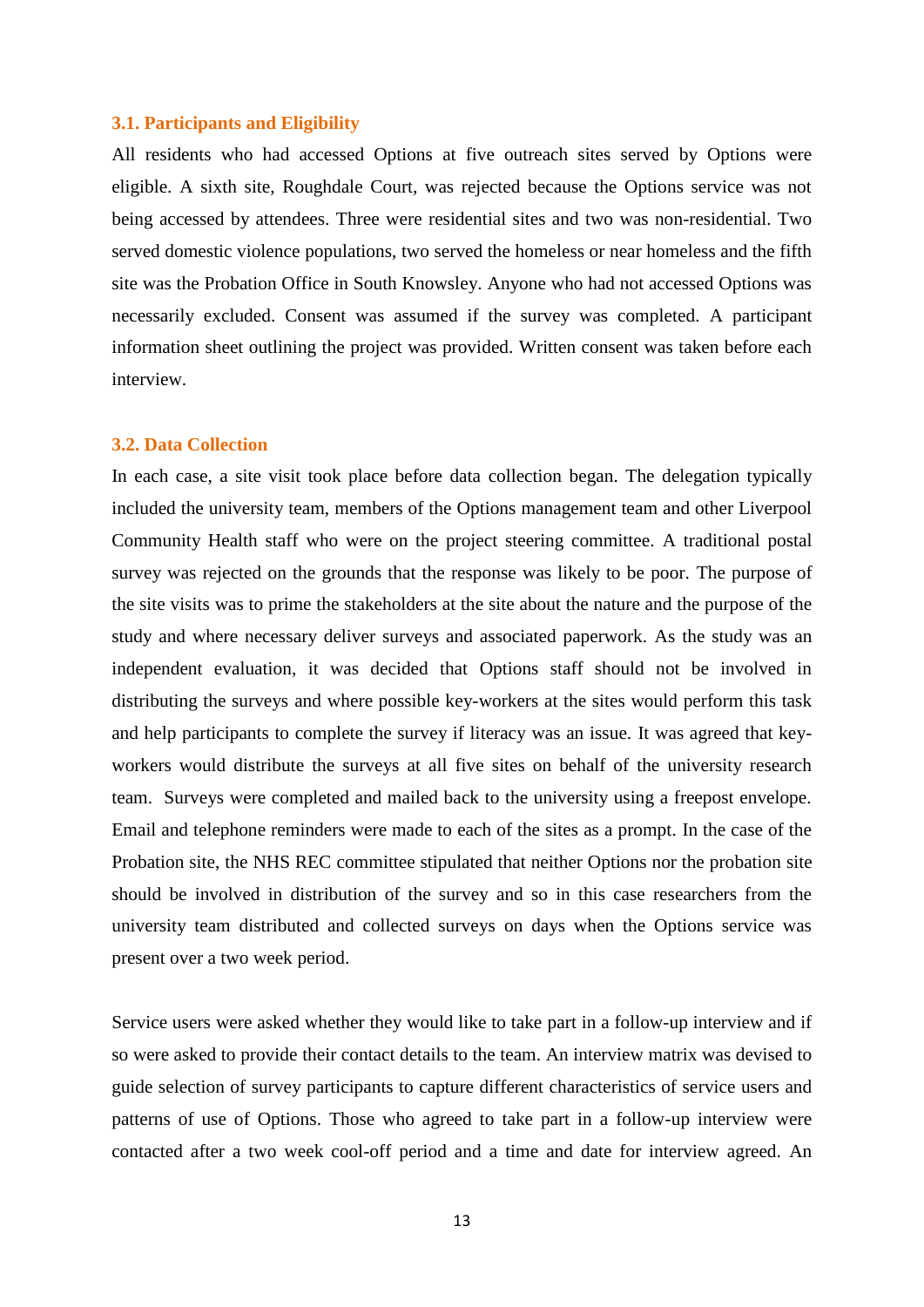### **3.1. Participants and Eligibility**

All residents who had accessed Options at five outreach sites served by Options were eligible. A sixth site, Roughdale Court, was rejected because the Options service was not being accessed by attendees. Three were residential sites and two was non-residential. Two served domestic violence populations, two served the homeless or near homeless and the fifth site was the Probation Office in South Knowsley. Anyone who had not accessed Options was necessarily excluded. Consent was assumed if the survey was completed. A participant information sheet outlining the project was provided. Written consent was taken before each interview.

#### **3.2. Data Collection**

In each case, a site visit took place before data collection began. The delegation typically included the university team, members of the Options management team and other Liverpool Community Health staff who were on the project steering committee. A traditional postal survey was rejected on the grounds that the response was likely to be poor. The purpose of the site visits was to prime the stakeholders at the site about the nature and the purpose of the study and where necessary deliver surveys and associated paperwork. As the study was an independent evaluation, it was decided that Options staff should not be involved in distributing the surveys and where possible key-workers at the sites would perform this task and help participants to complete the survey if literacy was an issue. It was agreed that keyworkers would distribute the surveys at all five sites on behalf of the university research team. Surveys were completed and mailed back to the university using a freepost envelope. Email and telephone reminders were made to each of the sites as a prompt. In the case of the Probation site, the NHS REC committee stipulated that neither Options nor the probation site should be involved in distribution of the survey and so in this case researchers from the university team distributed and collected surveys on days when the Options service was present over a two week period.

Service users were asked whether they would like to take part in a follow-up interview and if so were asked to provide their contact details to the team. An interview matrix was devised to guide selection of survey participants to capture different characteristics of service users and patterns of use of Options. Those who agreed to take part in a follow-up interview were contacted after a two week cool-off period and a time and date for interview agreed. An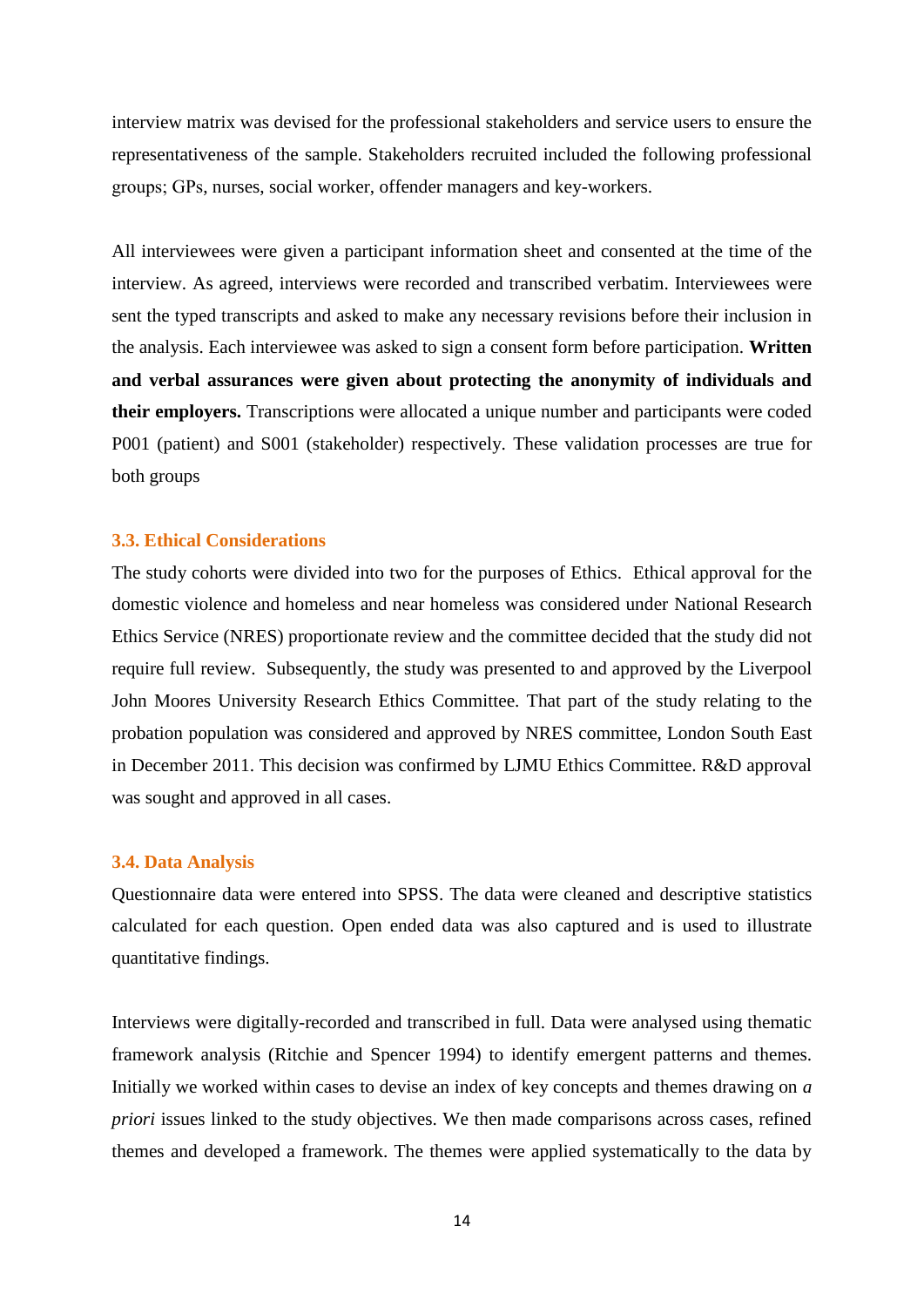interview matrix was devised for the professional stakeholders and service users to ensure the representativeness of the sample. Stakeholders recruited included the following professional groups; GPs, nurses, social worker, offender managers and key-workers.

All interviewees were given a participant information sheet and consented at the time of the interview. As agreed, interviews were recorded and transcribed verbatim. Interviewees were sent the typed transcripts and asked to make any necessary revisions before their inclusion in the analysis. Each interviewee was asked to sign a consent form before participation. **Written and verbal assurances were given about protecting the anonymity of individuals and their employers.** Transcriptions were allocated a unique number and participants were coded P001 (patient) and S001 (stakeholder) respectively. These validation processes are true for both groups

## **3.3. Ethical Considerations**

The study cohorts were divided into two for the purposes of Ethics. Ethical approval for the domestic violence and homeless and near homeless was considered under National Research Ethics Service (NRES) proportionate review and the committee decided that the study did not require full review. Subsequently, the study was presented to and approved by the Liverpool John Moores University Research Ethics Committee. That part of the study relating to the probation population was considered and approved by NRES committee, London South East in December 2011. This decision was confirmed by LJMU Ethics Committee. R&D approval was sought and approved in all cases.

### **3.4. Data Analysis**

Questionnaire data were entered into SPSS. The data were cleaned and descriptive statistics calculated for each question. Open ended data was also captured and is used to illustrate quantitative findings.

Interviews were digitally-recorded and transcribed in full. Data were analysed using thematic framework analysis (Ritchie and Spencer 1994) to identify emergent patterns and themes. Initially we worked within cases to devise an index of key concepts and themes drawing on *a priori* issues linked to the study objectives. We then made comparisons across cases, refined themes and developed a framework. The themes were applied systematically to the data by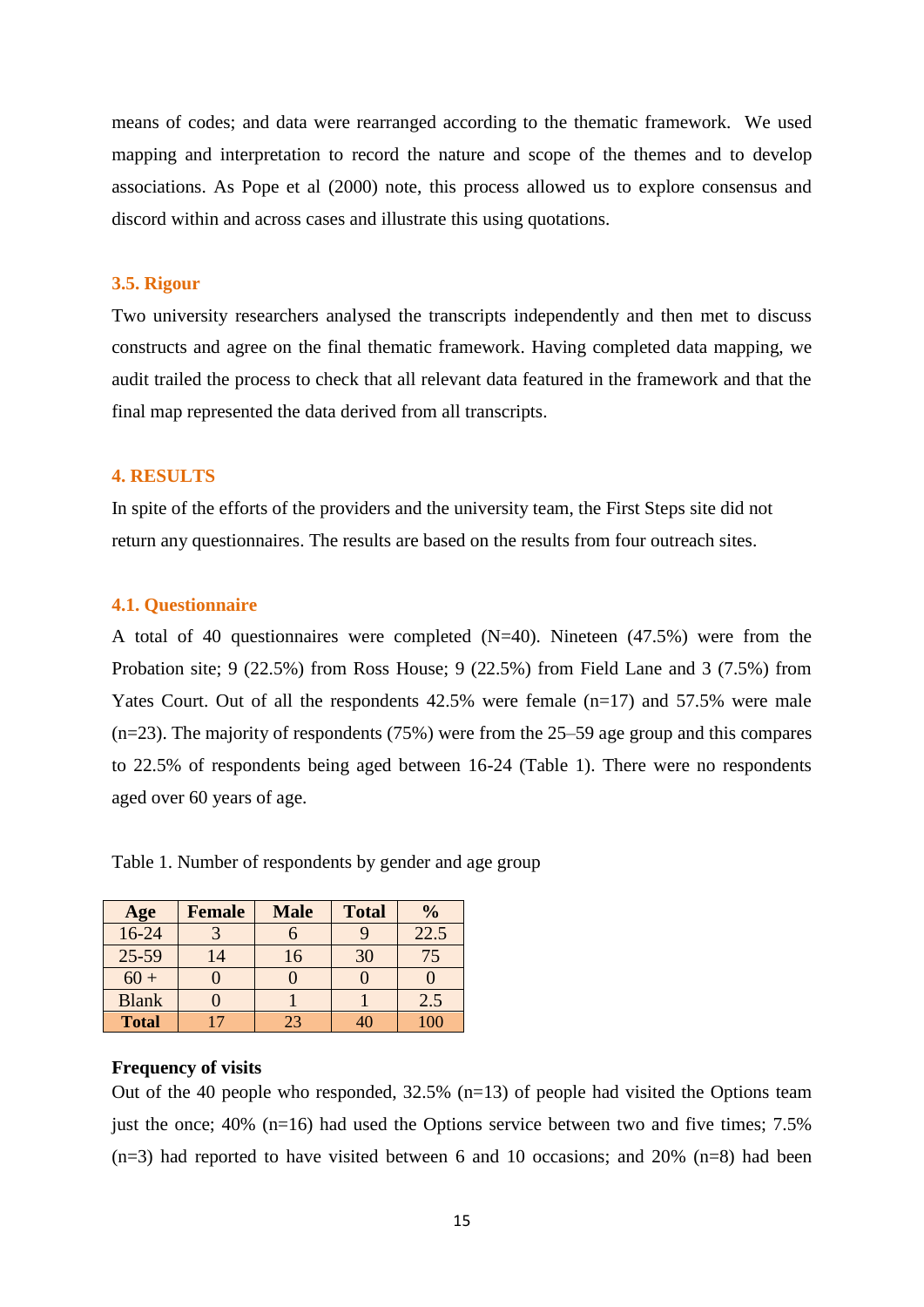means of codes; and data were rearranged according to the thematic framework. We used mapping and interpretation to record the nature and scope of the themes and to develop associations. As Pope et al (2000) note, this process allowed us to explore consensus and discord within and across cases and illustrate this using quotations.

### **3.5. Rigour**

Two university researchers analysed the transcripts independently and then met to discuss constructs and agree on the final thematic framework. Having completed data mapping, we audit trailed the process to check that all relevant data featured in the framework and that the final map represented the data derived from all transcripts.

### **4. RESULTS**

In spite of the efforts of the providers and the university team, the First Steps site did not return any questionnaires. The results are based on the results from four outreach sites.

#### **4.1. Questionnaire**

A total of 40 questionnaires were completed (N=40). Nineteen (47.5%) were from the Probation site; 9 (22.5%) from Ross House; 9 (22.5%) from Field Lane and 3 (7.5%) from Yates Court. Out of all the respondents 42.5% were female (n=17) and 57.5% were male (n=23). The majority of respondents (75%) were from the 25–59 age group and this compares to 22.5% of respondents being aged between 16-24 (Table 1). There were no respondents aged over 60 years of age.

| Age          | <b>Female</b> | <b>Male</b> | <b>Total</b> | $\frac{0}{0}$ |
|--------------|---------------|-------------|--------------|---------------|
| $16 - 24$    |               |             |              | 22.5          |
| $25 - 59$    | 14            | 16          | 30           | 75            |
| $60 +$       |               |             |              |               |
| <b>Blank</b> |               |             |              | 2.5           |
| <b>Total</b> |               | 23          |              |               |

Table 1. Number of respondents by gender and age group

### **Frequency of visits**

Out of the 40 people who responded,  $32.5\%$  (n=13) of people had visited the Options team just the once;  $40\%$  (n=16) had used the Options service between two and five times; 7.5%  $(n=3)$  had reported to have visited between 6 and 10 occasions; and 20%  $(n=8)$  had been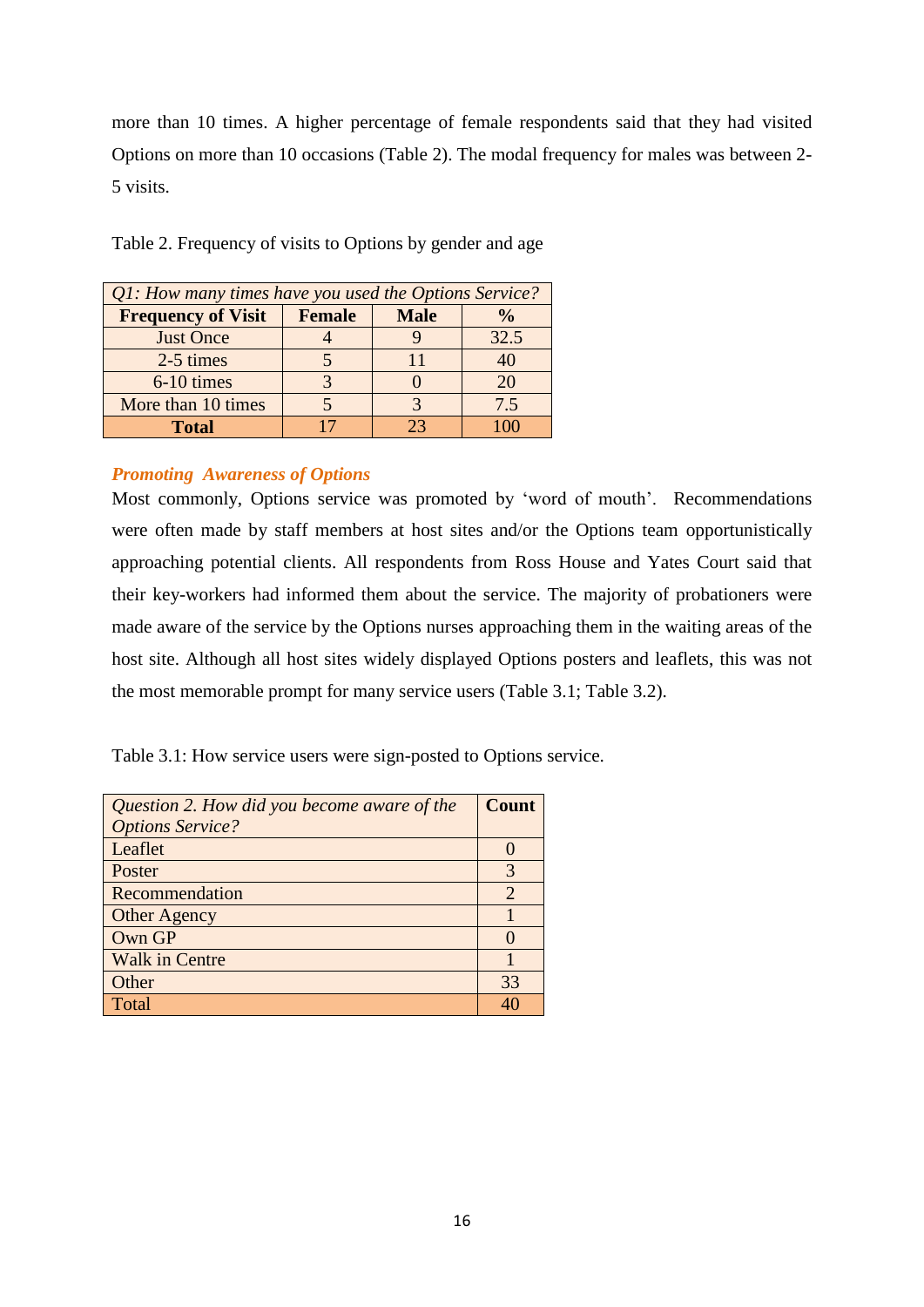more than 10 times. A higher percentage of female respondents said that they had visited Options on more than 10 occasions (Table 2). The modal frequency for males was between 2- 5 visits.

Table 2. Frequency of visits to Options by gender and age

| Q1: How many times have you used the Options Service? |               |             |               |  |
|-------------------------------------------------------|---------------|-------------|---------------|--|
| <b>Frequency of Visit</b>                             | <b>Female</b> | <b>Male</b> | $\frac{1}{2}$ |  |
| <b>Just Once</b>                                      |               |             | 32.5          |  |
| 2-5 times                                             |               |             |               |  |
| 6-10 times                                            |               |             | 20            |  |
| More than 10 times                                    |               |             | 7.5           |  |
| <b>Total</b>                                          |               | つつ          |               |  |

# *Promoting Awareness of Options*

Most commonly, Options service was promoted by 'word of mouth'. Recommendations were often made by staff members at host sites and/or the Options team opportunistically approaching potential clients. All respondents from Ross House and Yates Court said that their key-workers had informed them about the service. The majority of probationers were made aware of the service by the Options nurses approaching them in the waiting areas of the host site. Although all host sites widely displayed Options posters and leaflets, this was not the most memorable prompt for many service users (Table 3.1; Table 3.2).

Table 3.1: How service users were sign-posted to Options service.

| Question 2. How did you become aware of the | <b>Count</b>          |
|---------------------------------------------|-----------------------|
| <b>Options Service?</b>                     |                       |
| Leaflet                                     |                       |
| Poster                                      | 3                     |
| Recommendation                              | $\mathcal{D}_{\cdot}$ |
| <b>Other Agency</b>                         |                       |
| Own GP                                      |                       |
| <b>Walk in Centre</b>                       |                       |
| Other                                       | 33                    |
| Total                                       |                       |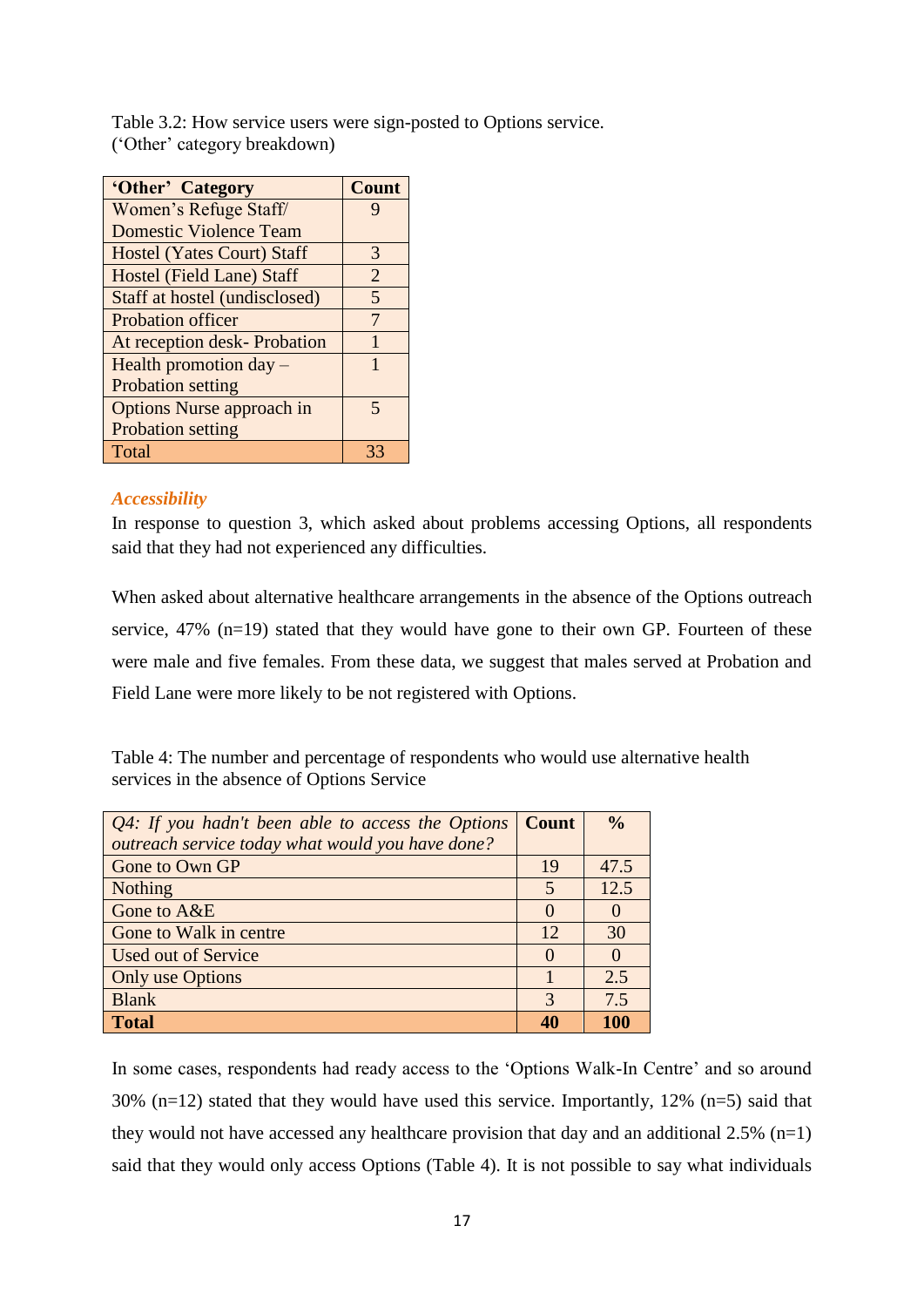Table 3.2: How service users were sign-posted to Options service. ("Other" category breakdown)

| 'Other' Category                  | <b>Count</b>   |
|-----------------------------------|----------------|
| Women's Refuge Staff/             |                |
| <b>Domestic Violence Team</b>     |                |
| <b>Hostel (Yates Court) Staff</b> | 3              |
| Hostel (Field Lane) Staff         | $\overline{2}$ |
| Staff at hostel (undisclosed)     | 5              |
| <b>Probation officer</b>          | 7              |
| At reception desk-Probation       | 1              |
| Health promotion day –            | 1              |
| <b>Probation setting</b>          |                |
| Options Nurse approach in         | 5              |
| Probation setting                 |                |
| Total                             |                |

# *Accessibility*

In response to question 3, which asked about problems accessing Options, all respondents said that they had not experienced any difficulties.

When asked about alternative healthcare arrangements in the absence of the Options outreach service, 47% (n=19) stated that they would have gone to their own GP. Fourteen of these were male and five females. From these data, we suggest that males served at Probation and Field Lane were more likely to be not registered with Options.

Table 4: The number and percentage of respondents who would use alternative health services in the absence of Options Service

| $Q4$ : If you hadn't been able to access the Options | <b>Count</b>   | $\frac{0}{0}$ |
|------------------------------------------------------|----------------|---------------|
| outreach service today what would you have done?     |                |               |
| Gone to Own GP                                       | 19             | 47.5          |
| <b>Nothing</b>                                       | $\overline{5}$ | 12.5          |
| Gone to A&E                                          | $\Omega$       |               |
| Gone to Walk in centre                               | 12             | 30            |
| <b>Used out of Service</b>                           | $\left($       |               |
| Only use Options                                     |                | 2.5           |
| <b>Blank</b>                                         | $\mathcal{R}$  | 7.5           |
| <b>Total</b>                                         | 40             | 100           |

In some cases, respondents had ready access to the 'Options Walk-In Centre' and so around  $30\%$  (n=12) stated that they would have used this service. Importantly, 12% (n=5) said that they would not have accessed any healthcare provision that day and an additional  $2.5\%$  (n=1) said that they would only access Options (Table 4). It is not possible to say what individuals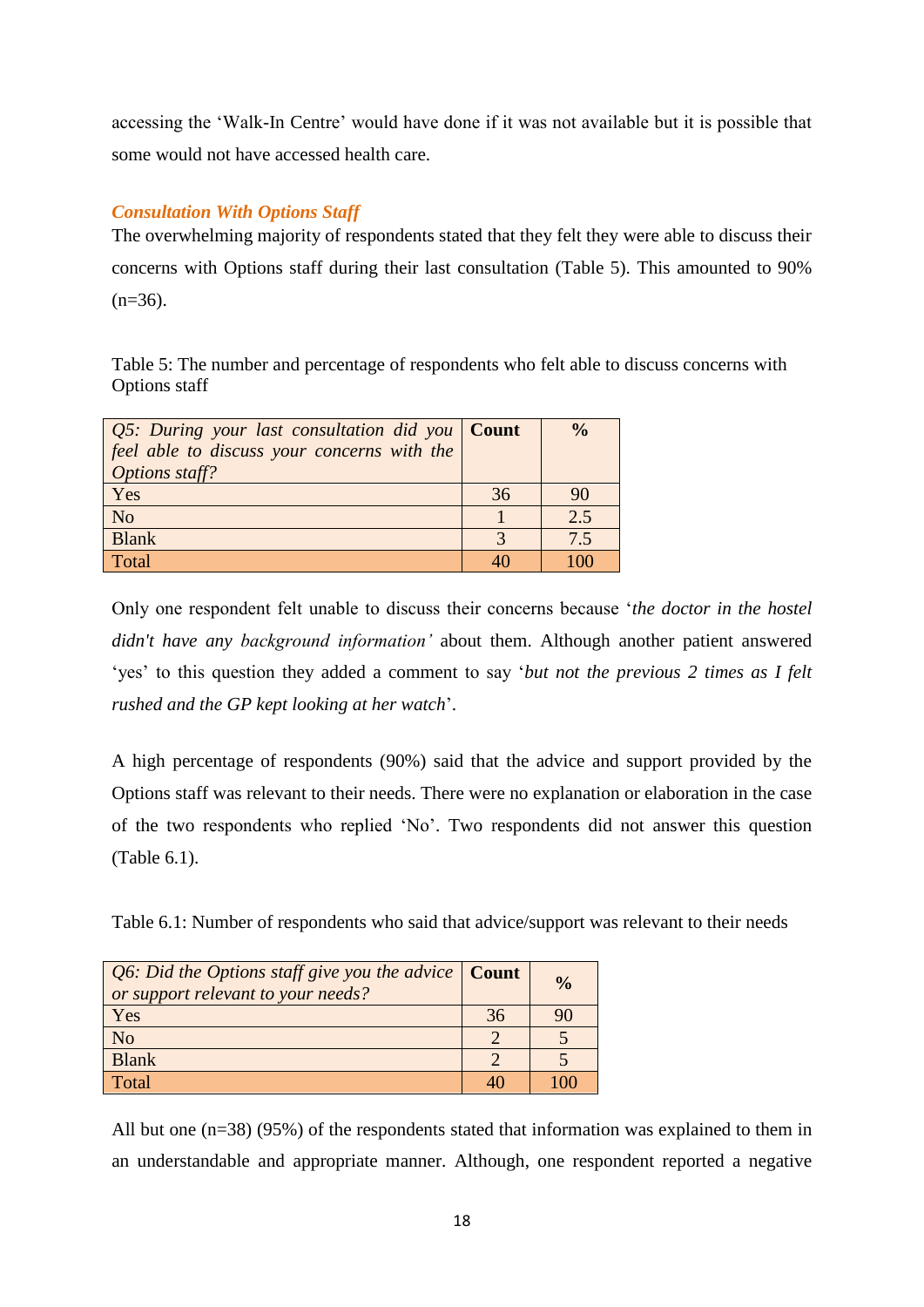accessing the "Walk-In Centre" would have done if it was not available but it is possible that some would not have accessed health care.

# *Consultation With Options Staff*

The overwhelming majority of respondents stated that they felt they were able to discuss their concerns with Options staff during their last consultation (Table 5). This amounted to 90%  $(n=36)$ .

Table 5: The number and percentage of respondents who felt able to discuss concerns with Options staff

| $Q5$ : During your last consultation did you Count |    | $\frac{0}{0}$ |
|----------------------------------------------------|----|---------------|
| feel able to discuss your concerns with the        |    |               |
| Options staff?                                     |    |               |
| Yes                                                | 36 | 90            |
| N <sub>o</sub>                                     |    | 2.5           |
| <b>Blank</b>                                       |    | 7.5           |
| Total                                              |    | 100           |

Only one respondent felt unable to discuss their concerns because "*the doctor in the hostel didn't have any background information"* about them. Although another patient answered "yes" to this question they added a comment to say "*but not the previous 2 times as I felt rushed and the GP kept looking at her watch*".

A high percentage of respondents (90%) said that the advice and support provided by the Options staff was relevant to their needs. There were no explanation or elaboration in the case of the two respondents who replied "No". Two respondents did not answer this question (Table 6.1).

Table 6.1: Number of respondents who said that advice/support was relevant to their needs

| <i>Q6: Did the Options staff give you the advice</i> $\vert$ <b>Count</b><br>or support relevant to your needs? |    | $\frac{0}{0}$ |
|-----------------------------------------------------------------------------------------------------------------|----|---------------|
| Yes                                                                                                             | 36 | 90            |
| N <sub>o</sub>                                                                                                  |    |               |
| <b>Blank</b>                                                                                                    |    |               |
| Total                                                                                                           |    |               |

All but one (n=38) (95%) of the respondents stated that information was explained to them in an understandable and appropriate manner. Although, one respondent reported a negative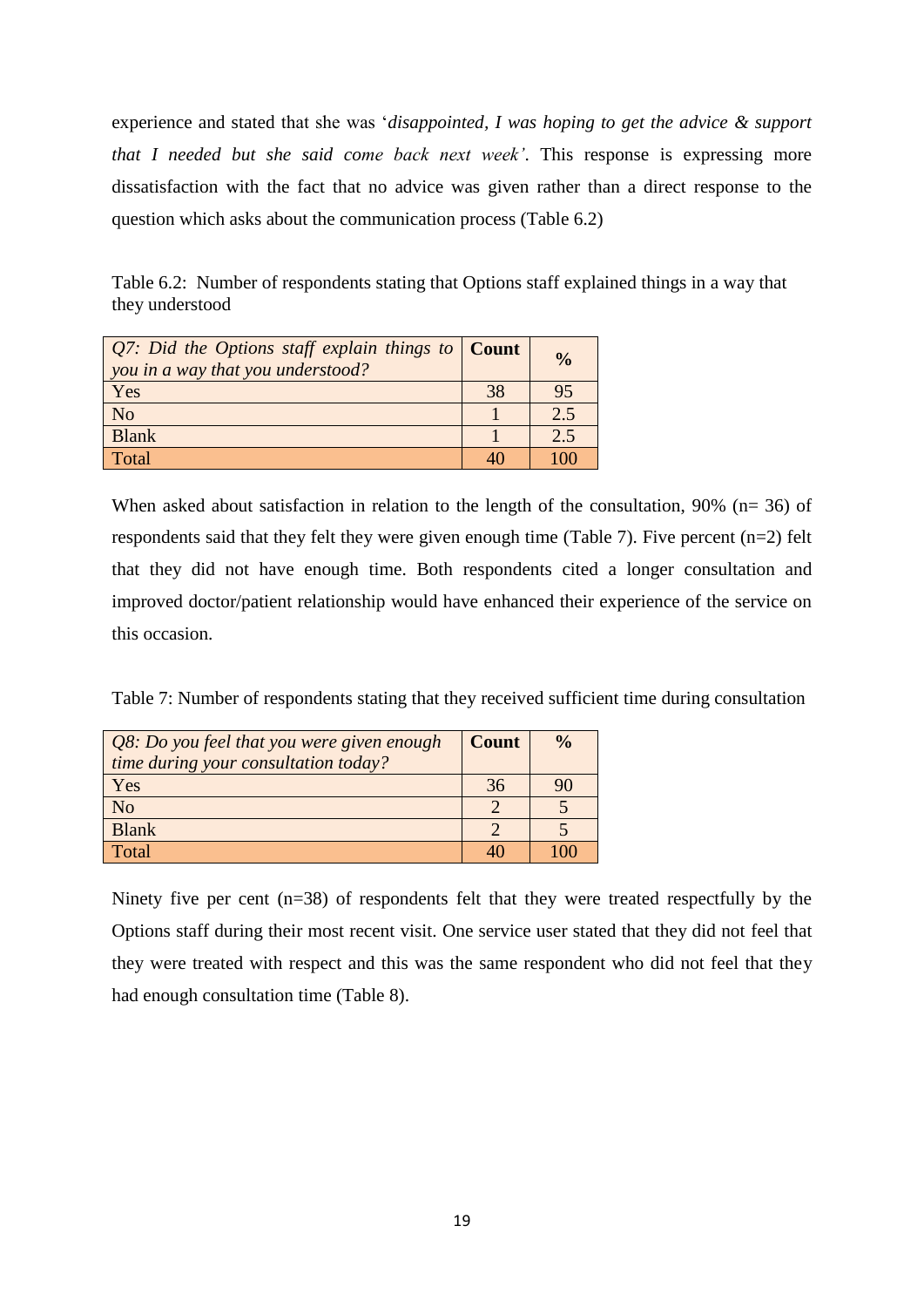experience and stated that she was "*disappointed, I was hoping to get the advice & support that I needed but she said come back next week"*. This response is expressing more dissatisfaction with the fact that no advice was given rather than a direct response to the question which asks about the communication process (Table 6.2)

Table 6.2: Number of respondents stating that Options staff explained things in a way that they understood

| Q7: Did the Options staff explain things to $\vert$ Count<br>you in a way that you understood? |    | $\frac{0}{0}$ |
|------------------------------------------------------------------------------------------------|----|---------------|
| Yes                                                                                            | 38 | 95            |
| N <sub>o</sub>                                                                                 |    | 2.5           |
| <b>Blank</b>                                                                                   |    | 2.5           |
| Total                                                                                          |    | ۱M            |

When asked about satisfaction in relation to the length of the consultation, 90% (n= 36) of respondents said that they felt they were given enough time (Table 7). Five percent (n=2) felt that they did not have enough time. Both respondents cited a longer consultation and improved doctor/patient relationship would have enhanced their experience of the service on this occasion.

Table 7: Number of respondents stating that they received sufficient time during consultation

| Q8: Do you feel that you were given enough<br>time during your consultation today? | <b>Count</b> | $\frac{0}{0}$ |
|------------------------------------------------------------------------------------|--------------|---------------|
| Yes                                                                                | 36           |               |
| N <sub>o</sub>                                                                     |              |               |
| <b>Blank</b>                                                                       |              |               |
| Total                                                                              |              |               |

Ninety five per cent (n=38) of respondents felt that they were treated respectfully by the Options staff during their most recent visit. One service user stated that they did not feel that they were treated with respect and this was the same respondent who did not feel that they had enough consultation time (Table 8).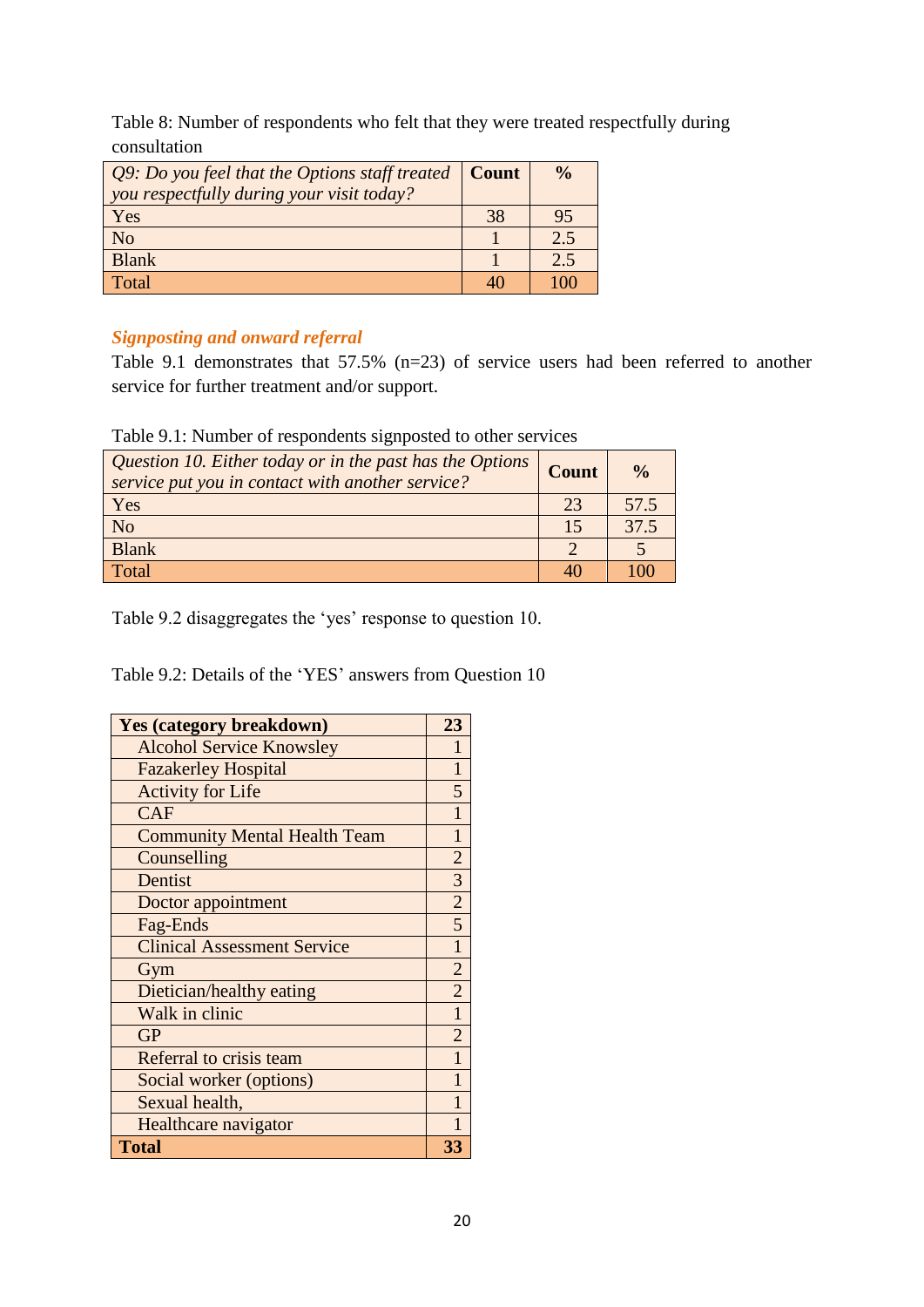Table 8: Number of respondents who felt that they were treated respectfully during consultation

| <i>Q9: Do you feel that the Options staff treated</i> $\vert$ <b>Count</b><br>you respectfully during your visit today? |    | $\frac{0}{0}$ |
|-------------------------------------------------------------------------------------------------------------------------|----|---------------|
| Yes                                                                                                                     | 38 | 95            |
| N <sub>o</sub>                                                                                                          |    | 2.5           |
| <b>Blank</b>                                                                                                            |    | 2.5           |
| Total                                                                                                                   |    |               |

# *Signposting and onward referral*

Table 9.1 demonstrates that 57.5% (n=23) of service users had been referred to another service for further treatment and/or support.

| Question 10. Either today or in the past has the Options<br>service put you in contact with another service? | <b>Count</b> | $\frac{0}{0}$ |
|--------------------------------------------------------------------------------------------------------------|--------------|---------------|
| Yes                                                                                                          | 23           | 57.5          |
| N <sub>o</sub>                                                                                               |              | 37.5          |
| <b>Blank</b>                                                                                                 |              |               |
| Total                                                                                                        |              |               |

Table 9.1: Number of respondents signposted to other services

Table 9.2 disaggregates the 'yes' response to question 10.

Table 9.2: Details of the 'YES' answers from Question 10

| <b>Yes (category breakdown)</b>     | 23             |
|-------------------------------------|----------------|
| <b>Alcohol Service Knowsley</b>     | 1              |
| <b>Fazakerley Hospital</b>          | 1              |
| <b>Activity for Life</b>            | 5              |
| <b>CAF</b>                          | 1              |
| <b>Community Mental Health Team</b> | $\mathbf{1}$   |
| Counselling                         | $\overline{2}$ |
| Dentist                             | 3              |
| Doctor appointment                  | $\overline{2}$ |
| Fag-Ends                            | $\overline{5}$ |
| <b>Clinical Assessment Service</b>  | $\mathbf{1}$   |
| Gym                                 | $\overline{c}$ |
| Dietician/healthy eating            | $\overline{2}$ |
| Walk in clinic                      | $\mathbf{1}$   |
| <b>GP</b>                           | $\overline{2}$ |
| Referral to crisis team             | 1              |
| Social worker (options)             | 1              |
| Sexual health,                      | 1              |
| Healthcare navigator                | 1              |
| <b>Total</b>                        | 33             |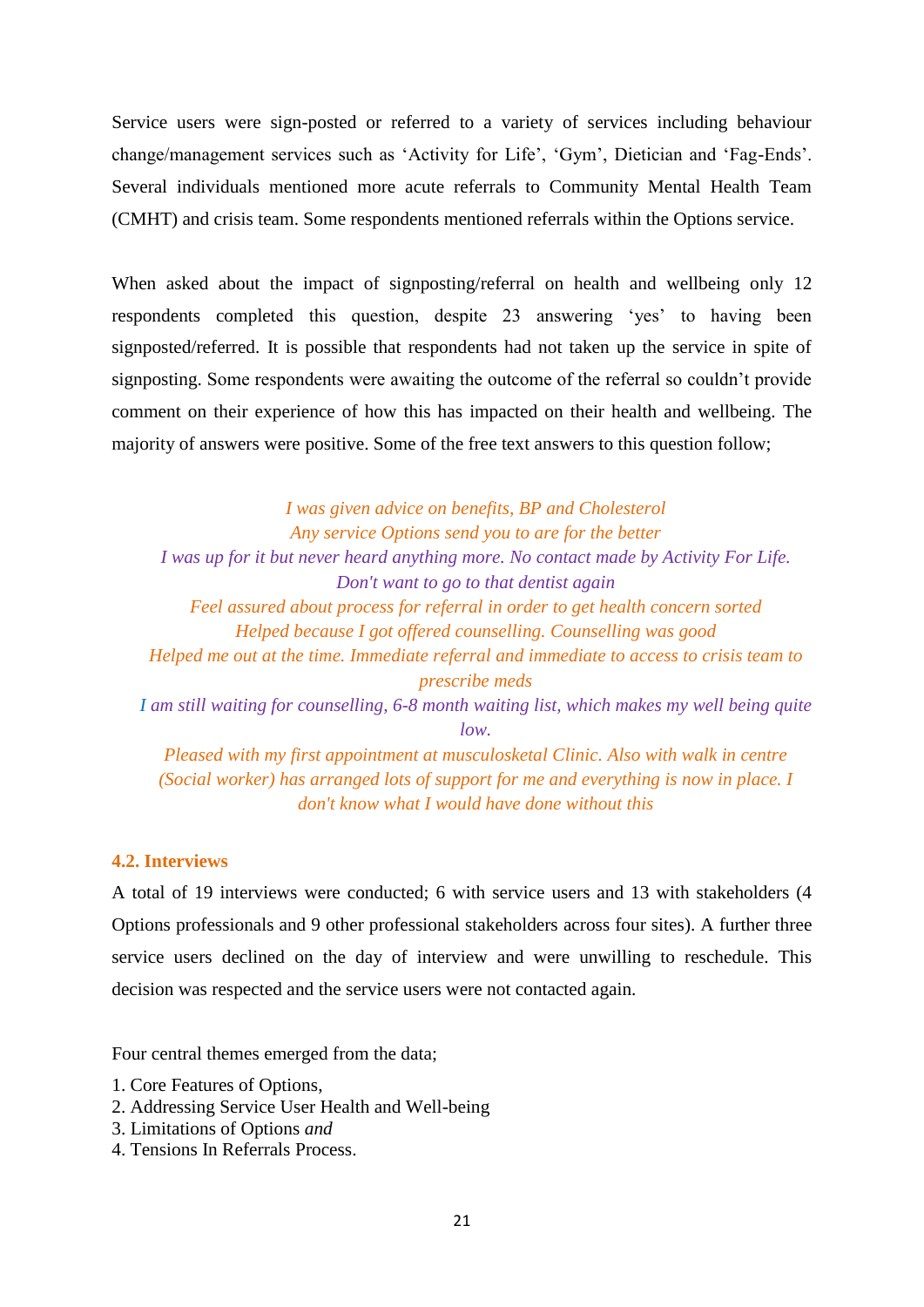Service users were sign-posted or referred to a variety of services including behaviour change/management services such as "Activity for Life", "Gym", Dietician and "Fag-Ends". Several individuals mentioned more acute referrals to Community Mental Health Team (CMHT) and crisis team. Some respondents mentioned referrals within the Options service.

When asked about the impact of signposting/referral on health and wellbeing only 12 respondents completed this question, despite 23 answering "yes" to having been signposted/referred. It is possible that respondents had not taken up the service in spite of signposting. Some respondents were awaiting the outcome of the referral so couldn"t provide comment on their experience of how this has impacted on their health and wellbeing. The majority of answers were positive. Some of the free text answers to this question follow;

*I was given advice on benefits, BP and Cholesterol Any service Options send you to are for the better I was up for it but never heard anything more. No contact made by Activity For Life. Don't want to go to that dentist again Feel assured about process for referral in order to get health concern sorted Helped because I got offered counselling. Counselling was good Helped me out at the time. Immediate referral and immediate to access to crisis team to prescribe meds I am still waiting for counselling, 6-8 month waiting list, which makes my well being quite low. Pleased with my first appointment at musculosketal Clinic. Also with walk in centre (Social worker) has arranged lots of support for me and everything is now in place. I don't know what I would have done without this*

## **4.2. Interviews**

A total of 19 interviews were conducted; 6 with service users and 13 with stakeholders (4 Options professionals and 9 other professional stakeholders across four sites). A further three service users declined on the day of interview and were unwilling to reschedule. This decision was respected and the service users were not contacted again.

Four central themes emerged from the data;

- 1. Core Features of Options,
- 2. Addressing Service User Health and Well-being
- 3. Limitations of Options *and*
- 4. Tensions In Referrals Process.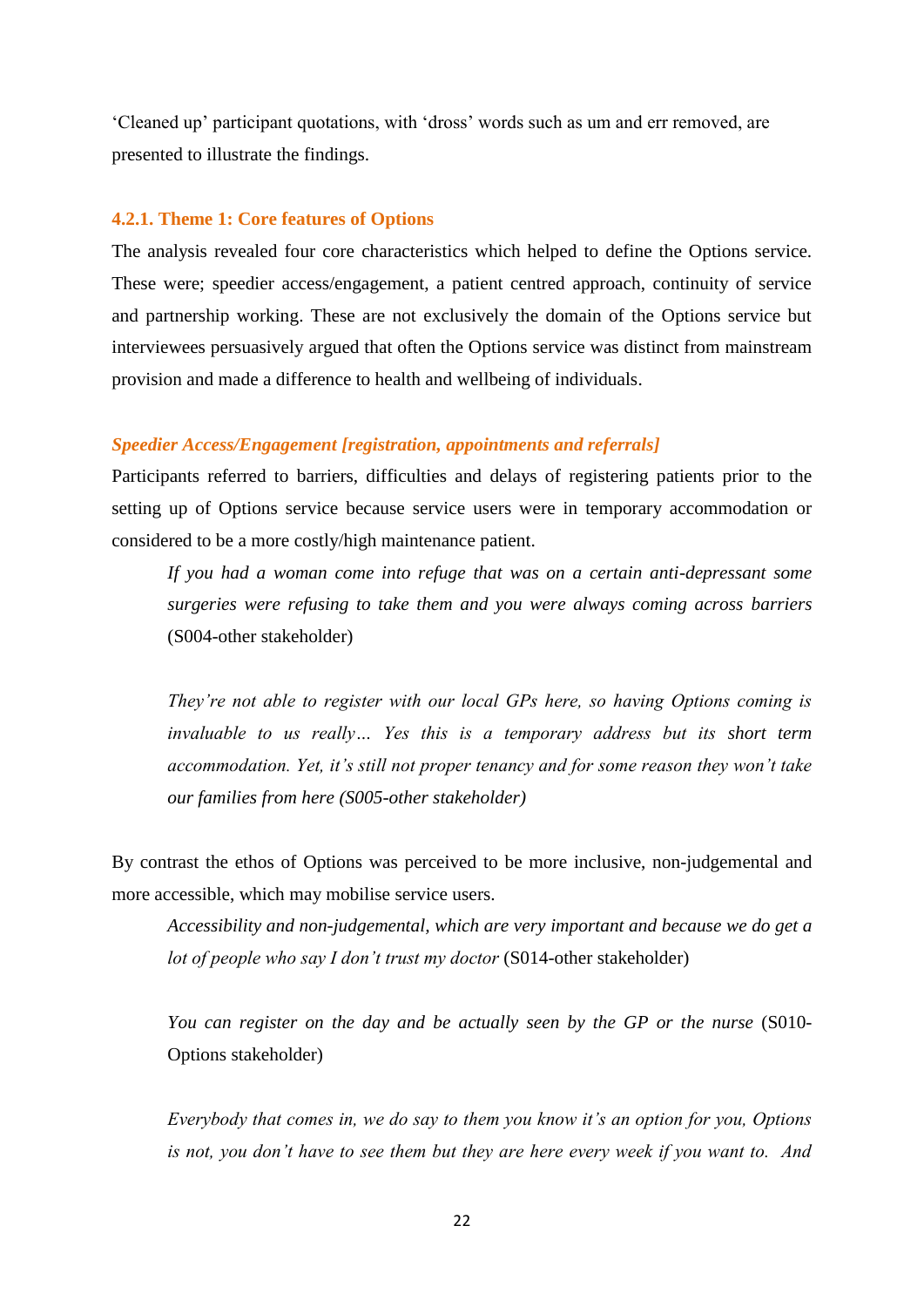"Cleaned up" participant quotations, with "dross" words such as um and err removed, are presented to illustrate the findings.

### **4.2.1. Theme 1: Core features of Options**

The analysis revealed four core characteristics which helped to define the Options service. These were; speedier access/engagement, a patient centred approach, continuity of service and partnership working. These are not exclusively the domain of the Options service but interviewees persuasively argued that often the Options service was distinct from mainstream provision and made a difference to health and wellbeing of individuals.

### *Speedier Access/Engagement [registration, appointments and referrals]*

Participants referred to barriers, difficulties and delays of registering patients prior to the setting up of Options service because service users were in temporary accommodation or considered to be a more costly/high maintenance patient.

*If you had a woman come into refuge that was on a certain anti-depressant some surgeries were refusing to take them and you were always coming across barriers* (S004-other stakeholder)

*They"re not able to register with our local GPs here, so having Options coming is invaluable to us really… Yes this is a temporary address but its short term accommodation. Yet, it"s still not proper tenancy and for some reason they won"t take our families from here (S005-other stakeholder)*

By contrast the ethos of Options was perceived to be more inclusive, non-judgemental and more accessible, which may mobilise service users.

*Accessibility and non-judgemental, which are very important and because we do get a lot of people who say I don"t trust my doctor* (S014-other stakeholder)

*You can register on the day and be actually seen by the GP or the nurse* (S010- Options stakeholder)

*Everybody that comes in, we do say to them you know it"s an option for you, Options is not, you don"t have to see them but they are here every week if you want to. And*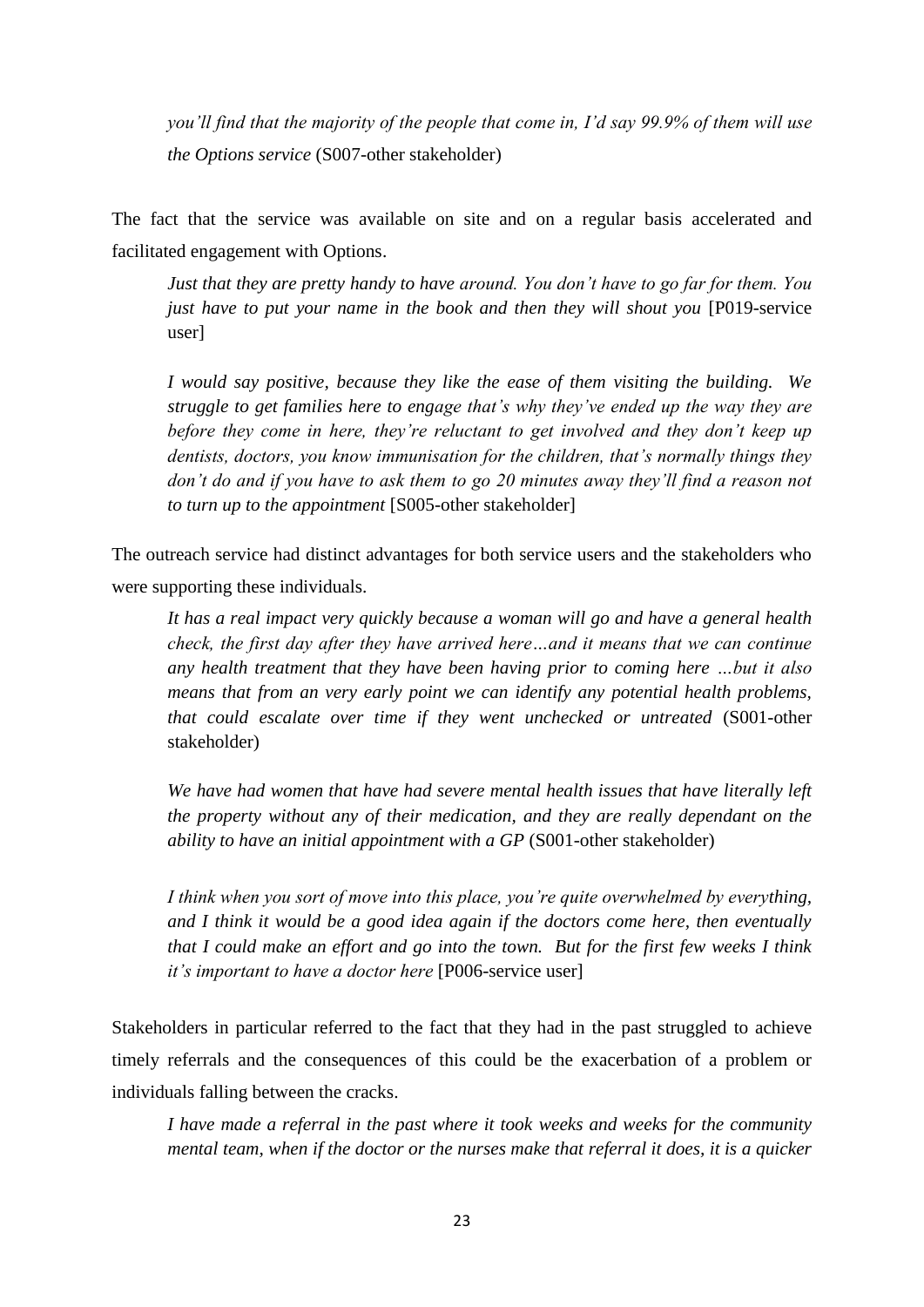*you"ll find that the majority of the people that come in, I"d say 99.9% of them will use the Options service* (S007-other stakeholder)

The fact that the service was available on site and on a regular basis accelerated and facilitated engagement with Options.

*Just that they are pretty handy to have around. You don"t have to go far for them. You just have to put your name in the book and then they will shout you* [P019-service user]

*I would say positive, because they like the ease of them visiting the building. We struggle to get families here to engage that"s why they"ve ended up the way they are before they come in here, they"re reluctant to get involved and they don"t keep up dentists, doctors, you know immunisation for the children, that"s normally things they don"t do and if you have to ask them to go 20 minutes away they"ll find a reason not to turn up to the appointment* [S005-other stakeholder]

The outreach service had distinct advantages for both service users and the stakeholders who were supporting these individuals.

*It has a real impact very quickly because a woman will go and have a general health check, the first day after they have arrived here…and it means that we can continue any health treatment that they have been having prior to coming here …but it also means that from an very early point we can identify any potential health problems, that could escalate over time if they went unchecked or untreated* (S001-other stakeholder)

We have had women that have had severe mental health issues that have literally left *the property without any of their medication, and they are really dependant on the ability to have an initial appointment with a GP (S001-other stakeholder)* 

*I think when you sort of move into this place, you"re quite overwhelmed by everything, and I think it would be a good idea again if the doctors come here, then eventually that I could make an effort and go into the town. But for the first few weeks I think it"s important to have a doctor here* [P006-service user]

Stakeholders in particular referred to the fact that they had in the past struggled to achieve timely referrals and the consequences of this could be the exacerbation of a problem or individuals falling between the cracks.

*I have made a referral in the past where it took weeks and weeks for the community mental team, when if the doctor or the nurses make that referral it does, it is a quicker*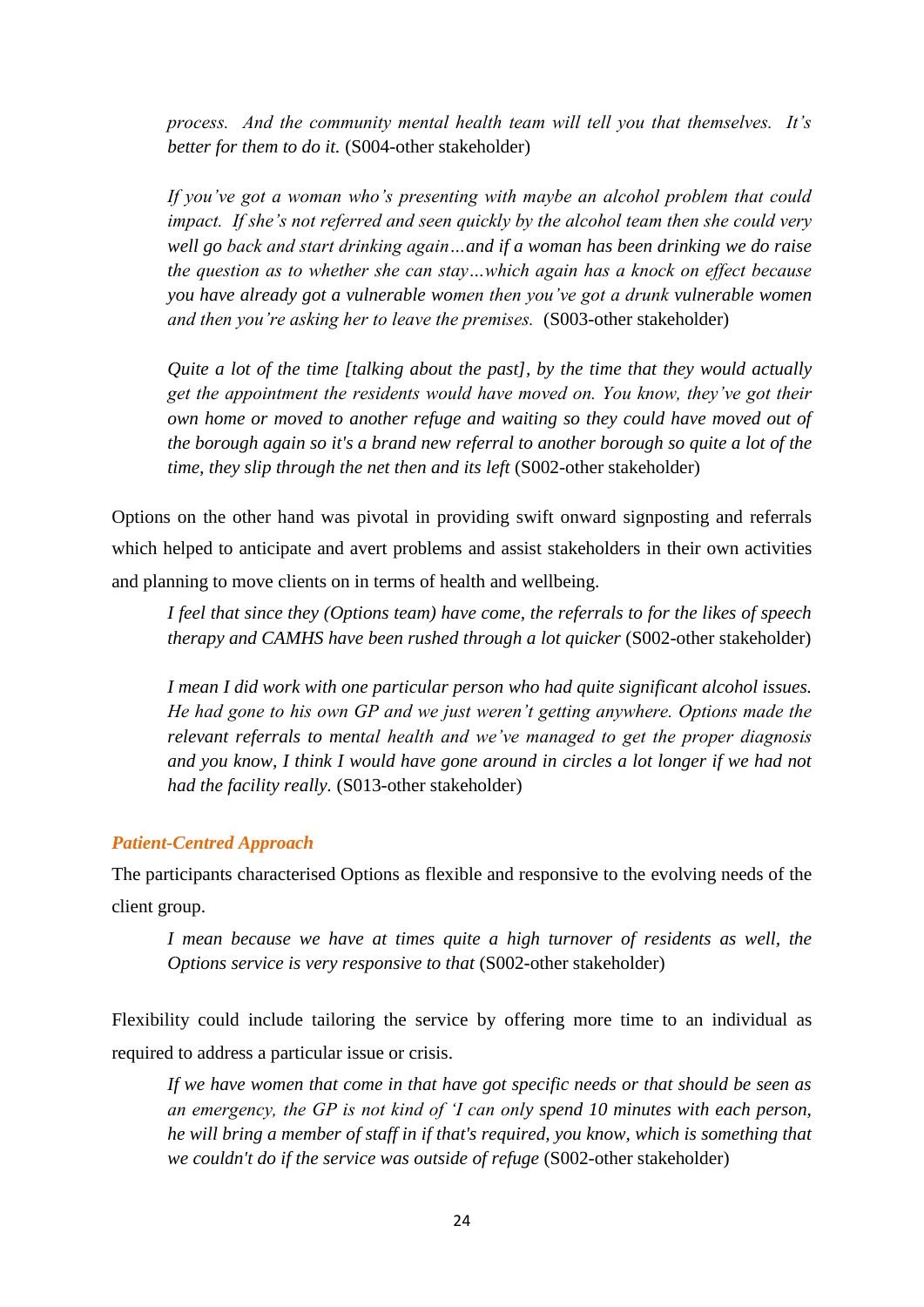*process. And the community mental health team will tell you that themselves. It"s better for them to do it.* (S004-other stakeholder)

*If you"ve got a woman who"s presenting with maybe an alcohol problem that could impact. If she's not referred and seen quickly by the alcohol team then she could very well go back and start drinking again…and if a woman has been drinking we do raise the question as to whether she can stay…which again has a knock on effect because you have already got a vulnerable women then you"ve got a drunk vulnerable women and then you"re asking her to leave the premises.* (S003-other stakeholder)

*Quite a lot of the time [talking about the past], by the time that they would actually get the appointment the residents would have moved on. You know, they"ve got their own home or moved to another refuge and waiting so they could have moved out of the borough again so it's a brand new referral to another borough so quite a lot of the time, they slip through the net then and its left* (S002-other stakeholder)

Options on the other hand was pivotal in providing swift onward signposting and referrals which helped to anticipate and avert problems and assist stakeholders in their own activities and planning to move clients on in terms of health and wellbeing.

*I feel that since they (Options team) have come, the referrals to for the likes of speech therapy and CAMHS have been rushed through a lot quicker* (S002-other stakeholder)

*I mean I did work with one particular person who had quite significant alcohol issues. He had gone to his own GP and we just weren"t getting anywhere. Options made the relevant referrals to mental health and we"ve managed to get the proper diagnosis and you know, I think I would have gone around in circles a lot longer if we had not had the facility really.* (S013-other stakeholder)

## *Patient-Centred Approach*

The participants characterised Options as flexible and responsive to the evolving needs of the client group.

*I* mean because we have at times quite a high turnover of residents as well, the *Options service is very responsive to that* (S002-other stakeholder)

Flexibility could include tailoring the service by offering more time to an individual as required to address a particular issue or crisis.

*If we have women that come in that have got specific needs or that should be seen as an emergency, the GP is not kind of "I can only spend 10 minutes with each person, he will bring a member of staff in if that's required, you know, which is something that we couldn't do if the service was outside of refuge* (S002-other stakeholder)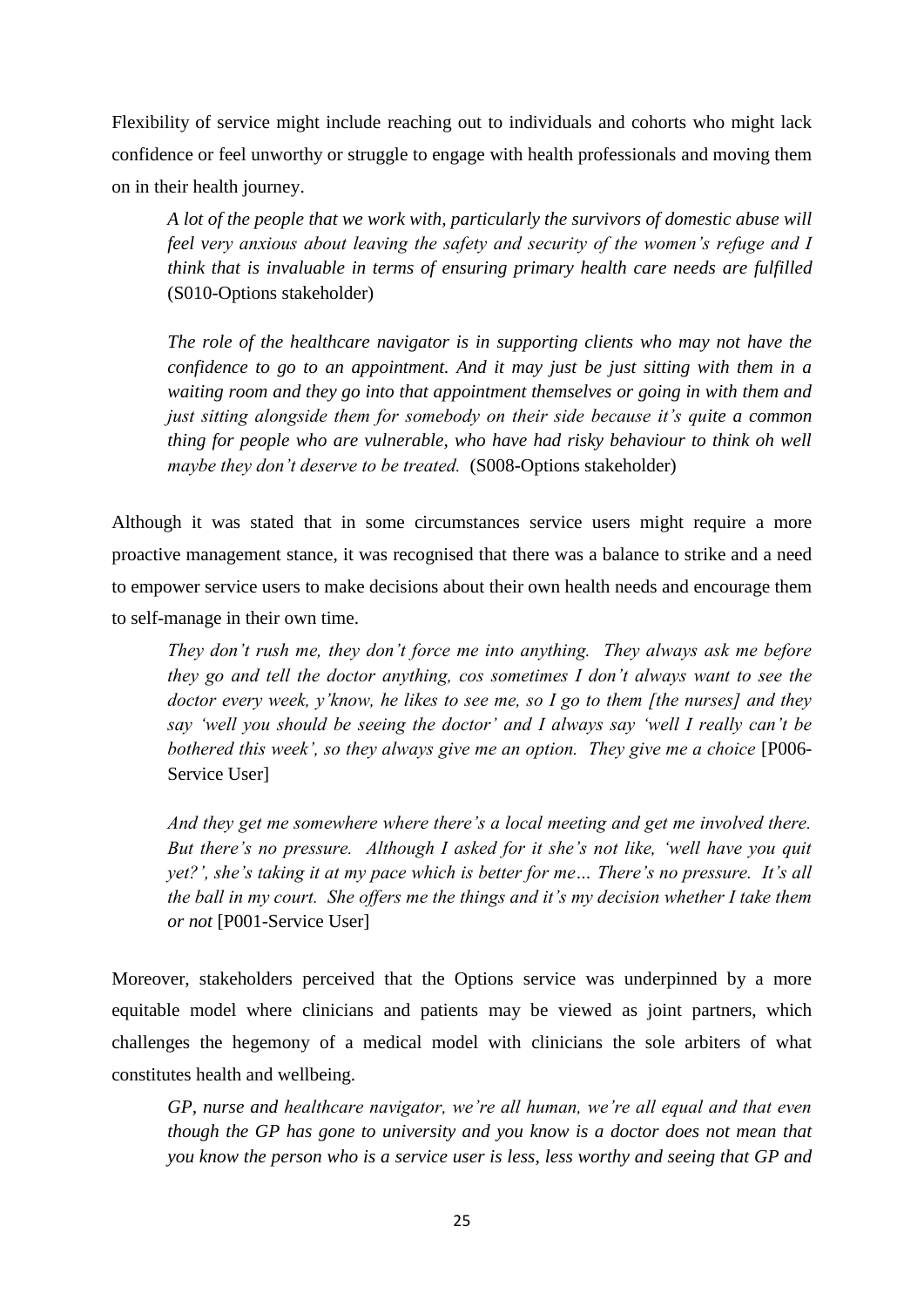Flexibility of service might include reaching out to individuals and cohorts who might lack confidence or feel unworthy or struggle to engage with health professionals and moving them on in their health journey.

*A lot of the people that we work with, particularly the survivors of domestic abuse will feel very anxious about leaving the safety and security of the women"s refuge and I think that is invaluable in terms of ensuring primary health care needs are fulfilled* (S010-Options stakeholder)

*The role of the healthcare navigator is in supporting clients who may not have the confidence to go to an appointment. And it may just be just sitting with them in a waiting room and they go into that appointment themselves or going in with them and just sitting alongside them for somebody on their side because it"s quite a common thing for people who are vulnerable, who have had risky behaviour to think oh well maybe they don't deserve to be treated.* (S008-Options stakeholder)

Although it was stated that in some circumstances service users might require a more proactive management stance, it was recognised that there was a balance to strike and a need to empower service users to make decisions about their own health needs and encourage them to self-manage in their own time.

*They don"t rush me, they don"t force me into anything. They always ask me before they go and tell the doctor anything, cos sometimes I don"t always want to see the doctor every week, y"know, he likes to see me, so I go to them [the nurses] and they say "well you should be seeing the doctor" and I always say "well I really can"t be bothered this week', so they always give me an option. They give me a choice* [P006-Service User]

*And they get me somewhere where there"s a local meeting and get me involved there. But there"s no pressure. Although I asked for it she"s not like, "well have you quit yet?', she's taking it at my pace which is better for me... There's no pressure. It's all the ball in my court. She offers me the things and it"s my decision whether I take them or not* [P001-Service User]

Moreover, stakeholders perceived that the Options service was underpinned by a more equitable model where clinicians and patients may be viewed as joint partners, which challenges the hegemony of a medical model with clinicians the sole arbiters of what constitutes health and wellbeing.

*GP, nurse and healthcare navigator, we"re all human, we"re all equal and that even though the GP has gone to university and you know is a doctor does not mean that you know the person who is a service user is less, less worthy and seeing that GP and*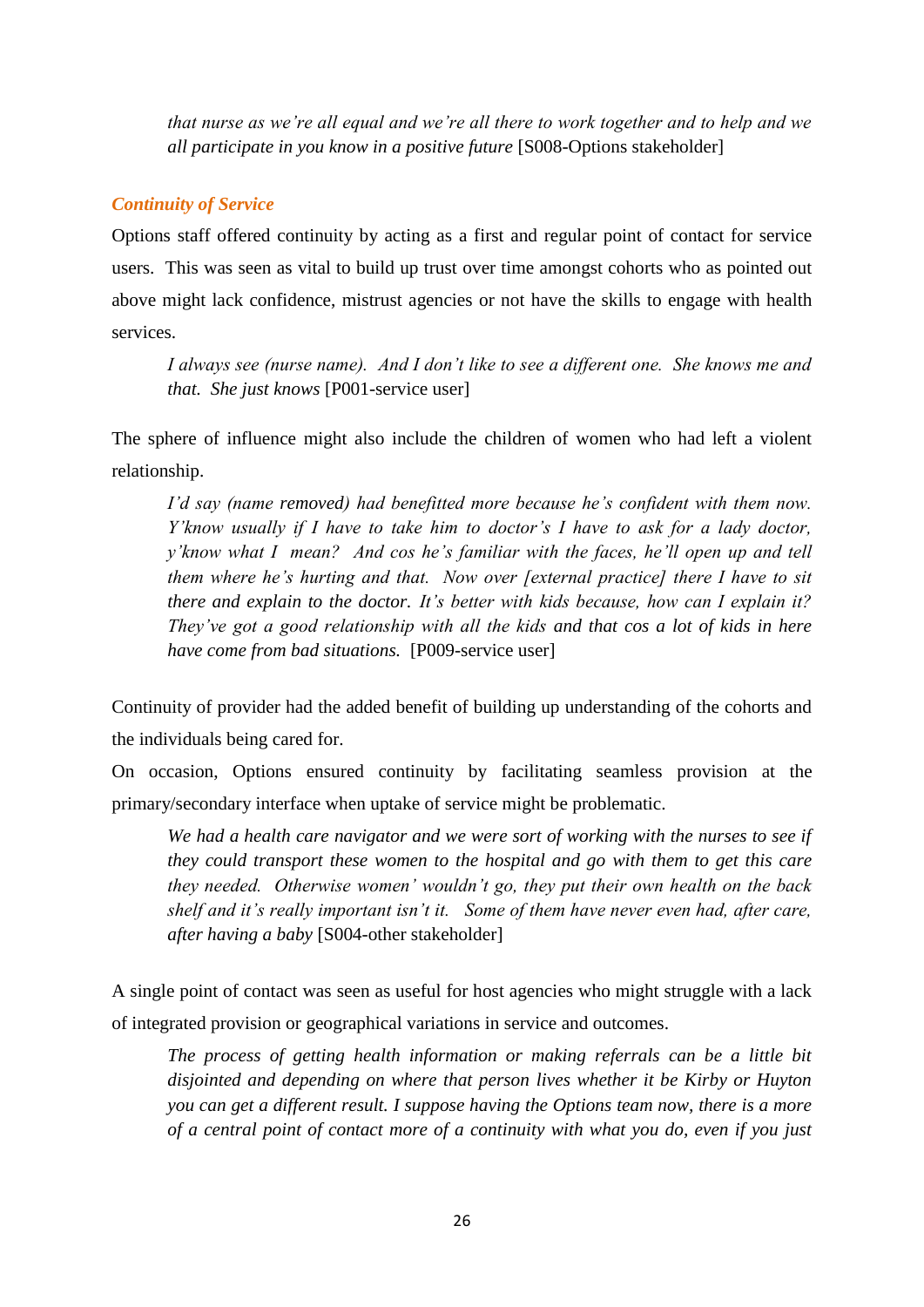*that nurse as we"re all equal and we"re all there to work together and to help and we all participate in you know in a positive future* [S008-Options stakeholder]

# *Continuity of Service*

Options staff offered continuity by acting as a first and regular point of contact for service users. This was seen as vital to build up trust over time amongst cohorts who as pointed out above might lack confidence, mistrust agencies or not have the skills to engage with health services.

*I always see (nurse name). And I don"t like to see a different one. She knows me and that. She just knows* [P001-service user]

The sphere of influence might also include the children of women who had left a violent relationship.

*I"d say (name removed) had benefitted more because he"s confident with them now. Y"know usually if I have to take him to doctor"s I have to ask for a lady doctor, y"know what I mean? And cos he"s familiar with the faces, he"ll open up and tell them where he"s hurting and that. Now over [external practice] there I have to sit there and explain to the doctor. It"s better with kids because, how can I explain it? They"ve got a good relationship with all the kids and that cos a lot of kids in here have come from bad situations.* [P009-service user]

Continuity of provider had the added benefit of building up understanding of the cohorts and the individuals being cared for.

On occasion, Options ensured continuity by facilitating seamless provision at the primary/secondary interface when uptake of service might be problematic.

We had a health care navigator and we were sort of working with the nurses to see if *they could transport these women to the hospital and go with them to get this care they needed. Otherwise women" wouldn"t go, they put their own health on the back shelf and it"s really important isn"t it. Some of them have never even had, after care, after having a baby* [S004-other stakeholder]

A single point of contact was seen as useful for host agencies who might struggle with a lack of integrated provision or geographical variations in service and outcomes.

*The process of getting health information or making referrals can be a little bit disjointed and depending on where that person lives whether it be Kirby or Huyton you can get a different result. I suppose having the Options team now, there is a more of a central point of contact more of a continuity with what you do, even if you just*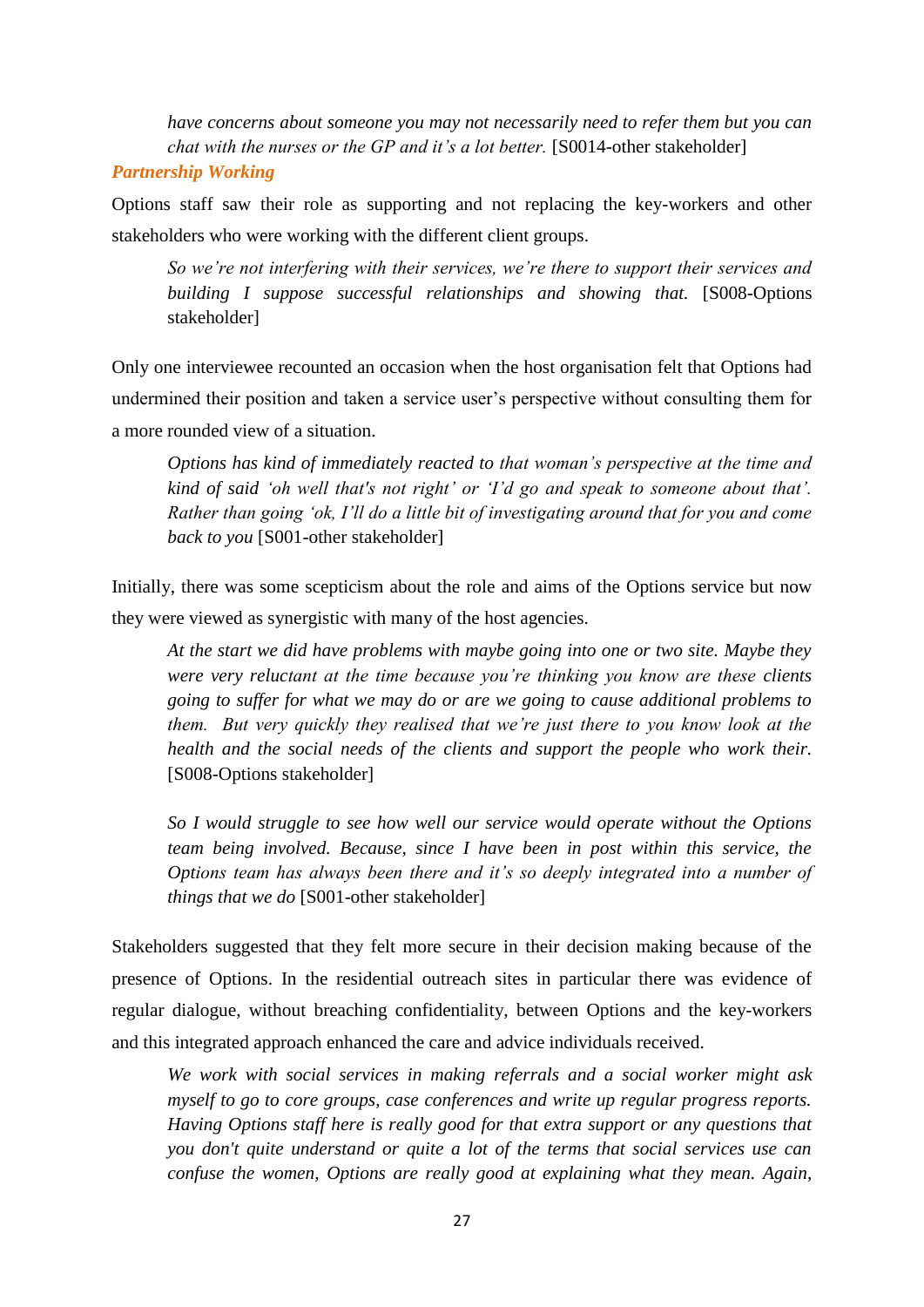*have concerns about someone you may not necessarily need to refer them but you can chat with the nurses or the GP and it's a lot better.* [S0014-other stakeholder]

## *Partnership Working*

Options staff saw their role as supporting and not replacing the key-workers and other stakeholders who were working with the different client groups.

*So we"re not interfering with their services, we"re there to support their services and building I suppose successful relationships and showing that.* [S008-Options stakeholder]

Only one interviewee recounted an occasion when the host organisation felt that Options had undermined their position and taken a service user"s perspective without consulting them for a more rounded view of a situation.

*Options has kind of immediately reacted to that woman"s perspective at the time and kind of said 'oh well that's not right' or 'I'd go and speak to someone about that'. Rather than going "ok, I"ll do a little bit of investigating around that for you and come back to you* [S001-other stakeholder]

Initially, there was some scepticism about the role and aims of the Options service but now they were viewed as synergistic with many of the host agencies.

*At the start we did have problems with maybe going into one or two site. Maybe they were very reluctant at the time because you"re thinking you know are these clients going to suffer for what we may do or are we going to cause additional problems to them. But very quickly they realised that we"re just there to you know look at the health and the social needs of the clients and support the people who work their.*  [S008-Options stakeholder]

*So I would struggle to see how well our service would operate without the Options team being involved. Because, since I have been in post within this service, the Options team has always been there and it"s so deeply integrated into a number of things that we do* [S001-other stakeholder]

Stakeholders suggested that they felt more secure in their decision making because of the presence of Options. In the residential outreach sites in particular there was evidence of regular dialogue, without breaching confidentiality, between Options and the key-workers and this integrated approach enhanced the care and advice individuals received.

*We work with social services in making referrals and a social worker might ask myself to go to core groups, case conferences and write up regular progress reports. Having Options staff here is really good for that extra support or any questions that you don't quite understand or quite a lot of the terms that social services use can confuse the women, Options are really good at explaining what they mean. Again,*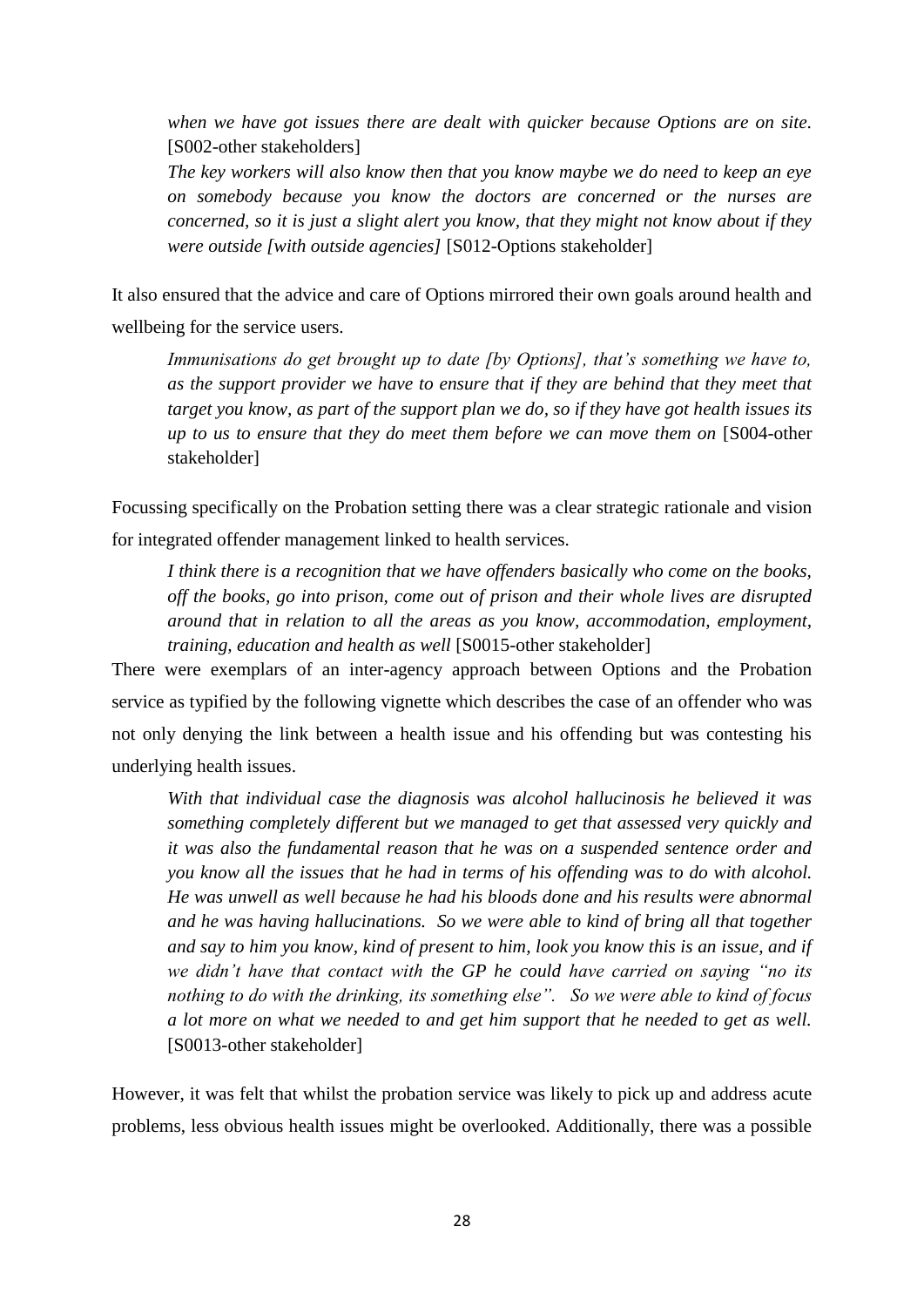*when we have got issues there are dealt with quicker because Options are on site.* [S002-other stakeholders]

*The key workers will also know then that you know maybe we do need to keep an eye on somebody because you know the doctors are concerned or the nurses are concerned, so it is just a slight alert you know, that they might not know about if they were outside [with outside agencies]* [S012-Options stakeholder]

It also ensured that the advice and care of Options mirrored their own goals around health and wellbeing for the service users.

*Immunisations do get brought up to date [by Options], that's something we have to, as the support provider we have to ensure that if they are behind that they meet that target you know, as part of the support plan we do, so if they have got health issues its up to us to ensure that they do meet them before we can move them on* [S004-other stakeholder]

Focussing specifically on the Probation setting there was a clear strategic rationale and vision for integrated offender management linked to health services.

*I think there is a recognition that we have offenders basically who come on the books, off the books, go into prison, come out of prison and their whole lives are disrupted around that in relation to all the areas as you know, accommodation, employment, training, education and health as well* [S0015-other stakeholder]

There were exemplars of an inter-agency approach between Options and the Probation service as typified by the following vignette which describes the case of an offender who was not only denying the link between a health issue and his offending but was contesting his underlying health issues.

*With that individual case the diagnosis was alcohol hallucinosis he believed it was something completely different but we managed to get that assessed very quickly and it was also the fundamental reason that he was on a suspended sentence order and you know all the issues that he had in terms of his offending was to do with alcohol. He was unwell as well because he had his bloods done and his results were abnormal and he was having hallucinations. So we were able to kind of bring all that together and say to him you know, kind of present to him, look you know this is an issue, and if we didn"t have that contact with the GP he could have carried on saying "no its nothing to do with the drinking, its something else". So we were able to kind of focus a lot more on what we needed to and get him support that he needed to get as well.* [S0013-other stakeholder]

However, it was felt that whilst the probation service was likely to pick up and address acute problems, less obvious health issues might be overlooked. Additionally, there was a possible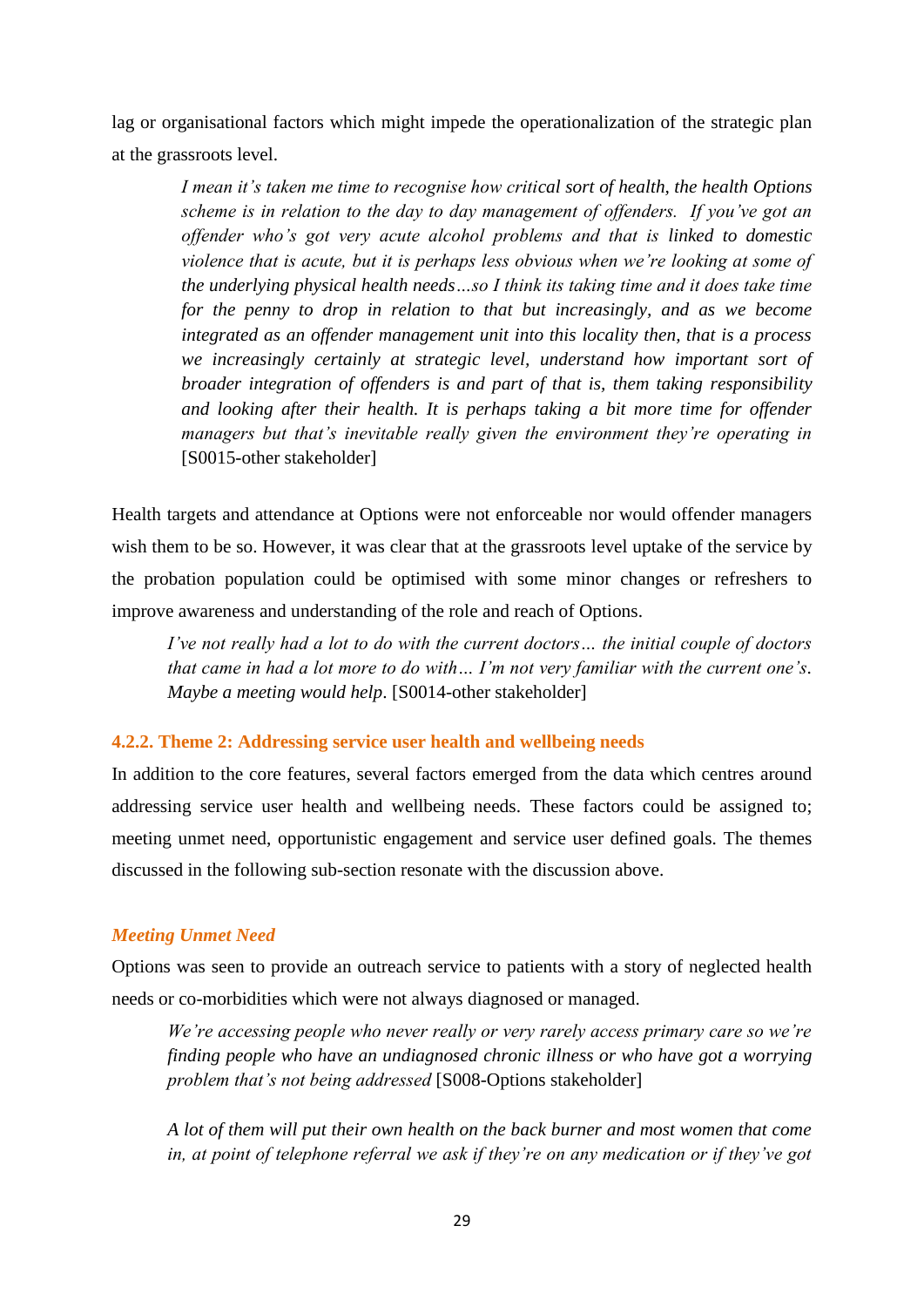lag or organisational factors which might impede the operationalization of the strategic plan at the grassroots level.

*I mean it"s taken me time to recognise how critical sort of health, the health Options scheme is in relation to the day to day management of offenders. If you"ve got an offender who"s got very acute alcohol problems and that is linked to domestic violence that is acute, but it is perhaps less obvious when we"re looking at some of the underlying physical health needs…so I think its taking time and it does take time for the penny to drop in relation to that but increasingly, and as we become integrated as an offender management unit into this locality then, that is a process we increasingly certainly at strategic level, understand how important sort of broader integration of offenders is and part of that is, them taking responsibility*  and looking after their health. It is perhaps taking a bit more time for offender *managers but that"s inevitable really given the environment they"re operating in* [S0015-other stakeholder]

Health targets and attendance at Options were not enforceable nor would offender managers wish them to be so. However, it was clear that at the grassroots level uptake of the service by the probation population could be optimised with some minor changes or refreshers to improve awareness and understanding of the role and reach of Options.

*I"ve not really had a lot to do with the current doctors… the initial couple of doctors that came in had a lot more to do with… I"m not very familiar with the current one"s. Maybe a meeting would help*. [S0014-other stakeholder]

# **4.2.2. Theme 2: Addressing service user health and wellbeing needs**

In addition to the core features, several factors emerged from the data which centres around addressing service user health and wellbeing needs. These factors could be assigned to; meeting unmet need, opportunistic engagement and service user defined goals. The themes discussed in the following sub-section resonate with the discussion above.

### *Meeting Unmet Need*

Options was seen to provide an outreach service to patients with a story of neglected health needs or co-morbidities which were not always diagnosed or managed.

*We"re accessing people who never really or very rarely access primary care so we"re finding people who have an undiagnosed chronic illness or who have got a worrying problem that"s not being addressed* [S008-Options stakeholder]

*A lot of them will put their own health on the back burner and most women that come in, at point of telephone referral we ask if they"re on any medication or if they"ve got*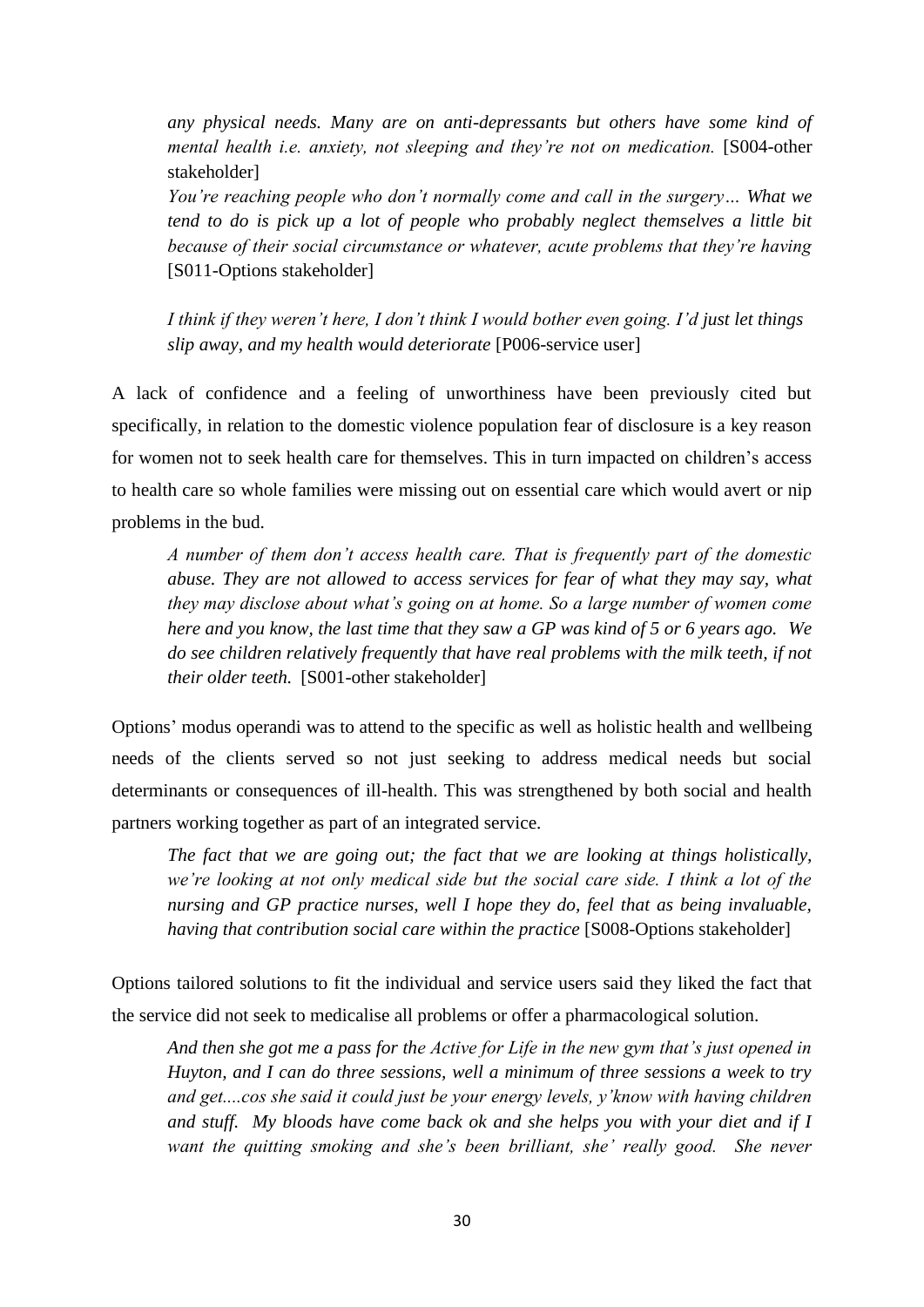*any physical needs. Many are on anti-depressants but others have some kind of mental health i.e. anxiety, not sleeping and they're not on medication.* [S004-other stakeholder]

*You"re reaching people who don"t normally come and call in the surgery… What we tend to do is pick up a lot of people who probably neglect themselves a little bit because of their social circumstance or whatever, acute problems that they"re having* [S011-Options stakeholder]

*I think if they weren"t here, I don"t think I would bother even going. I"d just let things slip away, and my health would deteriorate* [P006-service user]

A lack of confidence and a feeling of unworthiness have been previously cited but specifically, in relation to the domestic violence population fear of disclosure is a key reason for women not to seek health care for themselves. This in turn impacted on children"s access to health care so whole families were missing out on essential care which would avert or nip problems in the bud.

*A number of them don"t access health care. That is frequently part of the domestic abuse. They are not allowed to access services for fear of what they may say, what they may disclose about what"s going on at home. So a large number of women come here and you know, the last time that they saw a GP was kind of 5 or 6 years ago. We do see children relatively frequently that have real problems with the milk teeth, if not their older teeth.* [S001-other stakeholder]

Options" modus operandi was to attend to the specific as well as holistic health and wellbeing needs of the clients served so not just seeking to address medical needs but social determinants or consequences of ill-health. This was strengthened by both social and health partners working together as part of an integrated service.

*The fact that we are going out; the fact that we are looking at things holistically, we"re looking at not only medical side but the social care side. I think a lot of the nursing and GP practice nurses, well I hope they do, feel that as being invaluable, having that contribution social care within the practice* [S008-Options stakeholder]

Options tailored solutions to fit the individual and service users said they liked the fact that the service did not seek to medicalise all problems or offer a pharmacological solution.

*And then she got me a pass for the Active for Life in the new gym that"s just opened in Huyton, and I can do three sessions, well a minimum of three sessions a week to try and get....cos she said it could just be your energy levels, y"know with having children and stuff. My bloods have come back ok and she helps you with your diet and if I want the quitting smoking and she"s been brilliant, she" really good. She never*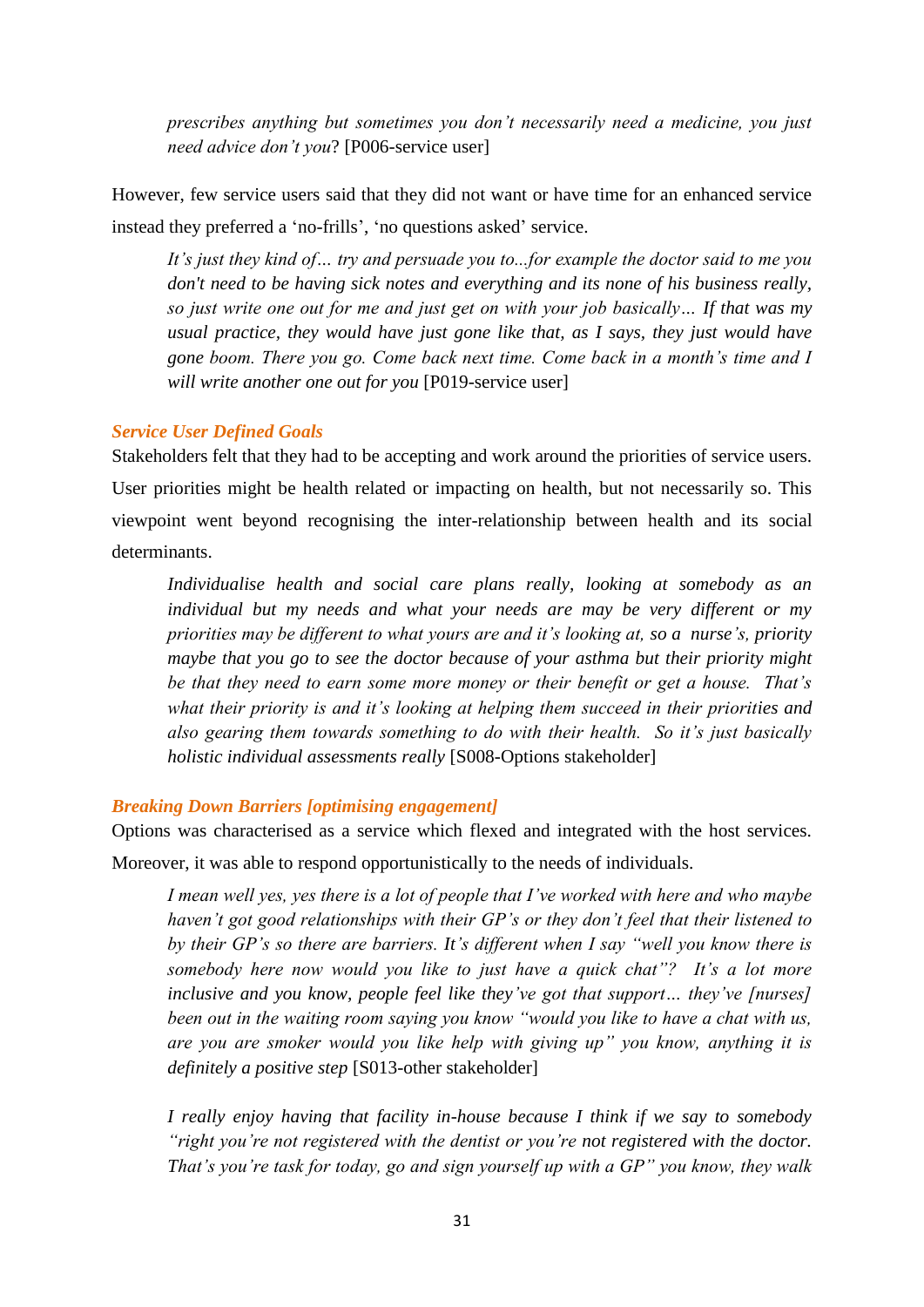*prescribes anything but sometimes you don"t necessarily need a medicine, you just need advice don"t you*? [P006-service user]

However, few service users said that they did not want or have time for an enhanced service instead they preferred a 'no-frills', 'no questions asked' service.

*It"s just they kind of… try and persuade you to...for example the doctor said to me you don't need to be having sick notes and everything and its none of his business really, so just write one out for me and just get on with your job basically… If that was my usual practice, they would have just gone like that, as I says, they just would have gone boom. There you go. Come back next time. Come back in a month"s time and I will write another one out for you* [P019-service user]

# *Service User Defined Goals*

Stakeholders felt that they had to be accepting and work around the priorities of service users. User priorities might be health related or impacting on health, but not necessarily so. This viewpoint went beyond recognising the inter-relationship between health and its social determinants.

*Individualise health and social care plans really, looking at somebody as an individual but my needs and what your needs are may be very different or my priorities may be different to what yours are and it"s looking at, so a nurse"s, priority maybe that you go to see the doctor because of your asthma but their priority might be that they need to earn some more money or their benefit or get a house. That"s what their priority is and it"s looking at helping them succeed in their priorities and also gearing them towards something to do with their health. So it"s just basically holistic individual assessments really* [S008-Options stakeholder]

## *Breaking Down Barriers [optimising engagement]*

Options was characterised as a service which flexed and integrated with the host services.

Moreover, it was able to respond opportunistically to the needs of individuals.

*I mean well yes, yes there is a lot of people that I"ve worked with here and who maybe haven"t got good relationships with their GP"s or they don"t feel that their listened to by their GP"s so there are barriers. It"s different when I say "well you know there is somebody here now would you like to just have a quick chat"? It's a lot more inclusive and you know, people feel like they"ve got that support… they"ve [nurses] been out in the waiting room saying you know "would you like to have a chat with us, are you are smoker would you like help with giving up" you know, anything it is definitely a positive step* [S013-other stakeholder]

*I really enjoy having that facility in-house because I think if we say to somebody "right you"re not registered with the dentist or you"re not registered with the doctor. That"s you"re task for today, go and sign yourself up with a GP" you know, they walk*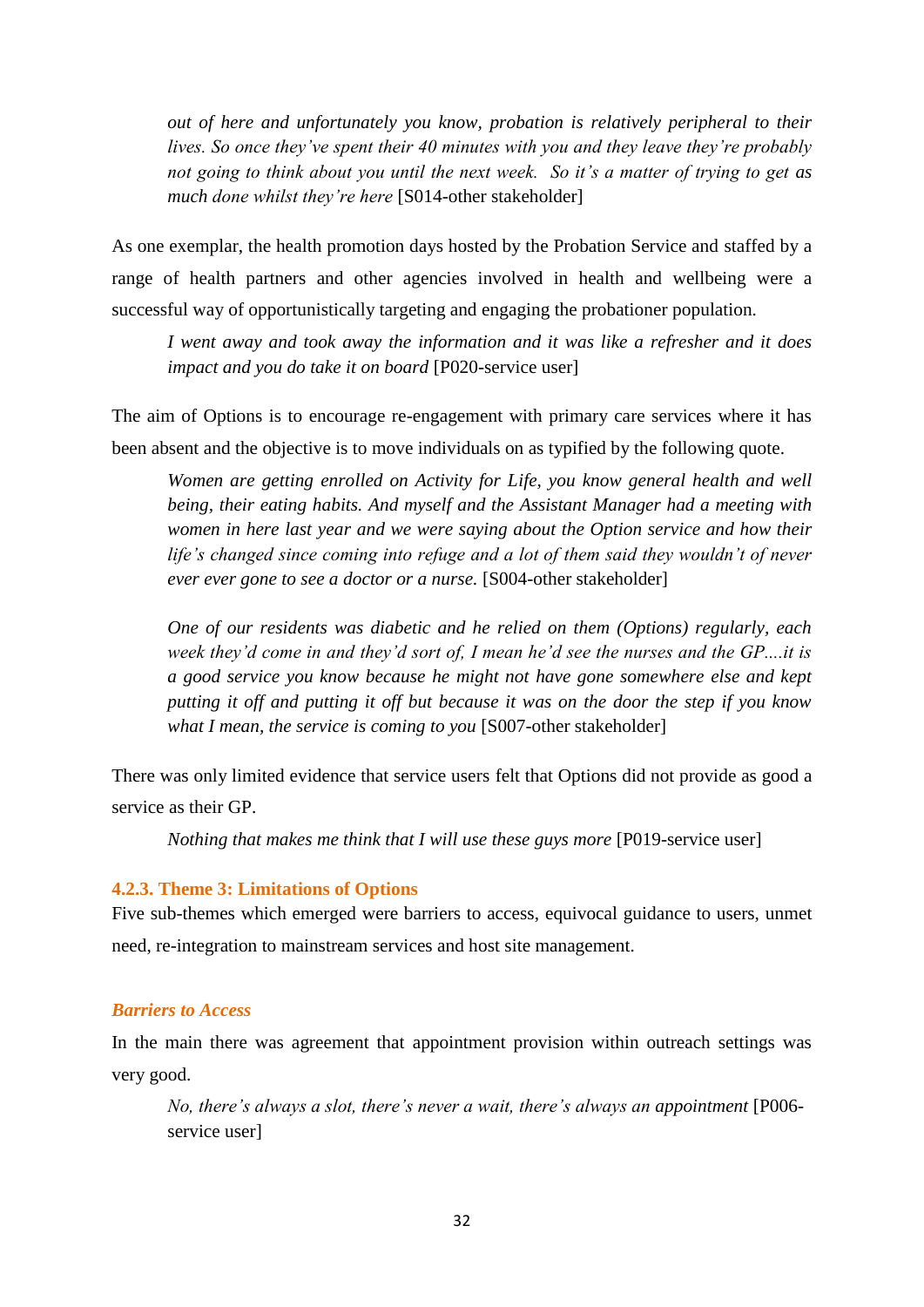*out of here and unfortunately you know, probation is relatively peripheral to their lives. So once they"ve spent their 40 minutes with you and they leave they"re probably not going to think about you until the next week. So it"s a matter of trying to get as much done whilst they"re here* [S014-other stakeholder]

As one exemplar, the health promotion days hosted by the Probation Service and staffed by a range of health partners and other agencies involved in health and wellbeing were a successful way of opportunistically targeting and engaging the probationer population.

*I went away and took away the information and it was like a refresher and it does impact and you do take it on board* [P020-service user]

The aim of Options is to encourage re-engagement with primary care services where it has been absent and the objective is to move individuals on as typified by the following quote.

*Women are getting enrolled on Activity for Life, you know general health and well being, their eating habits. And myself and the Assistant Manager had a meeting with women in here last year and we were saying about the Option service and how their life"s changed since coming into refuge and a lot of them said they wouldn"t of never ever ever gone to see a doctor or a nurse.* [S004-other stakeholder]

*One of our residents was diabetic and he relied on them (Options) regularly, each week they"d come in and they"d sort of, I mean he"d see the nurses and the GP....it is a good service you know because he might not have gone somewhere else and kept putting it off and putting it off but because it was on the door the step if you know what I mean, the service is coming to you* [S007-other stakeholder]

There was only limited evidence that service users felt that Options did not provide as good a service as their GP.

*Nothing that makes me think that I will use these guys more* [P019-service user]

### **4.2.3. Theme 3: Limitations of Options**

Five sub-themes which emerged were barriers to access, equivocal guidance to users, unmet need, re-integration to mainstream services and host site management.

## *Barriers to Access*

In the main there was agreement that appointment provision within outreach settings was very good.

*No, there"s always a slot, there"s never a wait, there"s always an appointment* [P006 service user]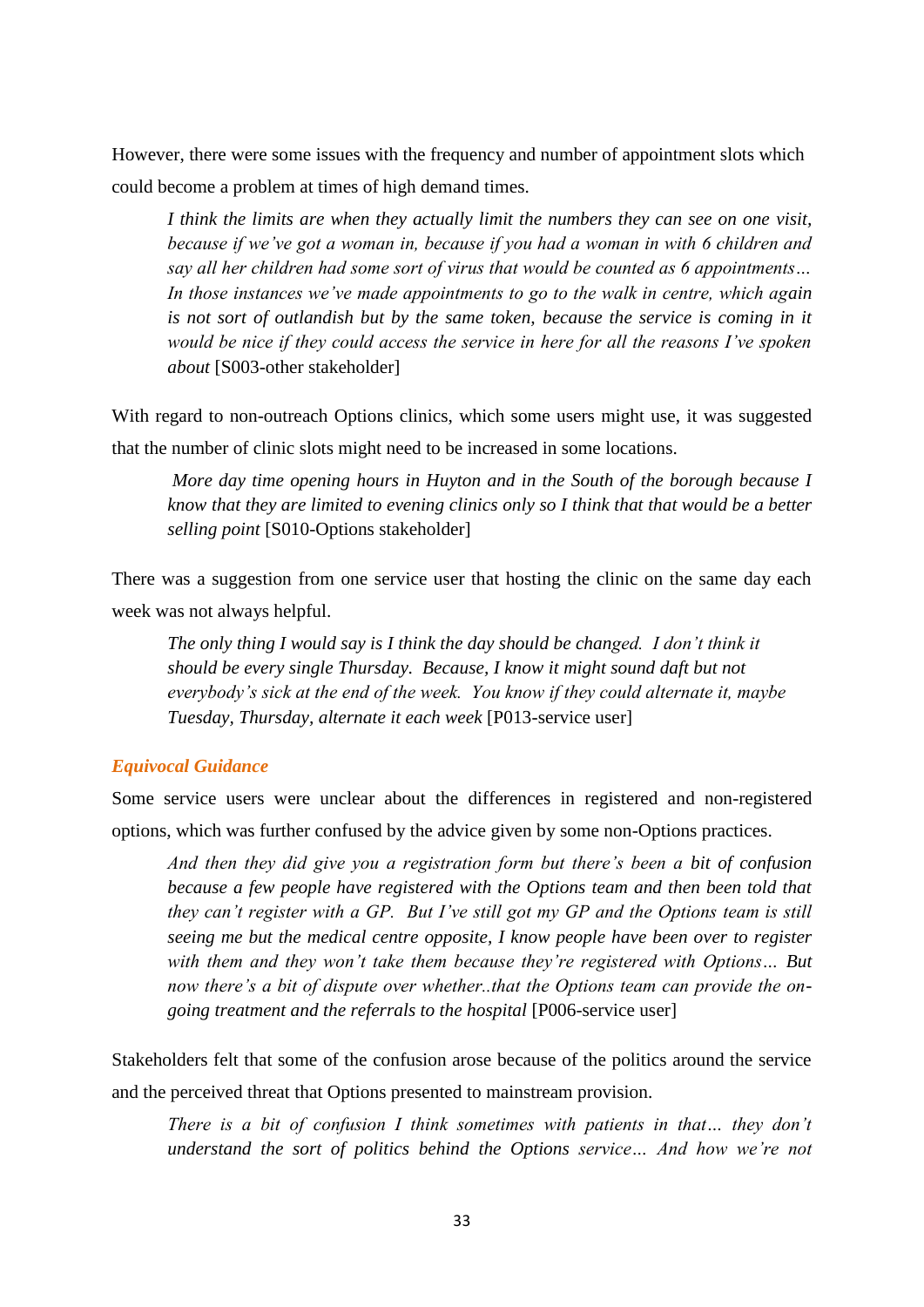However, there were some issues with the frequency and number of appointment slots which could become a problem at times of high demand times.

*I think the limits are when they actually limit the numbers they can see on one visit, because if we"ve got a woman in, because if you had a woman in with 6 children and say all her children had some sort of virus that would be counted as 6 appointments… In those instances we"ve made appointments to go to the walk in centre, which again is not sort of outlandish but by the same token, because the service is coming in it would be nice if they could access the service in here for all the reasons I"ve spoken about* [S003-other stakeholder]

With regard to non-outreach Options clinics, which some users might use, it was suggested that the number of clinic slots might need to be increased in some locations.

*More day time opening hours in Huyton and in the South of the borough because I know that they are limited to evening clinics only so I think that that would be a better selling point* [S010-Options stakeholder]

There was a suggestion from one service user that hosting the clinic on the same day each week was not always helpful.

*The only thing I would say is I think the day should be changed. I don"t think it should be every single Thursday. Because, I know it might sound daft but not everybody"s sick at the end of the week. You know if they could alternate it, maybe Tuesday, Thursday, alternate it each week* [P013-service user]

### *Equivocal Guidance*

Some service users were unclear about the differences in registered and non-registered options, which was further confused by the advice given by some non-Options practices.

*And then they did give you a registration form but there"s been a bit of confusion because a few people have registered with the Options team and then been told that they can"t register with a GP. But I"ve still got my GP and the Options team is still seeing me but the medical centre opposite, I know people have been over to register with them and they won"t take them because they"re registered with Options… But now there"s a bit of dispute over whether..that the Options team can provide the ongoing treatment and the referrals to the hospital* [P006-service user]

Stakeholders felt that some of the confusion arose because of the politics around the service and the perceived threat that Options presented to mainstream provision.

*There is a bit of confusion I think sometimes with patients in that… they don"t understand the sort of politics behind the Options service… And how we"re not*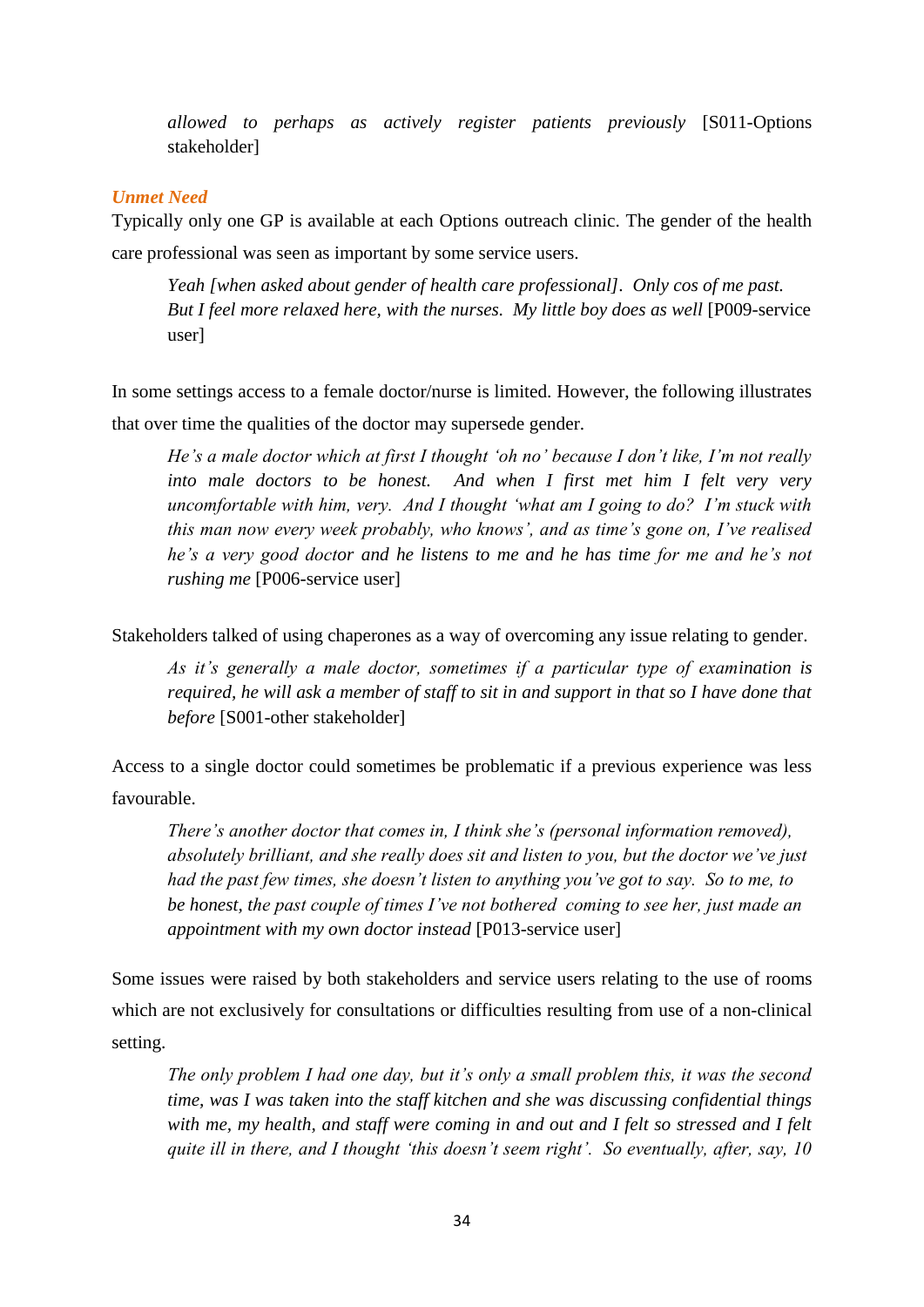*allowed to perhaps as actively register patients previously* [S011-Options stakeholder]

# *Unmet Need*

Typically only one GP is available at each Options outreach clinic. The gender of the health care professional was seen as important by some service users.

*Yeah [when asked about gender of health care professional]. Only cos of me past. But I feel more relaxed here, with the nurses. My little boy does as well* [P009-service] user]

In some settings access to a female doctor/nurse is limited. However, the following illustrates that over time the qualities of the doctor may supersede gender.

*He"s a male doctor which at first I thought "oh no" because I don"t like, I"m not really into male doctors to be honest. And when I first met him I felt very very uncomfortable with him, very. And I thought "what am I going to do? I"m stuck with this man now every week probably, who knows", and as time"s gone on, I"ve realised he"s a very good doctor and he listens to me and he has time for me and he"s not rushing me* [P006-service user]

Stakeholders talked of using chaperones as a way of overcoming any issue relating to gender.

*As it"s generally a male doctor, sometimes if a particular type of examination is required, he will ask a member of staff to sit in and support in that so I have done that before* [S001-other stakeholder]

Access to a single doctor could sometimes be problematic if a previous experience was less favourable.

*There"s another doctor that comes in, I think she"s (personal information removed), absolutely brilliant, and she really does sit and listen to you, but the doctor we"ve just had the past few times, she doesn"t listen to anything you"ve got to say. So to me, to be honest, the past couple of times I"ve not bothered coming to see her, just made an appointment with my own doctor instead* [P013-service user]

Some issues were raised by both stakeholders and service users relating to the use of rooms which are not exclusively for consultations or difficulties resulting from use of a non-clinical setting.

*The only problem I had one day, but it's only a small problem this, it was the second time, was I was taken into the staff kitchen and she was discussing confidential things with me, my health, and staff were coming in and out and I felt so stressed and I felt quite ill in there, and I thought "this doesn"t seem right". So eventually, after, say, 10*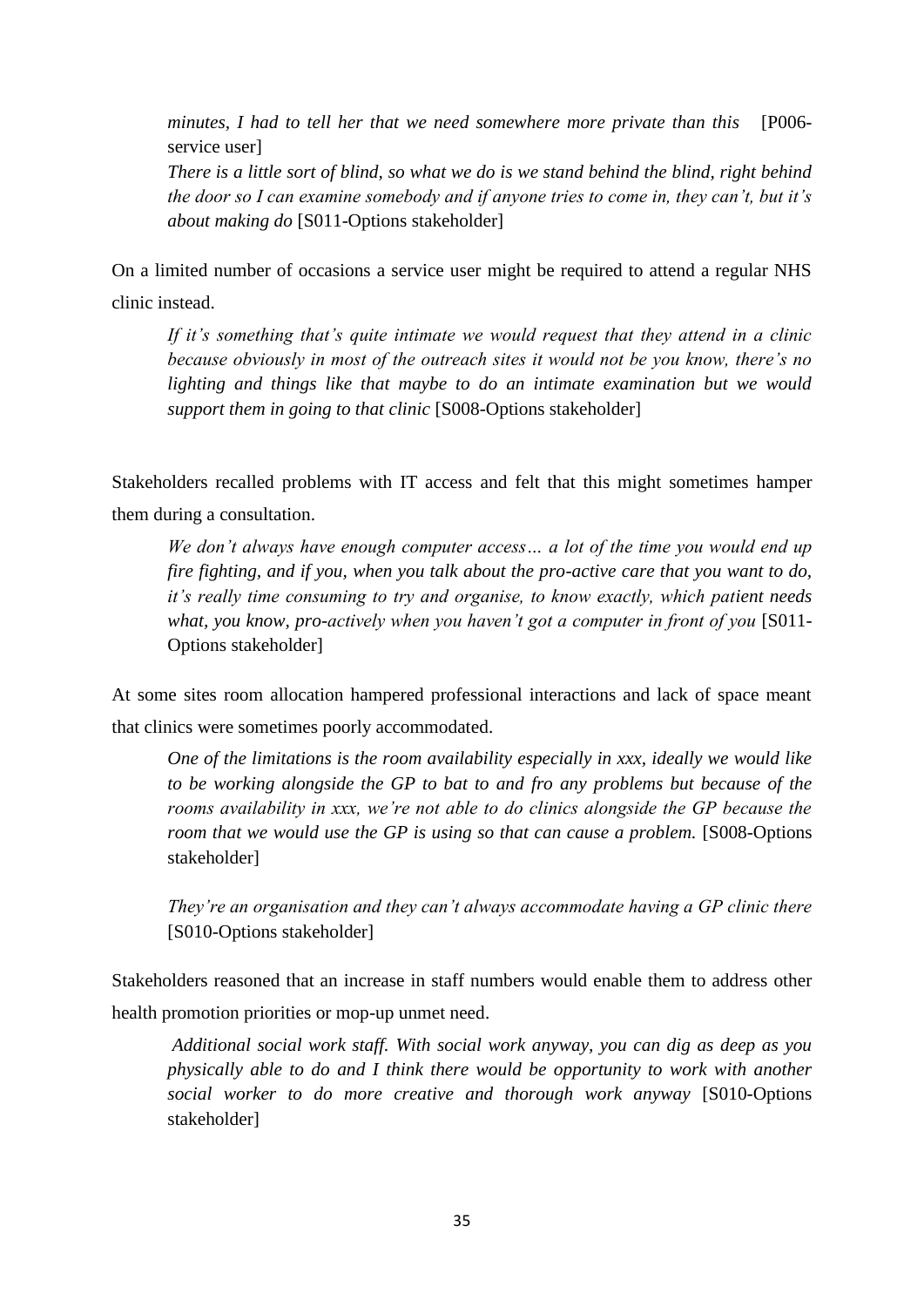*minutes, I had to tell her that we need somewhere more private than this* [P006 service user] *There is a little sort of blind, so what we do is we stand behind the blind, right behind the door so I can examine somebody and if anyone tries to come in, they can"t, but it"s about making do* [S011-Options stakeholder]

On a limited number of occasions a service user might be required to attend a regular NHS clinic instead.

*If it"s something that"s quite intimate we would request that they attend in a clinic because obviously in most of the outreach sites it would not be you know, there"s no lighting and things like that maybe to do an intimate examination but we would support them in going to that clinic* [S008-Options stakeholder]

Stakeholders recalled problems with IT access and felt that this might sometimes hamper them during a consultation.

*We don"t always have enough computer access… a lot of the time you would end up fire fighting, and if you, when you talk about the pro-active care that you want to do, it"s really time consuming to try and organise, to know exactly, which patient needs what, you know, pro-actively when you haven"t got a computer in front of you* [S011- Options stakeholder]

At some sites room allocation hampered professional interactions and lack of space meant that clinics were sometimes poorly accommodated.

*One of the limitations is the room availability especially in xxx, ideally we would like to be working alongside the GP to bat to and fro any problems but because of the rooms availability in xxx, we"re not able to do clinics alongside the GP because the room that we would use the GP is using so that can cause a problem.* [S008-Options stakeholder]

*They"re an organisation and they can"t always accommodate having a GP clinic there* [S010-Options stakeholder]

Stakeholders reasoned that an increase in staff numbers would enable them to address other health promotion priorities or mop-up unmet need.

*Additional social work staff. With social work anyway, you can dig as deep as you physically able to do and I think there would be opportunity to work with another social worker to do more creative and thorough work anyway* [S010-Options stakeholder]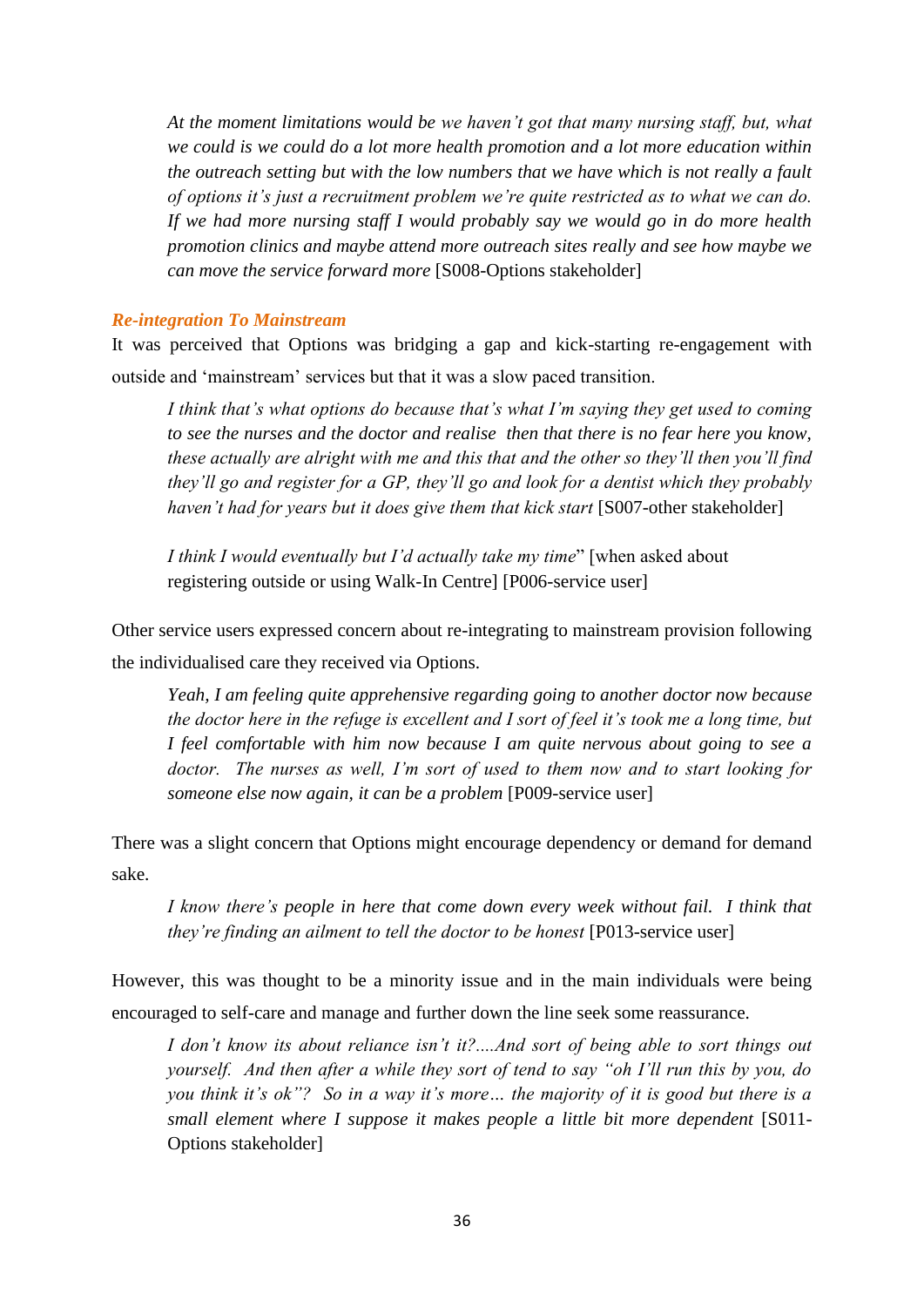*At the moment limitations would be we haven"t got that many nursing staff, but, what we could is we could do a lot more health promotion and a lot more education within the outreach setting but with the low numbers that we have which is not really a fault of options it"s just a recruitment problem we"re quite restricted as to what we can do. If we had more nursing staff I would probably say we would go in do more health promotion clinics and maybe attend more outreach sites really and see how maybe we can move the service forward more* [S008-Options stakeholder]

### *Re-integration To Mainstream*

It was perceived that Options was bridging a gap and kick-starting re-engagement with outside and "mainstream" services but that it was a slow paced transition.

*I think that"s what options do because that"s what I"m saying they get used to coming to see the nurses and the doctor and realise then that there is no fear here you know, these actually are alright with me and this that and the other so they"ll then you"ll find they"ll go and register for a GP, they"ll go and look for a dentist which they probably haven"t had for years but it does give them that kick start* [S007-other stakeholder]

*I think I would eventually but I"d actually take my time*" [when asked about registering outside or using Walk-In Centre] [P006-service user]

Other service users expressed concern about re-integrating to mainstream provision following the individualised care they received via Options.

*Yeah, I am feeling quite apprehensive regarding going to another doctor now because the doctor here in the refuge is excellent and I sort of feel it's took me a long time, but I feel comfortable with him now because I am quite nervous about going to see a doctor. The nurses as well, I"m sort of used to them now and to start looking for someone else now again, it can be a problem* [P009-service user]

There was a slight concern that Options might encourage dependency or demand for demand sake.

*I know there"s people in here that come down every week without fail. I think that they"re finding an ailment to tell the doctor to be honest* [P013-service user]

However, this was thought to be a minority issue and in the main individuals were being encouraged to self-care and manage and further down the line seek some reassurance.

*I don"t know its about reliance isn"t it?....And sort of being able to sort things out yourself. And then after a while they sort of tend to say "oh I"ll run this by you, do you think it"s ok"? So in a way it"s more… the majority of it is good but there is a small element where I suppose it makes people a little bit more dependent* [S011- Options stakeholder]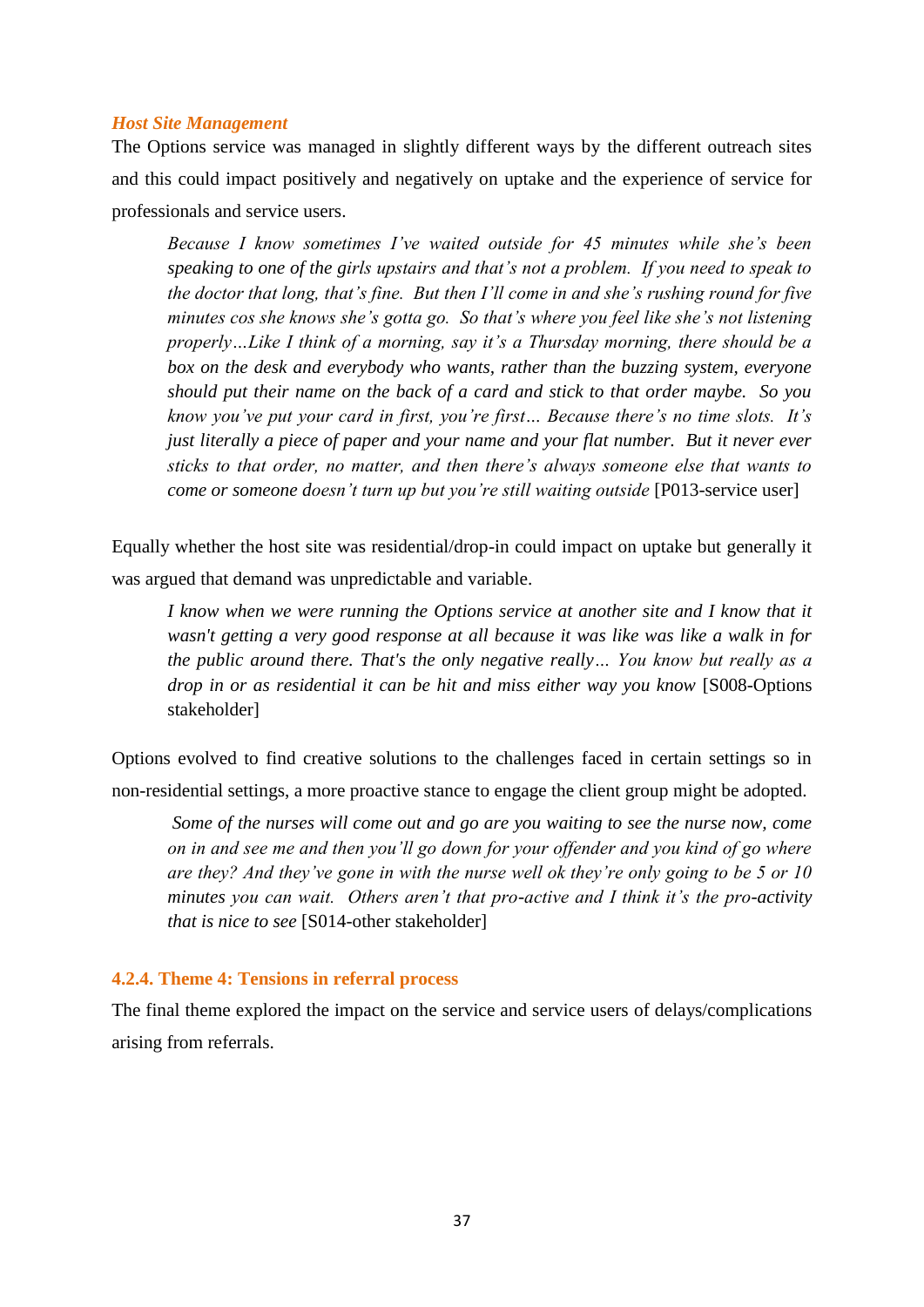## *Host Site Management*

The Options service was managed in slightly different ways by the different outreach sites and this could impact positively and negatively on uptake and the experience of service for professionals and service users.

*Because I know sometimes I"ve waited outside for 45 minutes while she"s been speaking to one of the girls upstairs and that"s not a problem. If you need to speak to the doctor that long, that"s fine. But then I"ll come in and she"s rushing round for five minutes cos she knows she"s gotta go. So that"s where you feel like she"s not listening properly…Like I think of a morning, say it"s a Thursday morning, there should be a box on the desk and everybody who wants, rather than the buzzing system, everyone should put their name on the back of a card and stick to that order maybe. So you know you"ve put your card in first, you"re first… Because there"s no time slots. It"s just literally a piece of paper and your name and your flat number. But it never ever sticks to that order, no matter, and then there"s always someone else that wants to come or someone doesn"t turn up but you"re still waiting outside* [P013-service user]

Equally whether the host site was residential/drop-in could impact on uptake but generally it was argued that demand was unpredictable and variable.

*I know when we were running the Options service at another site and I know that it wasn't getting a very good response at all because it was like was like a walk in for the public around there. That's the only negative really… You know but really as a drop in or as residential it can be hit and miss either way you know* [S008-Options stakeholder]

Options evolved to find creative solutions to the challenges faced in certain settings so in non-residential settings, a more proactive stance to engage the client group might be adopted.

*Some of the nurses will come out and go are you waiting to see the nurse now, come on in and see me and then you"ll go down for your offender and you kind of go where are they? And they"ve gone in with the nurse well ok they"re only going to be 5 or 10 minutes you can wait. Others aren"t that pro-active and I think it"s the pro-activity that is nice to see* [S014-other stakeholder]

## **4.2.4. Theme 4: Tensions in referral process**

The final theme explored the impact on the service and service users of delays/complications arising from referrals.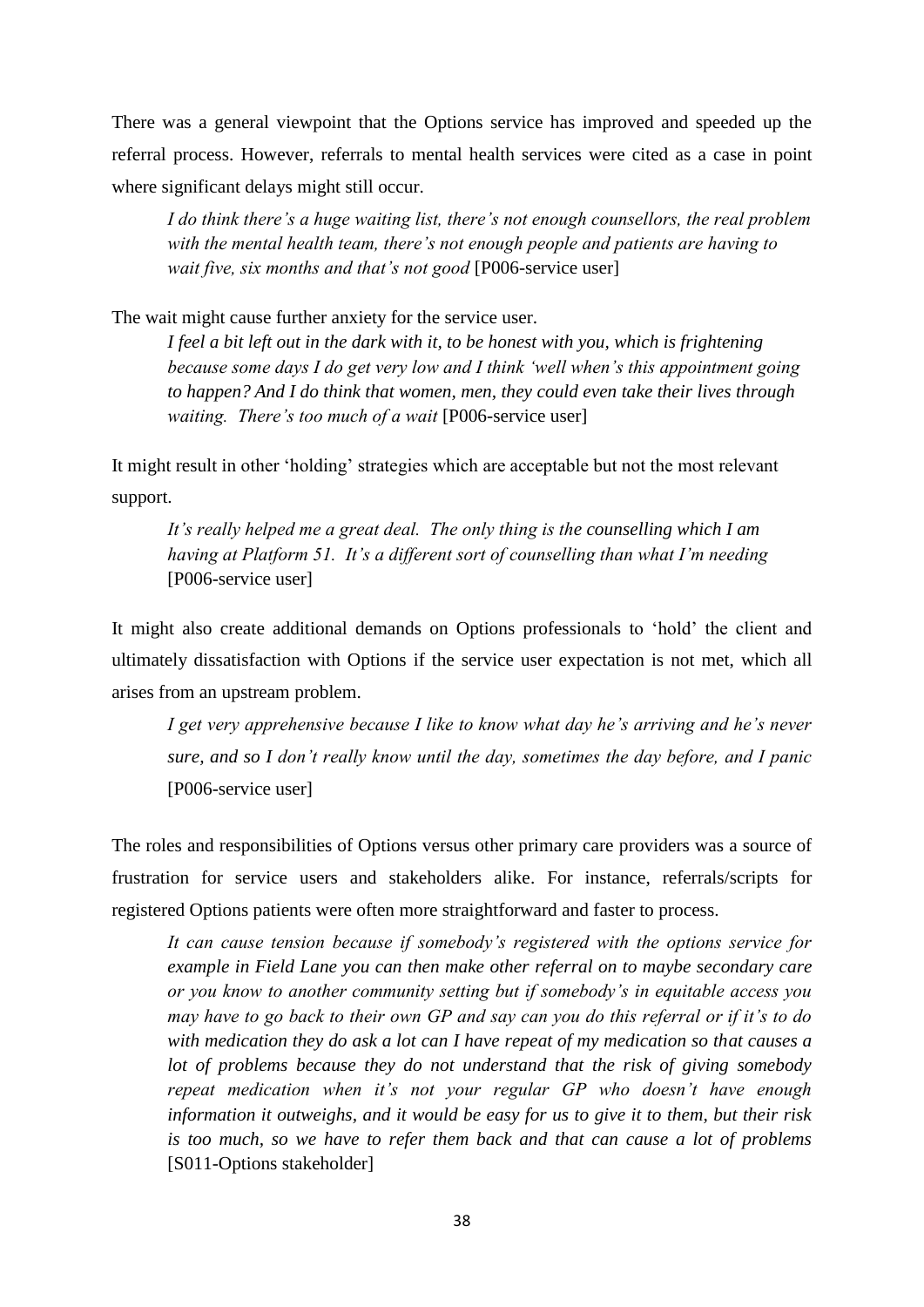There was a general viewpoint that the Options service has improved and speeded up the referral process. However, referrals to mental health services were cited as a case in point where significant delays might still occur.

*I do think there"s a huge waiting list, there"s not enough counsellors, the real problem with the mental health team, there"s not enough people and patients are having to wait five, six months and that"s not good* [P006-service user]

The wait might cause further anxiety for the service user.

*I feel a bit left out in the dark with it, to be honest with you, which is frightening because some days I do get very low and I think "well when"s this appointment going to happen? And I do think that women, men, they could even take their lives through waiting. There"s too much of a wait* [P006-service user]

It might result in other "holding" strategies which are acceptable but not the most relevant support.

*It"s really helped me a great deal. The only thing is the counselling which I am having at Platform 51. It"s a different sort of counselling than what I"m needing* [P006-service user]

It might also create additional demands on Options professionals to "hold" the client and ultimately dissatisfaction with Options if the service user expectation is not met, which all arises from an upstream problem.

*I get very apprehensive because I like to know what day he"s arriving and he"s never sure, and so I don"t really know until the day, sometimes the day before, and I panic* [P006-service user]

The roles and responsibilities of Options versus other primary care providers was a source of frustration for service users and stakeholders alike. For instance, referrals/scripts for registered Options patients were often more straightforward and faster to process.

*It can cause tension because if somebody"s registered with the options service for example in Field Lane you can then make other referral on to maybe secondary care or you know to another community setting but if somebody"s in equitable access you may have to go back to their own GP and say can you do this referral or if it"s to do with medication they do ask a lot can I have repeat of my medication so that causes a lot of problems because they do not understand that the risk of giving somebody repeat medication when it's not your regular GP who doesn't have enough information it outweighs, and it would be easy for us to give it to them, but their risk is too much, so we have to refer them back and that can cause a lot of problems* [S011-Options stakeholder]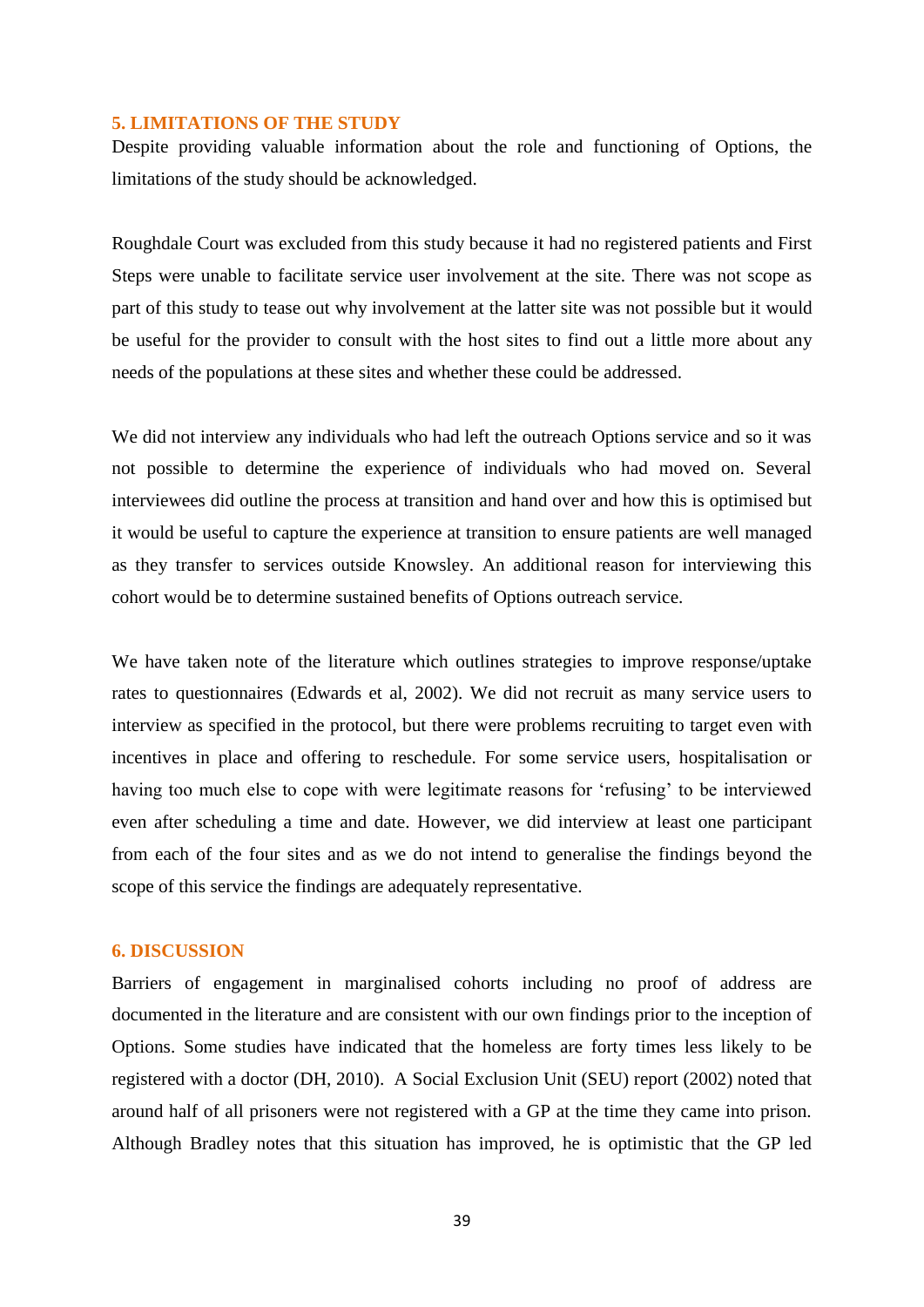# **5. LIMITATIONS OF THE STUDY**

Despite providing valuable information about the role and functioning of Options, the limitations of the study should be acknowledged.

Roughdale Court was excluded from this study because it had no registered patients and First Steps were unable to facilitate service user involvement at the site. There was not scope as part of this study to tease out why involvement at the latter site was not possible but it would be useful for the provider to consult with the host sites to find out a little more about any needs of the populations at these sites and whether these could be addressed.

We did not interview any individuals who had left the outreach Options service and so it was not possible to determine the experience of individuals who had moved on. Several interviewees did outline the process at transition and hand over and how this is optimised but it would be useful to capture the experience at transition to ensure patients are well managed as they transfer to services outside Knowsley. An additional reason for interviewing this cohort would be to determine sustained benefits of Options outreach service.

We have taken note of the literature which outlines strategies to improve response/uptake rates to questionnaires (Edwards et al, 2002). We did not recruit as many service users to interview as specified in the protocol, but there were problems recruiting to target even with incentives in place and offering to reschedule. For some service users, hospitalisation or having too much else to cope with were legitimate reasons for "refusing" to be interviewed even after scheduling a time and date. However, we did interview at least one participant from each of the four sites and as we do not intend to generalise the findings beyond the scope of this service the findings are adequately representative.

#### **6. DISCUSSION**

Barriers of engagement in marginalised cohorts including no proof of address are documented in the literature and are consistent with our own findings prior to the inception of Options. Some studies have indicated that the homeless are forty times less likely to be registered with a doctor (DH, 2010). A Social Exclusion Unit (SEU) report (2002) noted that around half of all prisoners were not registered with a GP at the time they came into prison. Although Bradley notes that this situation has improved, he is optimistic that the GP led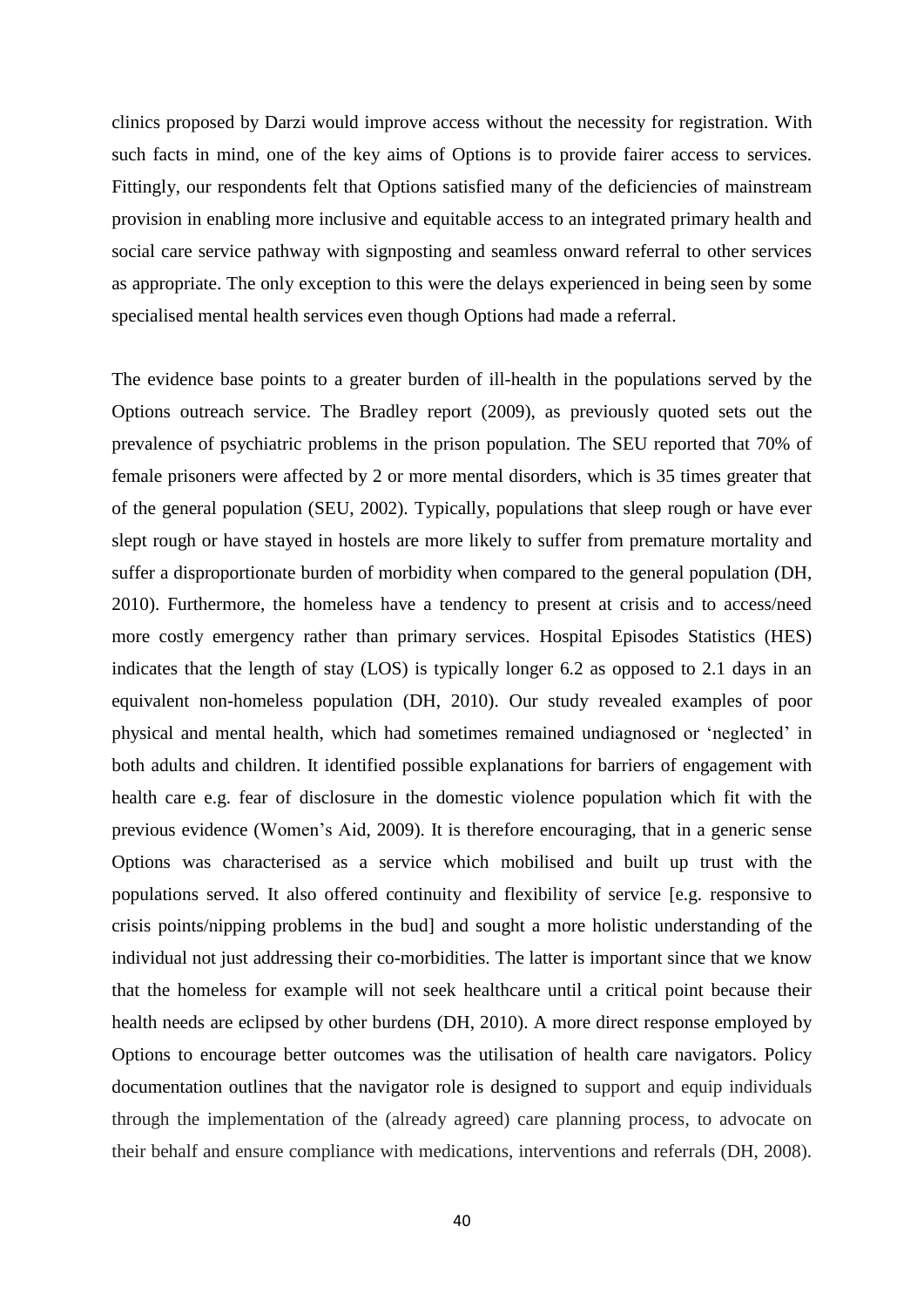clinics proposed by Darzi would improve access without the necessity for registration. With such facts in mind, one of the key aims of Options is to provide fairer access to services. Fittingly, our respondents felt that Options satisfied many of the deficiencies of mainstream provision in enabling more inclusive and equitable access to an integrated primary health and social care service pathway with signposting and seamless onward referral to other services as appropriate. The only exception to this were the delays experienced in being seen by some specialised mental health services even though Options had made a referral.

The evidence base points to a greater burden of ill-health in the populations served by the Options outreach service. The Bradley report (2009), as previously quoted sets out the prevalence of psychiatric problems in the prison population. The SEU reported that 70% of female prisoners were affected by 2 or more mental disorders, which is 35 times greater that of the general population (SEU, 2002). Typically, populations that sleep rough or have ever slept rough or have stayed in hostels are more likely to suffer from premature mortality and suffer a disproportionate burden of morbidity when compared to the general population (DH, 2010). Furthermore, the homeless have a tendency to present at crisis and to access/need more costly emergency rather than primary services. Hospital Episodes Statistics (HES) indicates that the length of stay (LOS) is typically longer 6.2 as opposed to 2.1 days in an equivalent non-homeless population (DH, 2010). Our study revealed examples of poor physical and mental health, which had sometimes remained undiagnosed or "neglected" in both adults and children. It identified possible explanations for barriers of engagement with health care e.g. fear of disclosure in the domestic violence population which fit with the previous evidence (Women"s Aid, 2009). It is therefore encouraging, that in a generic sense Options was characterised as a service which mobilised and built up trust with the populations served. It also offered continuity and flexibility of service [e.g. responsive to crisis points/nipping problems in the bud] and sought a more holistic understanding of the individual not just addressing their co-morbidities. The latter is important since that we know that the homeless for example will not seek healthcare until a critical point because their health needs are eclipsed by other burdens (DH, 2010). A more direct response employed by Options to encourage better outcomes was the utilisation of health care navigators. Policy documentation outlines that the navigator role is designed to support and equip individuals through the implementation of the (already agreed) care planning process, to advocate on their behalf and ensure compliance with medications, interventions and referrals (DH, 2008).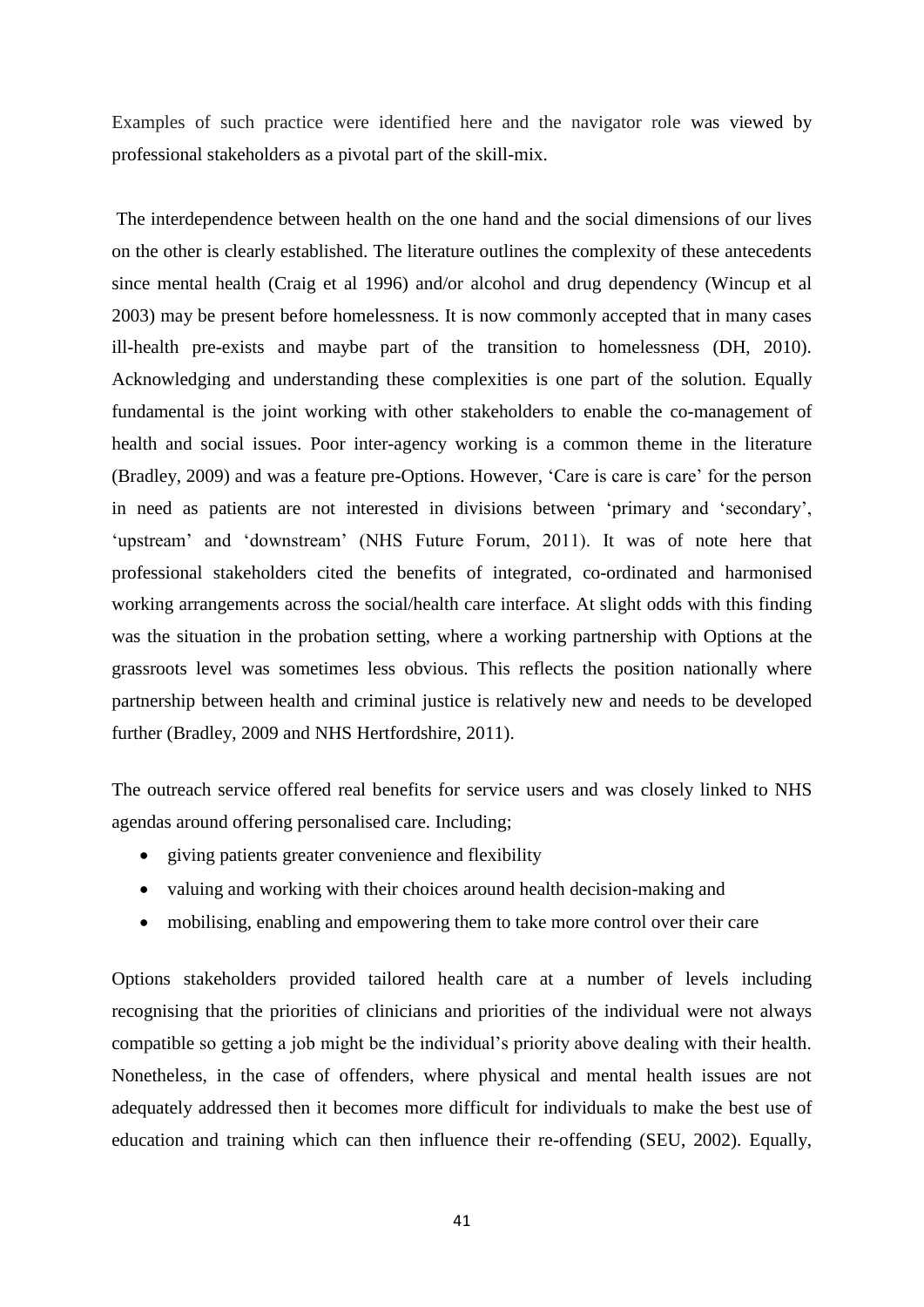Examples of such practice were identified here and the navigator role was viewed by professional stakeholders as a pivotal part of the skill-mix.

The interdependence between health on the one hand and the social dimensions of our lives on the other is clearly established. The literature outlines the complexity of these antecedents since mental health (Craig et al 1996) and/or alcohol and drug dependency (Wincup et al 2003) may be present before homelessness. It is now commonly accepted that in many cases ill-health pre-exists and maybe part of the transition to homelessness (DH, 2010). Acknowledging and understanding these complexities is one part of the solution. Equally fundamental is the joint working with other stakeholders to enable the co-management of health and social issues. Poor inter-agency working is a common theme in the literature (Bradley, 2009) and was a feature pre-Options. However, "Care is care is care" for the person in need as patients are not interested in divisions between "primary and "secondary", 'upstream' and 'downstream' (NHS Future Forum, 2011). It was of note here that professional stakeholders cited the benefits of integrated, co-ordinated and harmonised working arrangements across the social/health care interface. At slight odds with this finding was the situation in the probation setting, where a working partnership with Options at the grassroots level was sometimes less obvious. This reflects the position nationally where partnership between health and criminal justice is relatively new and needs to be developed further (Bradley, 2009 and NHS Hertfordshire, 2011).

The outreach service offered real benefits for service users and was closely linked to NHS agendas around offering personalised care. Including;

- giving patients greater convenience and flexibility
- valuing and working with their choices around health decision-making and
- mobilising, enabling and empowering them to take more control over their care

Options stakeholders provided tailored health care at a number of levels including recognising that the priorities of clinicians and priorities of the individual were not always compatible so getting a job might be the individual"s priority above dealing with their health. Nonetheless, in the case of offenders, where physical and mental health issues are not adequately addressed then it becomes more difficult for individuals to make the best use of education and training which can then influence their re-offending (SEU, 2002). Equally,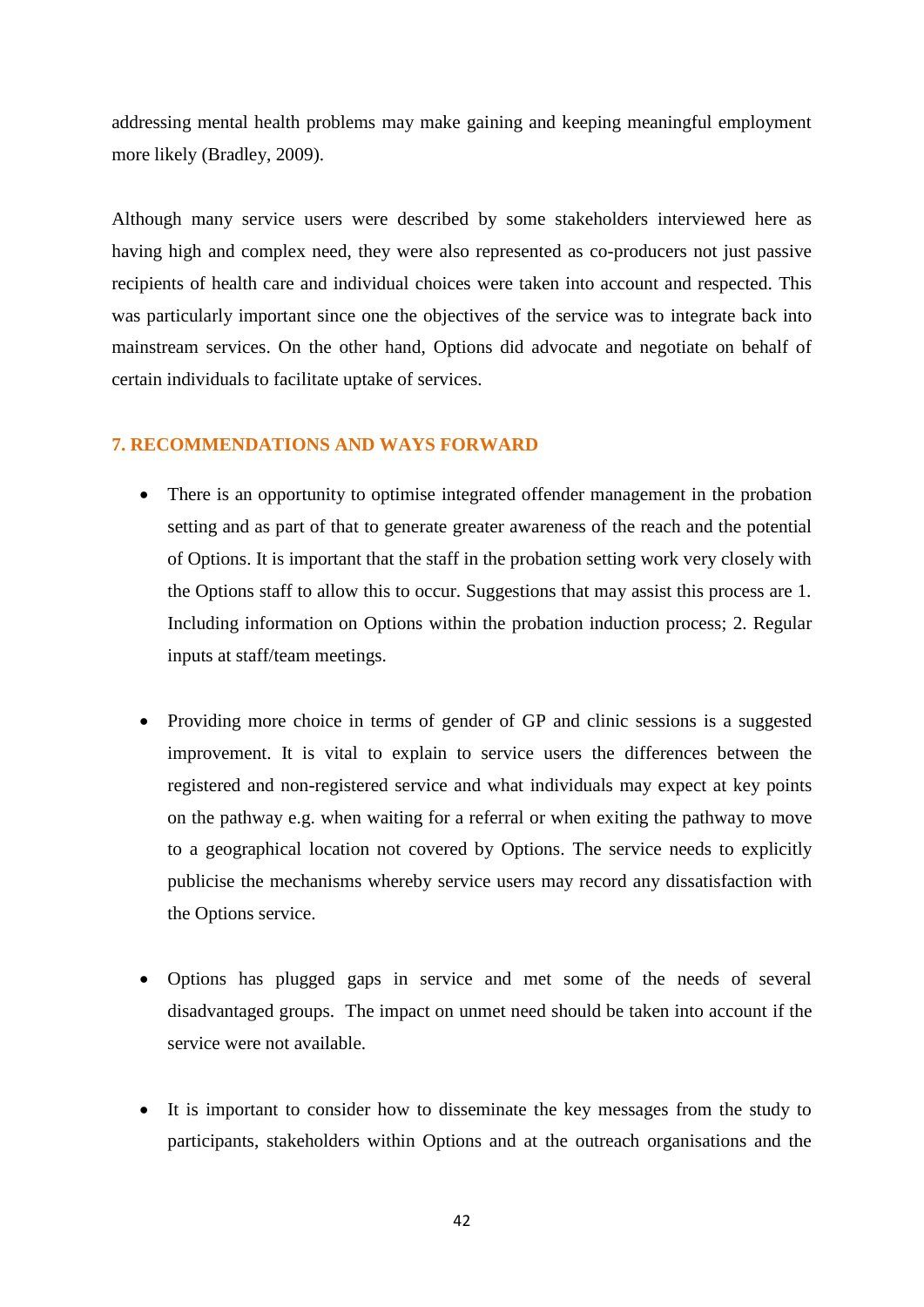addressing mental health problems may make gaining and keeping meaningful employment more likely (Bradley, 2009).

Although many service users were described by some stakeholders interviewed here as having high and complex need, they were also represented as co-producers not just passive recipients of health care and individual choices were taken into account and respected. This was particularly important since one the objectives of the service was to integrate back into mainstream services. On the other hand, Options did advocate and negotiate on behalf of certain individuals to facilitate uptake of services.

# **7. RECOMMENDATIONS AND WAYS FORWARD**

- There is an opportunity to optimise integrated offender management in the probation setting and as part of that to generate greater awareness of the reach and the potential of Options. It is important that the staff in the probation setting work very closely with the Options staff to allow this to occur. Suggestions that may assist this process are 1. Including information on Options within the probation induction process; 2. Regular inputs at staff/team meetings.
- Providing more choice in terms of gender of GP and clinic sessions is a suggested improvement. It is vital to explain to service users the differences between the registered and non-registered service and what individuals may expect at key points on the pathway e.g. when waiting for a referral or when exiting the pathway to move to a geographical location not covered by Options. The service needs to explicitly publicise the mechanisms whereby service users may record any dissatisfaction with the Options service.
- Options has plugged gaps in service and met some of the needs of several disadvantaged groups. The impact on unmet need should be taken into account if the service were not available.
- It is important to consider how to disseminate the key messages from the study to participants, stakeholders within Options and at the outreach organisations and the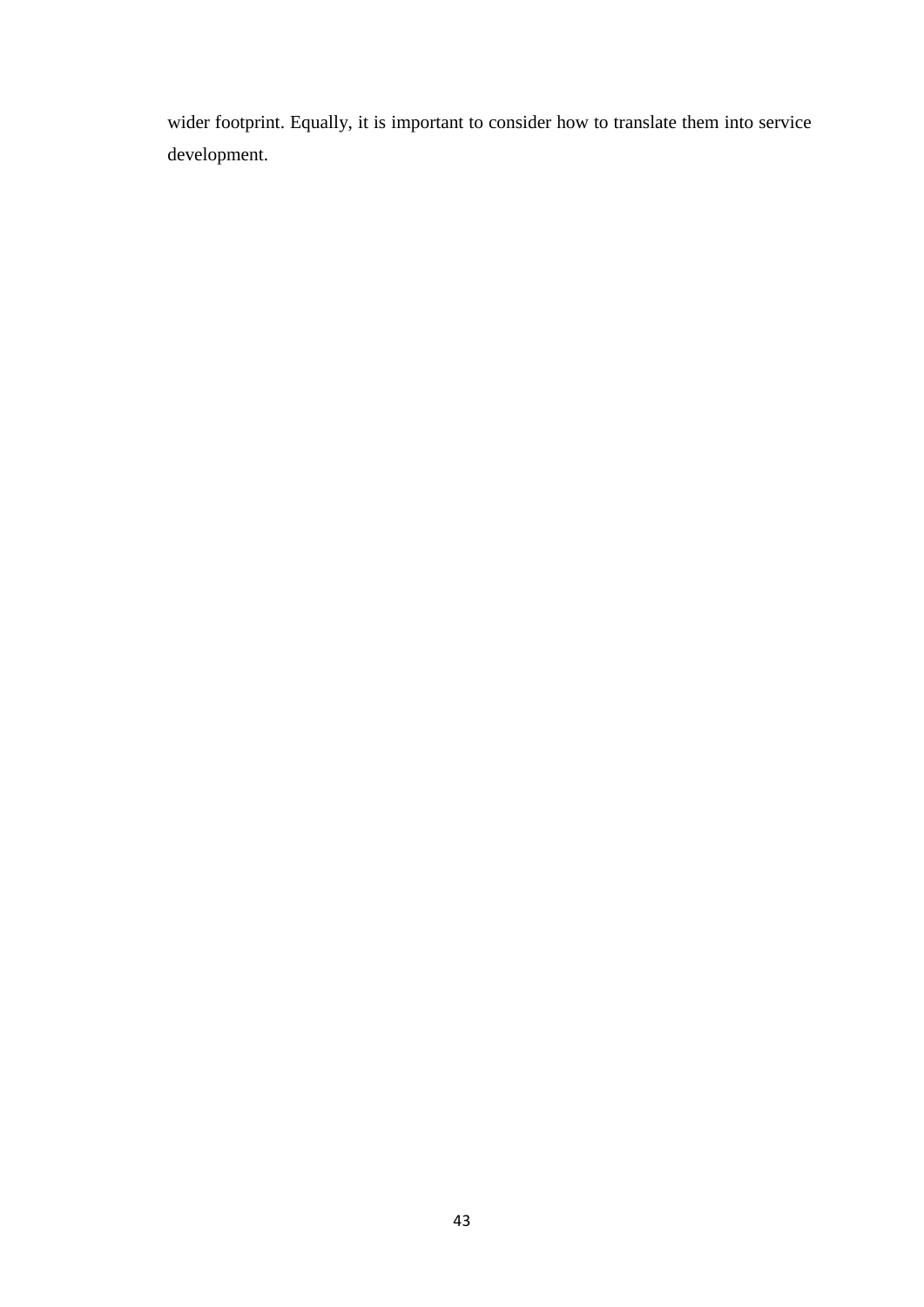wider footprint. Equally, it is important to consider how to translate them into service development.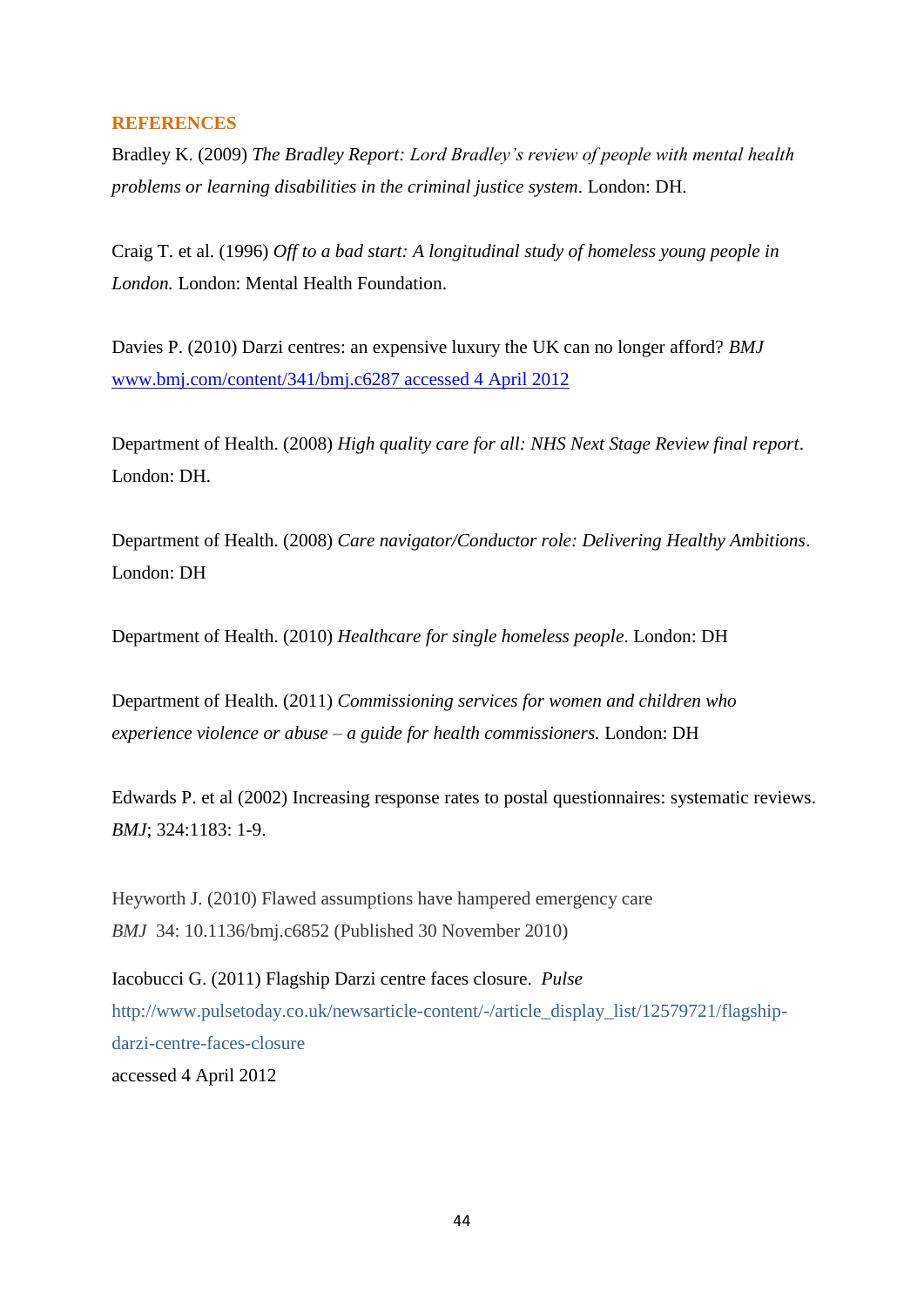# **REFERENCES**

Bradley K. (2009) *The Bradley Report: Lord Bradley"s review of people with mental health problems or learning disabilities in the criminal justice system*. London: DH.

Craig T. et al. (1996) *Off to a bad start: A longitudinal study of homeless young people in London.* London: Mental Health Foundation.

Davies P. (2010) Darzi centres: an expensive luxury the UK can no longer afford? *BMJ* [www.bmj.com/content/341/bmj.c6287 accessed 4 April 2012](http://www.bmj.com/content/341/bmj.c6287%20accessed%204%20April%202012)

Department of Health. (2008) *High quality care for all: NHS Next Stage Review final report*. London: DH.

Department of Health. (2008) *Care navigator/Conductor role: Delivering Healthy Ambitions*. London: DH

Department of Health. (2010) *Healthcare for single homeless people*. London: DH

Department of Health. (2011) *Commissioning services for women and children who experience violence or abuse – a guide for health commissioners.* London: DH

Edwards P. et al (2002) Increasing response rates to postal questionnaires: systematic reviews. *BMJ*; 324:1183: 1-9.

Heyworth J. (2010) Flawed assumptions have hampered emergency care *BMJ* 34: 10.1136/bmj.c6852 (Published 30 November 2010)

Iacobucci G. (2011) Flagship Darzi centre faces closure. *Pulse* http://www.pulsetoday.co.uk/newsarticle-content/-/article\_display\_list/12579721/flagshipdarzi-centre-faces-closure

accessed 4 April 2012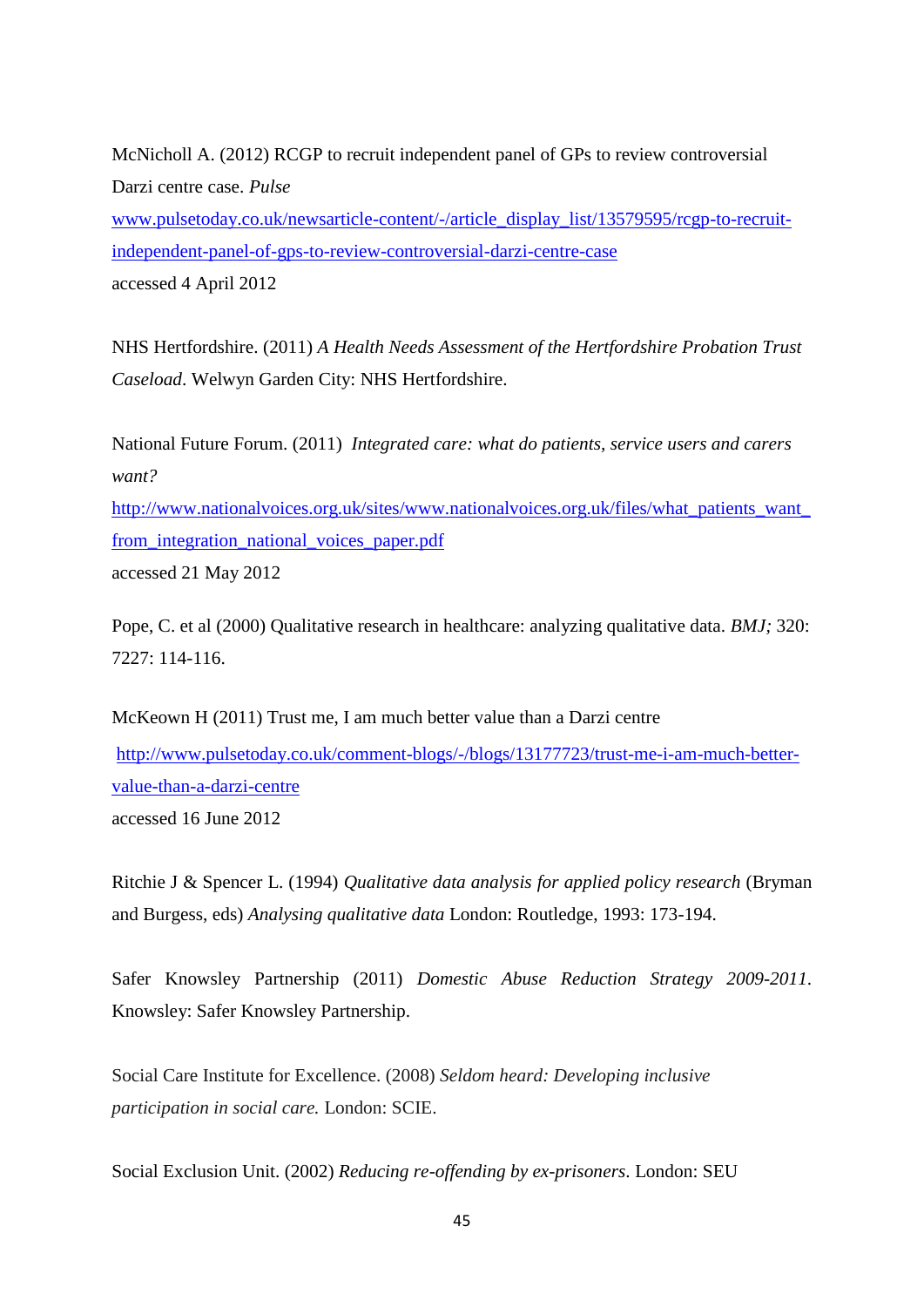McNicholl A. (2012) RCGP to recruit independent panel of GPs to review controversial Darzi centre case. *Pulse* [www.pulsetoday.co.uk/newsarticle-content/-/article\\_display\\_list/13579595/rcgp-to-recruit](http://www.pulsetoday.co.uk/newsarticle-content/-/article_display_list/13579595/rcgp-to-recruit-independent-panel-of-gps-to-review-controversial-darzi-centre-case%20accessed%204%20April%202012)[independent-panel-of-gps-to-review-controversial-darzi-centre-case](http://www.pulsetoday.co.uk/newsarticle-content/-/article_display_list/13579595/rcgp-to-recruit-independent-panel-of-gps-to-review-controversial-darzi-centre-case%20accessed%204%20April%202012) accessed 4 April 2012

NHS Hertfordshire. (2011) *A Health Needs Assessment of the Hertfordshire Probation Trust Caseload*. Welwyn Garden City: NHS Hertfordshire.

National Future Forum. (2011) *Integrated care: what do patients, service users and carers want?* http://www.nationalvoices.org.uk/sites/www.nationalvoices.org.uk/files/what patients want [from\\_integration\\_national\\_voices\\_paper.pdf](http://www.nationalvoices.org.uk/sites/www.nationalvoices.org.uk/files/what_patients_want_from_integration_national_voices_paper.pdf) accessed 21 May 2012

Pope, C. et al (2000) Qualitative research in healthcare: analyzing qualitative data. *BMJ;* 320: 7227: 114-116.

McKeown H (2011) Trust me, I am much better value than a Darzi centre

[http://www.pulsetoday.co.uk/comment-blogs/-/blogs/13177723/trust-me-i-am-much-better](http://www.pulsetoday.co.uk/comment-blogs/-/blogs/13177723/trust-me-i-am-much-better-value-than-a-darzi-centre)[value-than-a-darzi-centre](http://www.pulsetoday.co.uk/comment-blogs/-/blogs/13177723/trust-me-i-am-much-better-value-than-a-darzi-centre) accessed 16 June 2012

Ritchie J & Spencer L. (1994) *Qualitative data analysis for applied policy research* (Bryman and Burgess, eds) *Analysing qualitative data* London: Routledge, 1993: 173-194.

Safer Knowsley Partnership (2011) *Domestic Abuse Reduction Strategy 2009-2011*. Knowsley: Safer Knowsley Partnership.

Social Care Institute for Excellence. (2008) *Seldom heard: Developing inclusive participation in social care.* London: SCIE.

Social Exclusion Unit. (2002) *Reducing re-offending by ex-prisoners*. London: SEU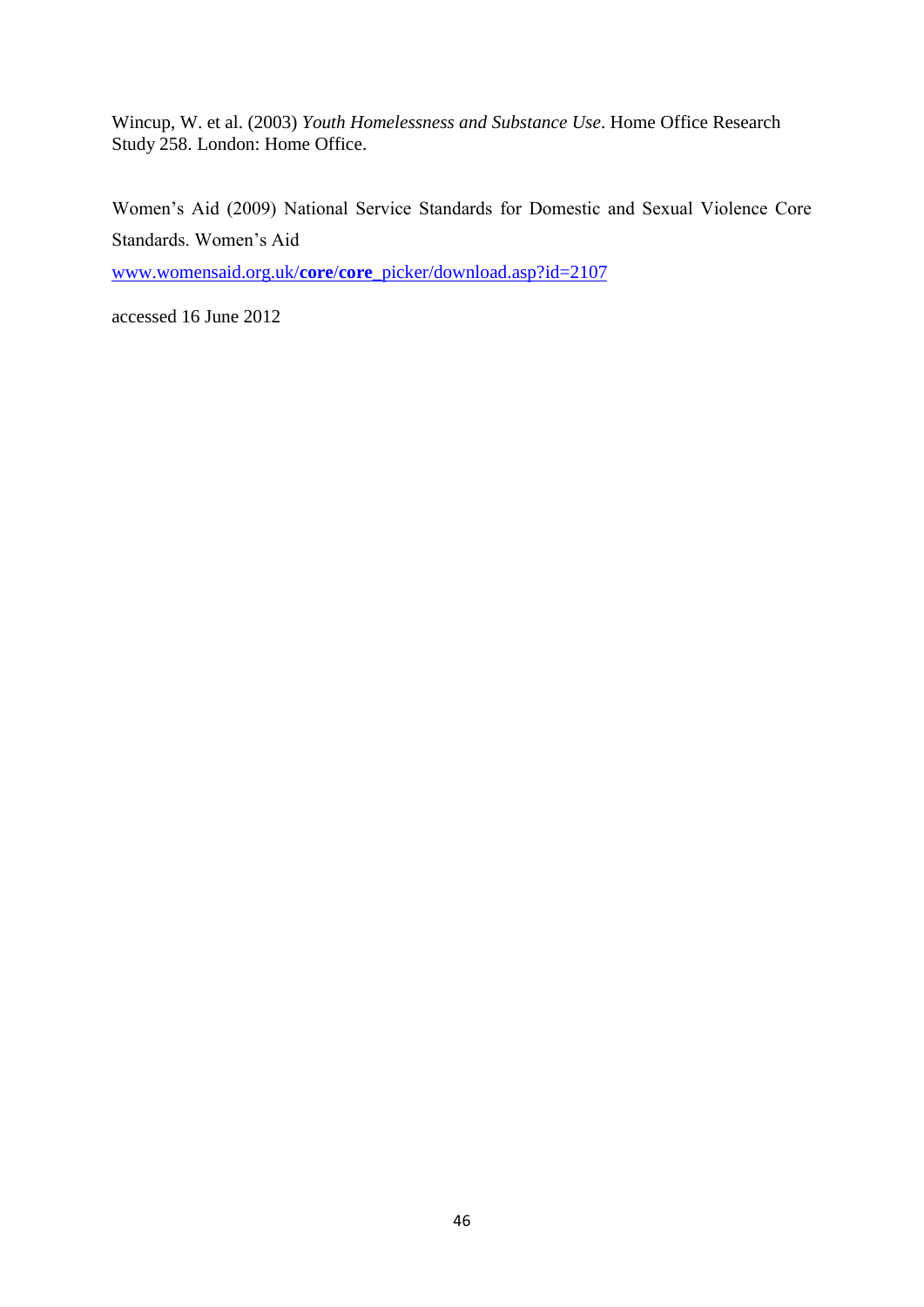Wincup, W. et al. (2003) *Youth Homelessness and Substance Use*. Home Office Research Study 258. London: Home Office.

Women"s Aid (2009) National Service Standards for Domestic and Sexual Violence Core Standards. Women"s Aid

www.womensaid.org.uk/**core**/**core**[\\_picker/download.asp?id=2107](http://www.womensaid.org.uk/core/core_picker/download.asp?id=2107)

accessed 16 June 2012